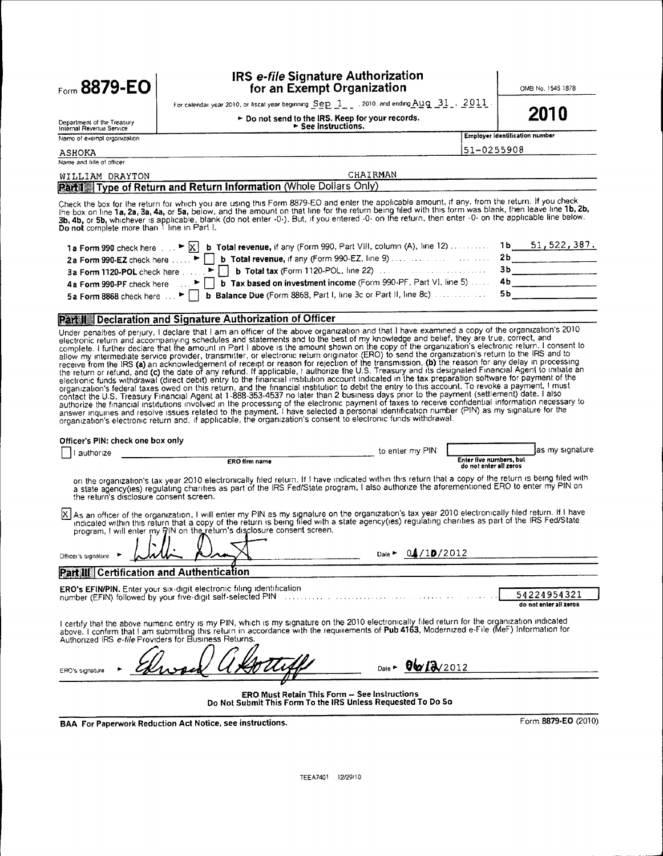**Eorm 8879-EO** 

#### IRS e-file Signature Authorization for an Exempt Organization

OMB No. 1545 1878

For calendar year 2010, or fiscal year beginning Sep 1, 3010, and ending Aug 31, 2011 ► Do not send to the IRS. Keep for your records.

See instructions.

2010

Department of the Treasury<br>Internal Revenue Service

Employer identification number

|  | 51-0255908 |  |  |  |  |
|--|------------|--|--|--|--|
|  |            |  |  |  |  |

Name of exernal organization **ASHOKA** 

Name and tille of officer

|  | $-$ | በ255. |  |  |
|--|-----|-------|--|--|
|  |     |       |  |  |

#### CHAIRMAN WILLIAM DRAYTON

### **Part1** Type of Return and Return Information (Whole Dollars Only)

Check the box for the return for which you are using this Form 8879-EO and enter the applicable amount, if any, from the return. If you check of the box for the return for which you are using this right over-LO and enter the applicable arbutum. In any, non-true return, the box on line for the return being filed with this form was blank, then leave line 1b, 2b, 3

| 1a Form 990 check here $\ldots$ > $\overline{X}$ b Total revenue, if any (Form 990, Part Vill, column (A), line 12)  1b 51, 522, 387. |  |
|---------------------------------------------------------------------------------------------------------------------------------------|--|
|                                                                                                                                       |  |
|                                                                                                                                       |  |
| 4a Form 990-PF check here $\blacktriangleright$   b Tax based on investment income (Form 990-PF, Part VI, line 5)  4b                 |  |
|                                                                                                                                       |  |

#### Part II Declaration and Signature Authorization of Officer

**Practicular Deciaration and Signalitie Authorization of Uniter**<br>
Under practities of perjuny, I declare that I am an officient of the above organization and that I have examined a copy of the organization's 2010<br>
electro

| Officer's PIN: check one box only                                                                                                                                                                                                                                                                                                                                                  |                         |                                                   |  |  |  |  |  |
|------------------------------------------------------------------------------------------------------------------------------------------------------------------------------------------------------------------------------------------------------------------------------------------------------------------------------------------------------------------------------------|-------------------------|---------------------------------------------------|--|--|--|--|--|
| authorize                                                                                                                                                                                                                                                                                                                                                                          | to enter my PIN         | las my signature                                  |  |  |  |  |  |
| ERO firm name                                                                                                                                                                                                                                                                                                                                                                      |                         | Enter five numbers, but<br>do not enter all zeros |  |  |  |  |  |
| on the organization's tax year 2010 electronically filed return. If I have indicated within this return that a copy of the return is being filed with<br>a state agency(ies) regulating charities as part of the IRS Fed/State program, I also authorize the aforementioned ERO to enter my PIN on<br>the return's disclosure consent screen.                                      |                         |                                                   |  |  |  |  |  |
| X As an officer of the organization, I will enter my PIN as my signature on the organization's tax year 2010 electronically filed return. If I have<br>indicated within this return that a copy of the return is being filed with a state agency(ies) regulating charities as part of the IRS Fed/State<br>program, I will enter my RIN on the return's disclosure consent screen. |                         |                                                   |  |  |  |  |  |
| Officer's signature                                                                                                                                                                                                                                                                                                                                                                | Dale $\sim 0.4/10/2012$ |                                                   |  |  |  |  |  |
| Part III Certification and Authentication                                                                                                                                                                                                                                                                                                                                          |                         |                                                   |  |  |  |  |  |
| ERO's EFIN/PIN. Enter your six-digit electronic filing identification<br>number (EFIN) followed by your five-digit self-selected PIN<br>distribution de la compagnie de la compagnie                                                                                                                                                                                               |                         | 54224954321<br>do not enter all zeros             |  |  |  |  |  |
| I certify that the above numeric entry is my PIN, which is my signature on the 2010 electronically filed return for the organization indicated<br>above. I confirm that I am submitting this return in accordance with the requirements of Pub 4163, Modernized e-File (MeF) Information for<br>Authorized IRS e-file Providers for Business Returns.                              |                         |                                                   |  |  |  |  |  |
| ERO's signature                                                                                                                                                                                                                                                                                                                                                                    | Date - 06/2012          |                                                   |  |  |  |  |  |
| <b>ERO Must Retain This Form - See Instructions</b><br>Do Not Submit This Form To the IRS Unless Requested To Do So                                                                                                                                                                                                                                                                |                         |                                                   |  |  |  |  |  |

**BAA For Paperwork Reduction Act Notice, see instructions.** 

Form 8879-EO (2010)

TEEA7401 12/29/10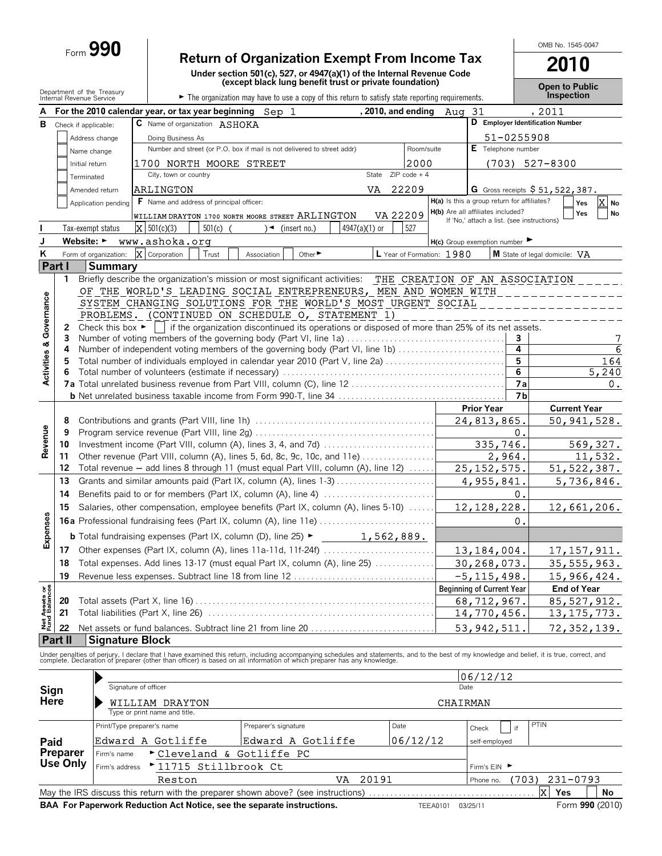# Form **990 Return of Organization Exempt From Income Tax**

**Under section 501(c), 527, or 4947(a)(1) of the Internal Revenue Code (except black lung benefit trust or private foundation)**

**Open to Public**

OMB No. 1545-0047

**2010**

|                                |         | Department of the Treasury<br>Internal Revenue Service                             | The organization may have to use a copy of this return to satisfy state reporting requirements.                                                                                                                                   |                |                           |                                             |                | Open to Public<br>Inspection                     |  |  |
|--------------------------------|---------|------------------------------------------------------------------------------------|-----------------------------------------------------------------------------------------------------------------------------------------------------------------------------------------------------------------------------------|----------------|---------------------------|---------------------------------------------|----------------|--------------------------------------------------|--|--|
|                                |         |                                                                                    | For the 2010 calendar year, or tax year beginning Sep 1                                                                                                                                                                           |                | , 2010, and ending Aug    | -31                                         |                | , 2011                                           |  |  |
| в                              |         | Check if applicable:                                                               | C Name of organization ASHOKA                                                                                                                                                                                                     |                |                           |                                             |                | D Employer Identification Number                 |  |  |
|                                |         | Address change                                                                     | Doing Business As                                                                                                                                                                                                                 |                |                           |                                             | 51-0255908     |                                                  |  |  |
|                                |         | Name change                                                                        | Number and street (or P.O. box if mail is not delivered to street addr)                                                                                                                                                           |                | Room/suite                | E Telephone number                          |                |                                                  |  |  |
|                                |         | Initial return                                                                     | 1700 NORTH MOORE STREET                                                                                                                                                                                                           | 2000           |                           |                                             |                | $(703)$ 527-8300                                 |  |  |
|                                |         | Terminated                                                                         | City, town or country<br>State                                                                                                                                                                                                    | $ZIP code + 4$ |                           |                                             |                |                                                  |  |  |
|                                |         | Amended return                                                                     | VA.<br><b>ARLINGTON</b>                                                                                                                                                                                                           | 22209          |                           |                                             |                | G Gross receipts \$51,522,387.                   |  |  |
|                                |         | Application pending                                                                | <b>F</b> Name and address of principal officer:                                                                                                                                                                                   |                |                           | H(a) Is this a group return for affiliates? |                | X No<br>Yes                                      |  |  |
|                                |         |                                                                                    | WILLIAM DRAYTON 1700 NORTH MOORE STREET ARLINGTON                                                                                                                                                                                 | VA 22209       |                           | H(b) Are all affiliates included?           |                | Yes<br>No                                        |  |  |
|                                |         | Tax-exempt status                                                                  | X   501(c)(3)<br>$501(c)$ (<br>4947(a)(1) or<br>$\rightarrow$ (insert no.)                                                                                                                                                        | 527            |                           | If 'No,' attach a list. (see instructions)  |                |                                                  |  |  |
| J                              |         |                                                                                    | Website: ► www.ashoka.org                                                                                                                                                                                                         |                |                           | $H(c)$ Group exemption number               |                |                                                  |  |  |
| ĸ                              |         | Form of organization:                                                              | X Corporation<br>Trust<br>Other ►<br>Association                                                                                                                                                                                  |                | L Year of Formation: 1980 |                                             |                | $\vert$ M State of legal domicile: $\mathrm{VA}$ |  |  |
|                                | Part I  | <b>Summary</b>                                                                     |                                                                                                                                                                                                                                   |                |                           |                                             |                |                                                  |  |  |
|                                | 1       |                                                                                    | Briefly describe the organization's mission or most significant activities: THE CREATION OF AN ASSOCIATION                                                                                                                        |                |                           |                                             |                |                                                  |  |  |
|                                |         |                                                                                    | OF THE WORLD'S LEADING SOCIAL ENTREPRENEURS, MEN AND WOMEN WITH                                                                                                                                                                   |                |                           |                                             |                |                                                  |  |  |
|                                |         |                                                                                    | SYSTEM CHANGING SOLUTIONS FOR THE WORLD'S MOST URGENT SOCIAL                                                                                                                                                                      |                |                           |                                             |                |                                                  |  |  |
|                                |         |                                                                                    | PROBLEMS. (CONTINUED ON SCHEDULE O, STATEMENT 1)                                                                                                                                                                                  |                |                           |                                             |                |                                                  |  |  |
|                                | 2       |                                                                                    | Check this box $\blacktriangleright$   if the organization discontinued its operations or disposed of more than 25% of its net assets.                                                                                            |                |                           |                                             |                |                                                  |  |  |
|                                | 3       |                                                                                    | Number of voting members of the governing body (Part VI, line 1a)                                                                                                                                                                 |                |                           |                                             | 3              | 7                                                |  |  |
|                                | 4       |                                                                                    | Number of independent voting members of the governing body (Part VI, line 1b)                                                                                                                                                     |                |                           |                                             | 4              | 6                                                |  |  |
|                                | 5       |                                                                                    | Total number of individuals employed in calendar year 2010 (Part V, line 2a)                                                                                                                                                      |                |                           |                                             | 5              | 164                                              |  |  |
| Activities & Governance        |         | 6                                                                                  |                                                                                                                                                                                                                                   |                |                           |                                             | 6              | 5,240                                            |  |  |
|                                |         |                                                                                    |                                                                                                                                                                                                                                   |                |                           |                                             | 7a             | 0.                                               |  |  |
|                                |         |                                                                                    |                                                                                                                                                                                                                                   |                |                           |                                             | 7 <sub>b</sub> |                                                  |  |  |
|                                |         |                                                                                    |                                                                                                                                                                                                                                   |                |                           | <b>Prior Year</b>                           |                | <b>Current Year</b>                              |  |  |
|                                | 8<br>9  |                                                                                    |                                                                                                                                                                                                                                   |                |                           | 24,813,865                                  |                | 50, 941, 528.                                    |  |  |
|                                |         |                                                                                    |                                                                                                                                                                                                                                   |                |                           | 335,746.                                    | Ο.             | 569,327.                                         |  |  |
| Revenue                        | 11      | 10<br>Other revenue (Part VIII, column (A), lines 5, 6d, 8c, 9c, 10c, and 11e)     |                                                                                                                                                                                                                                   |                |                           | 2,964.                                      |                | 11,532.                                          |  |  |
|                                | 12      | Total revenue - add lines 8 through 11 (must equal Part VIII, column (A), line 12) |                                                                                                                                                                                                                                   |                |                           | 25, 152, 575.                               |                | 51, 522, 387.                                    |  |  |
|                                | 13      |                                                                                    | Grants and similar amounts paid (Part IX, column (A), lines 1-3)                                                                                                                                                                  |                |                           | 4,955,841                                   |                | 5,736,846.                                       |  |  |
|                                | 14      |                                                                                    | Benefits paid to or for members (Part IX, column (A), line 4)                                                                                                                                                                     |                |                           |                                             | 0.             |                                                  |  |  |
|                                | 15      |                                                                                    | Salaries, other compensation, employee benefits (Part IX, column (A), lines 5-10)                                                                                                                                                 |                |                           | 12, 128, 228.                               |                | 12,661,206.                                      |  |  |
|                                |         |                                                                                    | <b>16a</b> Professional fundraising fees (Part IX, column (A), line 11e)                                                                                                                                                          |                |                           |                                             | 0.             |                                                  |  |  |
| Expenses                       |         |                                                                                    |                                                                                                                                                                                                                                   |                |                           |                                             |                |                                                  |  |  |
|                                |         |                                                                                    | <b>b</b> Total fundraising expenses (Part IX, column (D), line 25) $\blacktriangleright$ 1, 562, 889.                                                                                                                             |                |                           |                                             |                |                                                  |  |  |
|                                |         |                                                                                    |                                                                                                                                                                                                                                   |                |                           | 13,184,004.                                 |                | 17, 157, 911.                                    |  |  |
|                                |         |                                                                                    | 18 Total expenses. Add lines 13-17 (must equal Part IX, column (A), line 25)                                                                                                                                                      |                |                           | 30,268,073.                                 |                | 35, 555, 963.                                    |  |  |
|                                | 19      |                                                                                    | Revenue less expenses. Subtract line 18 from line 12                                                                                                                                                                              |                |                           | $-5, 115, 498.$                             |                | 15,966,424.                                      |  |  |
| Net Assets or<br>Fund Balances |         |                                                                                    |                                                                                                                                                                                                                                   |                |                           | <b>Beginning of Current Year</b>            |                | <b>End of Year</b>                               |  |  |
|                                | 20      |                                                                                    |                                                                                                                                                                                                                                   |                |                           | 68,712,967.                                 |                | 85,527,912.                                      |  |  |
|                                | 21      |                                                                                    |                                                                                                                                                                                                                                   |                |                           | 14,770,456.                                 |                | 13, 175, 773.                                    |  |  |
|                                | 22      |                                                                                    |                                                                                                                                                                                                                                   |                |                           | 53, 942, 511                                |                | 72, 352, 139.                                    |  |  |
|                                | Part II | <b>Signature Block</b>                                                             |                                                                                                                                                                                                                                   |                |                           |                                             |                |                                                  |  |  |
|                                |         |                                                                                    | Under penalties of perjury, I declare that I have examined this return, including accompanying schedules and statements, and to the best of my knowledge and belief, it is true, correct, and<br>complete. Declaration of prepare |                |                           |                                             |                |                                                  |  |  |
|                                |         |                                                                                    |                                                                                                                                                                                                                                   |                |                           | 06/12/12                                    |                |                                                  |  |  |
| Sign                           |         |                                                                                    | Signature of officer                                                                                                                                                                                                              |                | Date                      |                                             |                |                                                  |  |  |
| Here                           |         |                                                                                    | WILLIAM DRAYTON                                                                                                                                                                                                                   |                | CHAIRMAN                  |                                             |                |                                                  |  |  |
|                                |         |                                                                                    | Type or print name and title.                                                                                                                                                                                                     |                |                           |                                             |                |                                                  |  |  |

|                                                                                                                          | Print/Type preparer's name                              | Preparer's signature | Date     | PTIN<br>Check<br>if            |  |  |  |
|--------------------------------------------------------------------------------------------------------------------------|---------------------------------------------------------|----------------------|----------|--------------------------------|--|--|--|
| Paid                                                                                                                     | Edward A Gotliffe                                       | Edward A Gotliffe    | 06/12/12 | self-employed                  |  |  |  |
| Preparer                                                                                                                 | $\triangleright$ Cleveland & Gotliffe PC<br>Firm's name |                      |          |                                |  |  |  |
| Use Only                                                                                                                 | Firm's address<br>▶ 11715 Stillbrook Ct                 | Firm's EIN ▶         |          |                                |  |  |  |
|                                                                                                                          | Reston                                                  | VA 20191             |          | 231-0793<br>(703)<br>Phone no. |  |  |  |
| lx.<br>No<br>May the IRS discuss this return with the preparer shown above? (see instructions)<br>Yes                    |                                                         |                      |          |                                |  |  |  |
| BAA For Paperwork Reduction Act Notice, see the separate instructions.<br>Form 990 (2010)<br>03/25/11<br><b>TEEA0101</b> |                                                         |                      |          |                                |  |  |  |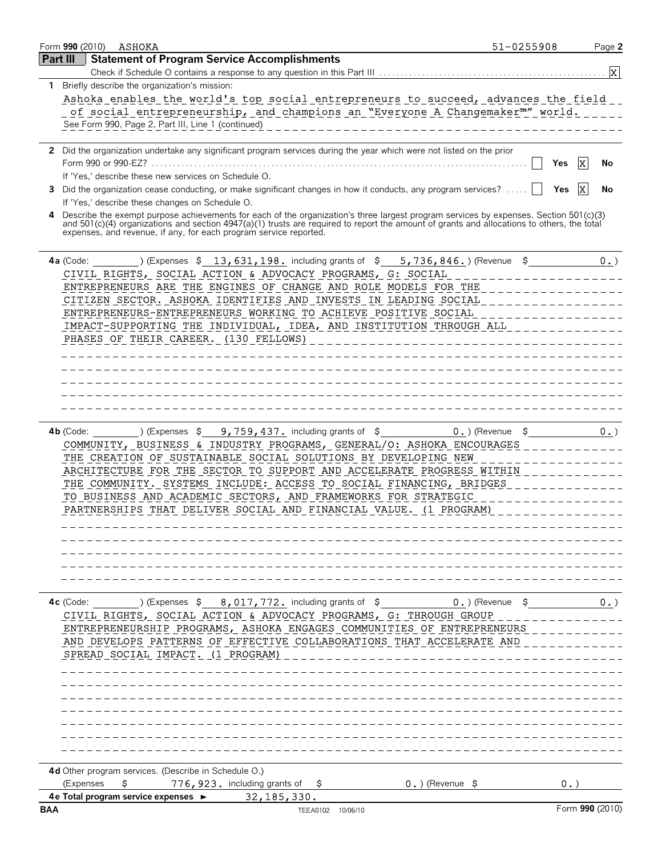|          | Form 990 (2010)<br>ASHOKA                                                                                                                                                                                       | 51-0255908                    |                 | Page 2          |
|----------|-----------------------------------------------------------------------------------------------------------------------------------------------------------------------------------------------------------------|-------------------------------|-----------------|-----------------|
| Part III | <b>Statement of Program Service Accomplishments</b>                                                                                                                                                             |                               |                 |                 |
|          |                                                                                                                                                                                                                 |                               |                 | $\vert x \vert$ |
|          | 1 Briefly describe the organization's mission:                                                                                                                                                                  |                               |                 |                 |
|          | Ashoka enables the world's top social entrepreneurs to succeed, advances the field                                                                                                                              |                               |                 |                 |
|          | of social entrepreneurship, and champions an "Everyone A Changemaker"" world.                                                                                                                                   |                               |                 |                 |
|          | See Form 990, Page 2, Part III, Line 1 (continued)                                                                                                                                                              |                               |                 |                 |
|          | 2 Did the organization undertake any significant program services during the year which were not listed on the prior                                                                                            |                               |                 |                 |
|          |                                                                                                                                                                                                                 |                               | Ix.<br>Yes      | No              |
|          | If 'Yes,' describe these new services on Schedule O.                                                                                                                                                            |                               |                 |                 |
|          | 3 Did the organization cease conducting, or make significant changes in how it conducts, any program services?                                                                                                  |                               | IX.<br>Yes      | No              |
|          | If 'Yes,' describe these changes on Schedule O.                                                                                                                                                                 |                               |                 |                 |
| 4        | Describe the exempt purpose achievements for each of the organization's three largest program services by expenses. Section 501(c)(3)                                                                           |                               |                 |                 |
|          | and 501(c)(4) organizations and section 4947(a)(1) trusts are required to report the amount of grants and allocations to others, the total<br>expenses, and revenue, if any, for each program service reported. |                               |                 |                 |
|          |                                                                                                                                                                                                                 |                               |                 |                 |
|          | $4a$ (Code:                                                                                                                                                                                                     |                               |                 | 0.              |
|          | CIVIL RIGHTS, SOCIAL ACTION & ADVOCACY PROGRAMS, G: SOCIAL                                                                                                                                                      |                               |                 |                 |
|          | ENTREPRENEURS ARE THE ENGINES OF CHANGE AND ROLE MODELS FOR THE                                                                                                                                                 |                               |                 |                 |
|          | CITIZEN SECTOR. ASHOKA IDENTIFIES AND INVESTS IN LEADING SOCIAL                                                                                                                                                 |                               |                 |                 |
|          | ENTREPRENEURS-ENTREPRENEURS WORKING TO ACHIEVE POSITIVE SOCIAL                                                                                                                                                  |                               |                 |                 |
|          | IMPACT-SUPPORTING THE INDIVIDUAL, IDEA, AND INSTITUTION THROUGH ALL                                                                                                                                             |                               |                 |                 |
|          | PHASES OF THEIR CAREER. (130 FELLOWS)                                                                                                                                                                           |                               |                 |                 |
|          |                                                                                                                                                                                                                 |                               |                 |                 |
|          |                                                                                                                                                                                                                 |                               |                 |                 |
|          |                                                                                                                                                                                                                 |                               |                 |                 |
|          |                                                                                                                                                                                                                 |                               |                 |                 |
|          |                                                                                                                                                                                                                 |                               |                 |                 |
|          | ) (Expenses $\frac{1}{2}$ 9,759,437. including grants of $\frac{1}{2}$<br>$4b$ (Code:                                                                                                                           | $0.$ ) (Revenue $\frac{1}{2}$ |                 | 0.              |
|          | COMMUNITY, BUSINESS & INDUSTRY PROGRAMS, GENERAL/O: ASHOKA ENCOURAGES                                                                                                                                           |                               |                 |                 |
|          | THE CREATION OF SUSTAINABLE SOCIAL SOLUTIONS BY DEVELOPING NEW                                                                                                                                                  |                               |                 |                 |
|          | ARCHITECTURE FOR THE SECTOR TO SUPPORT AND ACCELERATE PROGRESS WITHIN                                                                                                                                           |                               |                 |                 |
|          | THE COMMUNITY. SYSTEMS INCLUDE: ACCESS TO SOCIAL FINANCING, BRIDGES                                                                                                                                             |                               |                 |                 |
|          | TO BUSINESS AND ACADEMIC SECTORS, AND FRAMEWORKS FOR STRATEGIC                                                                                                                                                  |                               |                 |                 |
|          | PARTNERSHIPS THAT DELIVER SOCIAL AND FINANCIAL VALUE. (1 PROGRAM)                                                                                                                                               |                               |                 |                 |
|          |                                                                                                                                                                                                                 |                               |                 |                 |
|          |                                                                                                                                                                                                                 |                               |                 |                 |
|          |                                                                                                                                                                                                                 |                               |                 |                 |
|          |                                                                                                                                                                                                                 |                               |                 |                 |
|          |                                                                                                                                                                                                                 |                               |                 |                 |
|          | ) (Expenses $\ $$ 8, 017, 772. including grants of $\$$ 0.) (Revenue $\$$<br>$4c$ (Code:                                                                                                                        |                               |                 | 0.              |
|          | CIVIL RIGHTS, SOCIAL ACTION & ADVOCACY PROGRAMS, G: THROUGH GROUP                                                                                                                                               |                               |                 |                 |
|          | ENTREPRENEURSHIP PROGRAMS, ASHOKA ENGAGES COMMUNITIES OF ENTREPRENEURS                                                                                                                                          |                               |                 |                 |
|          | AND DEVELOPS PATTERNS OF EFFECTIVE COLLABORATIONS THAT ACCELERATE AND                                                                                                                                           |                               |                 |                 |
|          | SPREAD SOCIAL IMPACT. (1 PROGRAM)                                                                                                                                                                               |                               |                 |                 |
|          |                                                                                                                                                                                                                 |                               |                 |                 |
|          |                                                                                                                                                                                                                 |                               |                 |                 |
|          |                                                                                                                                                                                                                 |                               |                 |                 |
|          |                                                                                                                                                                                                                 |                               |                 |                 |
|          |                                                                                                                                                                                                                 |                               |                 |                 |
|          |                                                                                                                                                                                                                 |                               |                 |                 |
|          |                                                                                                                                                                                                                 |                               |                 |                 |
|          | 4d Other program services. (Describe in Schedule O.)                                                                                                                                                            |                               |                 |                 |
|          | \$<br>$0.$ ) (Revenue \$<br>(Expenses<br>776, 923. including grants of $\frac{1}{2}$                                                                                                                            |                               | 0.              |                 |
| BAA      | 4 e Total program service expenses ►<br>32, 185, 330.<br>TEEA0102 10/06/10                                                                                                                                      |                               | Form 990 (2010) |                 |
|          |                                                                                                                                                                                                                 |                               |                 |                 |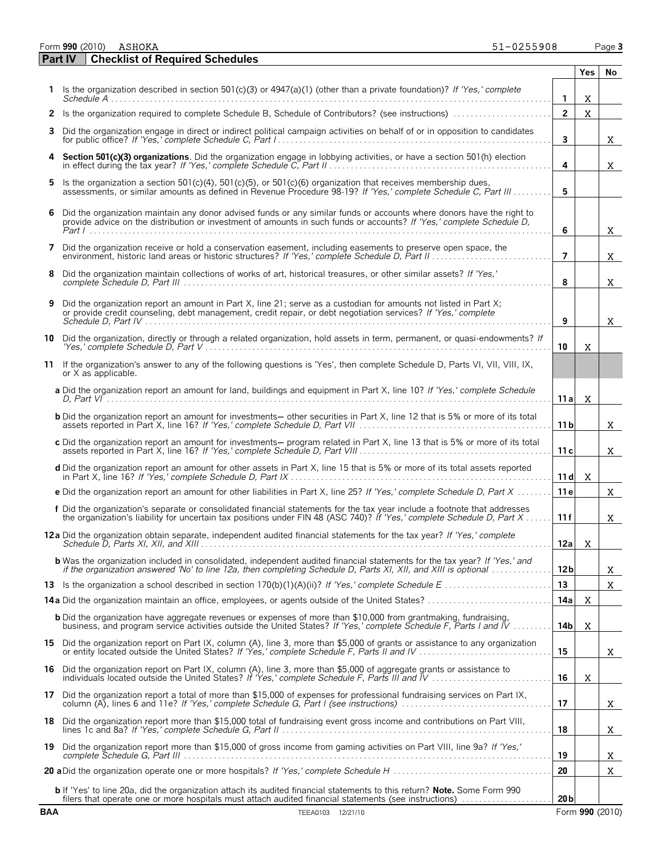Form **990** (2010) Page **3**

**Part IV Checklist of Required Schedules**

|     |                                                                                                                                                                                                                                                     |                 | Yes I        | No |
|-----|-----------------------------------------------------------------------------------------------------------------------------------------------------------------------------------------------------------------------------------------------------|-----------------|--------------|----|
|     | Is the organization described in section 501(c)(3) or $4947(a)(1)$ (other than a private foundation)? If 'Yes,' complete                                                                                                                            | $\mathbf{1}$    | X            |    |
|     | 2 Is the organization required to complete Schedule B, Schedule of Contributors? (see instructions)                                                                                                                                                 | $\overline{2}$  | $\mathbf{x}$ |    |
| 3   | Did the organization engage in direct or indirect political campaign activities on behalf of or in opposition to candidates                                                                                                                         | 3               |              | X. |
|     | 4 Section 501(c)(3) organizations. Did the organization engage in lobbying activities, or have a section 501(h) election<br>in effect during the tax year? If 'Yes,' complete Schedule C, Part II.                                                  | 4               |              | X. |
| 5   | Is the organization a section 501(c)(4), 501(c)(5), or 501(c)(6) organization that receives membership dues,<br>assessments, or similar amounts as defined in Revenue Procedure 98-19? If 'Yes,' complete Schedule C, Part III                      | 5               |              |    |
| 6   | Did the organization maintain any donor advised funds or any similar funds or accounts where donors have the right to<br>provide advice on the distribution or investment of amounts in such funds or accounts? If 'Yes,' complete Schedule D.      | 6               |              | X  |
| 7   | Did the organization receive or hold a conservation easement, including easements to preserve open space, the                                                                                                                                       | $\overline{7}$  |              | x. |
| 8   | Did the organization maintain collections of works of art, historical treasures, or other similar assets? If 'Yes,'                                                                                                                                 | 8               |              | X. |
| 9   | Did the organization report an amount in Part X, line 21; serve as a custodian for amounts not listed in Part X;<br>or provide credit counseling, debt management, credit repair, or debt negotiation services? If 'Yes,' complete                  | 9               |              | X. |
| 10  | Did the organization, directly or through a related organization, hold assets in term, permanent, or quasi-endowments? If                                                                                                                           | 10              | x            |    |
| 11  | If the organization's answer to any of the following questions is 'Yes', then complete Schedule D, Parts VI, VII, VIII, IX,<br>or X as applicable.                                                                                                  |                 |              |    |
|     | a Did the organization report an amount for land, buildings and equipment in Part X, line 10? If 'Yes,' complete Schedule                                                                                                                           | 11 a l          | X            |    |
|     | <b>b</b> Did the organization report an amount for investments- other securities in Part X, line 12 that is 5% or more of its total                                                                                                                 | 11 <sub>b</sub> |              | X  |
|     | c Did the organization report an amount for investments- program related in Part X, line 13 that is 5% or more of its total                                                                                                                         | 11c             |              | X. |
|     | d Did the organization report an amount for other assets in Part X, line 15 that is 5% or more of its total assets reported                                                                                                                         | 11d             | $\mathbf{x}$ |    |
|     | e Did the organization report an amount for other liabilities in Part X, line 25? If 'Yes,' complete Schedule D, Part X                                                                                                                             | 11e             |              | X  |
|     | f Did the organization's separate or consolidated financial statements for the tax year include a footnote that addresses<br>the organization's liability for uncertain tax positions under FIN 48 (ASC 740)? If 'Yes,' complete Schedule D, Part X | 11f             |              | X  |
|     | 12a Did the organization obtain separate, independent audited financial statements for the tax year? If 'Yes,' complete                                                                                                                             | 12a             | X            |    |
|     | <b>b</b> Was the organization included in consolidated, independent audited financial statements for the tax year? If 'Yes,' and<br>if the organization answered 'No' to line 12a, then completing Schedule D, Parts XI, XII, and XIII is optional  | 12 <sub>b</sub> |              | X. |
|     |                                                                                                                                                                                                                                                     | 13<br>14a       | X            | X. |
|     | <b>b</b> Did the organization have aggregate revenues or expenses of more than \$10,000 from grantmaking, fundraising,                                                                                                                              | 14b             | X            |    |
|     | business, and program service activities outside the United States? If 'Yes,' complete Schedule F, Parts I and IV<br>15 Did the organization report on Part IX, column (A), line 3, more than \$5,000 of grants or assistance to any organization   | 15              |              | X. |
| 16  | Did the organization report on Part IX, column (A), line 3, more than \$5,000 of aggregate grants or assistance to                                                                                                                                  | 16              | X            |    |
| 17  | Did the organization report a total of more than \$15,000 of expenses for professional fundraising services on Part IX,                                                                                                                             | 17              |              | X. |
| 18  | Did the organization report more than \$15,000 total of fundraising event gross income and contributions on Part VIII,                                                                                                                              | 18              |              | x. |
| 19. | Did the organization report more than \$15,000 of gross income from gaming activities on Part VIII, line 9a? If 'Yes,'                                                                                                                              | 19              |              | X  |
|     |                                                                                                                                                                                                                                                     | 20              |              | X  |
|     | <b>b</b> If 'Yes' to line 20a, did the organization attach its audited financial statements to this return? Note. Some Form 990<br>filers that operate one or more hospitals must attach audited financial statements (see instructions)            | 20 <sub>b</sub> |              |    |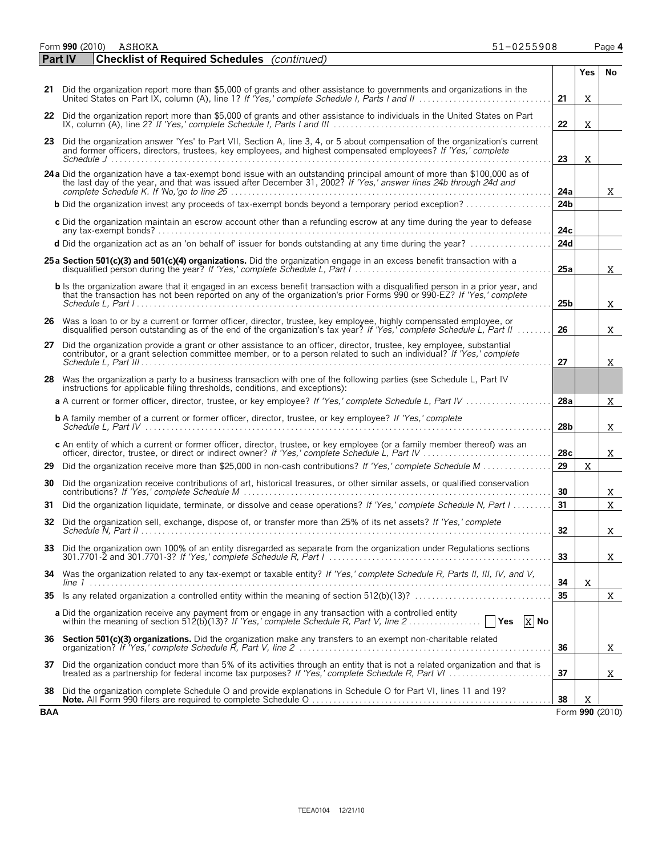|    | 51-0255908<br>Form 990 (2010)<br>ASHOKA                                                                                                                                                                                                               |                 |            | Page 4      |
|----|-------------------------------------------------------------------------------------------------------------------------------------------------------------------------------------------------------------------------------------------------------|-----------------|------------|-------------|
|    | <b>Checklist of Required Schedules</b> (continued)<br><b>Part IV</b>                                                                                                                                                                                  |                 |            |             |
|    |                                                                                                                                                                                                                                                       |                 | <b>Yes</b> | No          |
| 21 | Did the organization report more than \$5,000 of grants and other assistance to governments and organizations in the                                                                                                                                  | 21              | X          |             |
| 22 | Did the organization report more than \$5,000 of grants and other assistance to individuals in the United States on Part                                                                                                                              | 22              | X          |             |
| 23 | Did the organization answer 'Yes' to Part VII, Section A, line 3, 4, or 5 about compensation of the organization's current<br>and former officers, directors, trustees, key employees, and highest compensated employees? If 'Yes,' complete          | 23              | X          |             |
|    | 24 a Did the organization have a tax-exempt bond issue with an outstanding principal amount of more than \$100,000 as of<br>the last day of the year, and that was issued after December 31, 2002? If 'Yes,' answer lines 24b through 24d and         | 24a             |            | X.          |
|    | <b>b</b> Did the organization invest any proceeds of tax-exempt bonds beyond a temporary period exception?                                                                                                                                            | 24 <sub>b</sub> |            |             |
|    | c Did the organization maintain an escrow account other than a refunding escrow at any time during the year to defease                                                                                                                                | 24c             |            |             |
|    | d Did the organization act as an 'on behalf of' issuer for bonds outstanding at any time during the year?                                                                                                                                             | 24d             |            |             |
|    | 25 a Section 501(c)(3) and 501(c)(4) organizations. Did the organization engage in an excess benefit transaction with a                                                                                                                               | 25a             |            | X.          |
|    | b Is the organization aware that it engaged in an excess benefit transaction with a disqualified person in a prior year, and<br>that the transaction has not been reported on any of the organization's prior Forms 990 or 990-EZ? If 'Yes,' complete | 25 <sub>b</sub> |            | X.          |
|    | 26 Was a loan to or by a current or former officer, director, trustee, key employee, highly compensated employee, or<br>disqualified person outstanding as of the end of the organization's tax year? If 'Yes,' complete Schedule L, Part II          | 26              |            | X.          |
| 27 | Did the organization provide a grant or other assistance to an officer, director, trustee, key employee, substantial<br>contributor, or a grant selection committee member, or to a person related to such an individual? If 'Yes,' complete          | 27              |            | X.          |
| 28 | Was the organization a party to a business transaction with one of the following parties (see Schedule L, Part IV                                                                                                                                     |                 |            |             |
|    | instructions for applicable filing thresholds, conditions, and exceptions):<br>a A current or former officer, director, trustee, or key employee? If 'Yes,' complete Schedule L, Part IV                                                              | 28a             |            | X.          |
|    | <b>b</b> A family member of a current or former officer, director, trustee, or key employee? If 'Yes,' complete                                                                                                                                       | 28b             |            | X.          |
|    | c An entity of which a current or former officer, director, trustee, or key employee (or a family member thereof) was an                                                                                                                              | 28c             |            | X.          |
| 29 | Did the organization receive more than \$25,000 in non-cash contributions? If 'Yes,' complete Schedule M                                                                                                                                              | 29              | X          |             |
| 30 | Did the organization receive contributions of art, historical treasures, or other similar assets, or qualified conservation                                                                                                                           | 30              |            | X.          |
| 31 | Did the organization liquidate, terminate, or dissolve and cease operations? If 'Yes,' complete Schedule N, Part I                                                                                                                                    | 31              |            | $\mathbf X$ |
|    | 32 Did the organization sell, exchange, dispose of, or transfer more than 25% of its net assets? If 'Yes,' complete                                                                                                                                   | 32              |            | X           |
| 33 | Did the organization own 100% of an entity disregarded as separate from the organization under Regulations sections                                                                                                                                   | 33              |            | X.          |
| 34 | Was the organization related to any tax-exempt or taxable entity? If 'Yes,' complete Schedule R, Parts II, III, IV, and V,                                                                                                                            | 34              | X          |             |
| 35 |                                                                                                                                                                                                                                                       | 35              |            | X.          |
|    | a Did the organization receive any payment from or engage in any transaction with a controlled entity<br>$X$ No                                                                                                                                       |                 |            |             |
| 36 | Section 501(c)(3) organizations. Did the organization make any transfers to an exempt non-charitable related                                                                                                                                          | 36              |            | X.          |
| 37 | Did the organization conduct more than 5% of its activities through an entity that is not a related organization and that is                                                                                                                          | 37              |            | X.          |
|    |                                                                                                                                                                                                                                                       |                 |            |             |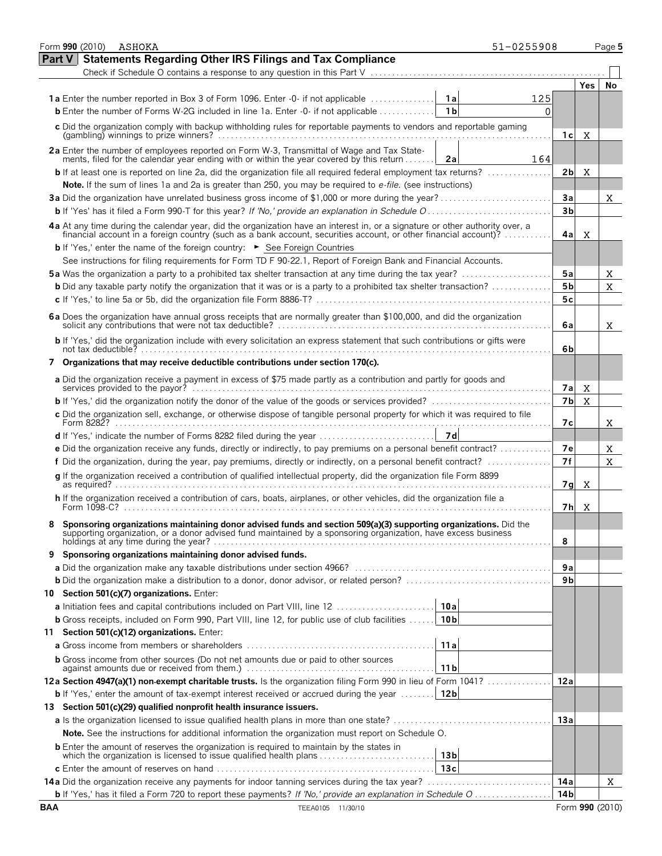|            | Form 990 (2010)<br>ASHOKA                                                                                                                                                        |                 | 51-0255908 |                 |      | Page 5          |
|------------|----------------------------------------------------------------------------------------------------------------------------------------------------------------------------------|-----------------|------------|-----------------|------|-----------------|
| Part V     | <b>Statements Regarding Other IRS Filings and Tax Compliance</b>                                                                                                                 |                 |            |                 |      |                 |
|            |                                                                                                                                                                                  |                 |            |                 |      |                 |
|            |                                                                                                                                                                                  |                 |            |                 | Yes. | No              |
|            | <b>1a</b> Enter the number reported in Box 3 of Form 1096. Enter -0- if not applicable                                                                                           | 1a              | 125        |                 |      |                 |
|            | <b>b</b> Enter the number of Forms W-2G included in line 1a. Enter $-0$ - if not applicable $\ldots$                                                                             | 1 <sub>b</sub>  | 0          |                 |      |                 |
|            | c Did the organization comply with backup withholding rules for reportable payments to vendors and reportable gaming                                                             |                 |            |                 |      |                 |
|            |                                                                                                                                                                                  |                 |            | 1 с             | x    |                 |
|            |                                                                                                                                                                                  |                 |            |                 |      |                 |
|            | 2a Enter the number of employees reported on Form W-3, Transmittal of Wage and Tax Statements, filed for the calendar year ending with or within the year covered by this return | 2a              | 164        |                 |      |                 |
|            | <b>b</b> If at least one is reported on line 2a, did the organization file all required federal employment tax returns?                                                          |                 |            | 2b              | X    |                 |
|            | Note. If the sum of lines 1a and 2a is greater than 250, you may be required to <i>e-file</i> . (see instructions)                                                               |                 |            |                 |      |                 |
|            |                                                                                                                                                                                  |                 |            | Зa              |      | X.              |
|            |                                                                                                                                                                                  |                 |            | 3 <sub>b</sub>  |      |                 |
|            | 4a At any time during the calendar year, did the organization have an interest in, or a signature or other authority over, a                                                     |                 |            |                 |      |                 |
|            | financial account in a foreign country (such as a bank account, securities account, or other financial account)?                                                                 |                 |            | 4al             | X    |                 |
|            | <b>b</b> If 'Yes,' enter the name of the foreign country: $\triangleright$ See Foreign Countries                                                                                 |                 |            |                 |      |                 |
|            | See instructions for filing requirements for Form TD F 90-22.1, Report of Foreign Bank and Financial Accounts.                                                                   |                 |            |                 |      |                 |
|            | <b>5a</b> Was the organization a party to a prohibited tax shelter transaction at any time during the tax year?                                                                  |                 |            | 5a              |      | X.              |
|            | <b>b</b> Did any taxable party notify the organization that it was or is a party to a prohibited tax shelter transaction?                                                        |                 |            | 5 <sub>b</sub>  |      | $\mathbf{X}$    |
|            |                                                                                                                                                                                  |                 |            | 5c              |      |                 |
|            | 6a Does the organization have annual gross receipts that are normally greater than \$100,000, and did the organization                                                           |                 |            |                 |      |                 |
|            |                                                                                                                                                                                  |                 |            | 6a              |      | X.              |
|            | b If 'Yes,' did the organization include with every solicitation an express statement that such contributions or gifts were                                                      |                 |            |                 |      |                 |
|            |                                                                                                                                                                                  |                 |            | 6b              |      |                 |
|            | Organizations that may receive deductible contributions under section 170(c).                                                                                                    |                 |            |                 |      |                 |
|            | a Did the organization receive a payment in excess of \$75 made partly as a contribution and partly for goods and                                                                |                 |            |                 |      |                 |
|            |                                                                                                                                                                                  |                 |            | 7a              | X    |                 |
|            |                                                                                                                                                                                  |                 |            | 7 <sub>b</sub>  | X    |                 |
|            | c Did the organization sell, exchange, or otherwise dispose of tangible personal property for which it was required to file                                                      |                 |            |                 |      |                 |
|            |                                                                                                                                                                                  |                 |            | 7с              |      | X.              |
|            |                                                                                                                                                                                  | 7 d             |            |                 |      |                 |
|            | e Did the organization receive any funds, directly or indirectly, to pay premiums on a personal benefit contract?                                                                |                 |            | 7e              |      | X.              |
|            | f Did the organization, during the year, pay premiums, directly or indirectly, on a personal benefit contract?                                                                   |                 |            | 7f              |      | $\mathbf{X}$    |
|            | g If the organization received a contribution of qualified intellectual property, did the organization file Form 8899                                                            |                 |            |                 |      |                 |
|            |                                                                                                                                                                                  |                 |            | 7 <sub>g</sub>  | X    |                 |
|            | h If the organization received a contribution of cars, boats, airplanes, or other vehicles, did the organization file a                                                          |                 |            |                 |      |                 |
|            |                                                                                                                                                                                  |                 |            | 7h              | X    |                 |
|            | Sponsoring organizations maintaining donor advised funds and section 509(a)(3) supporting organizations. Did the                                                                 |                 |            |                 |      |                 |
|            | supporting organization, or a donor advised fund maintained by a sponsoring organization, have excess business<br>holdings at any time during the year?                          |                 |            | 8               |      |                 |
| 9          | Sponsoring organizations maintaining donor advised funds.                                                                                                                        |                 |            |                 |      |                 |
|            |                                                                                                                                                                                  |                 |            | 9a              |      |                 |
|            |                                                                                                                                                                                  |                 |            | 9b              |      |                 |
|            | 10 Section 501(c)(7) organizations. Enter:                                                                                                                                       |                 |            |                 |      |                 |
|            | <b>a</b> Initiation fees and capital contributions included on Part VIII, line 12                                                                                                | 10a             |            |                 |      |                 |
|            |                                                                                                                                                                                  | 10 <sub>b</sub> |            |                 |      |                 |
|            | <b>b</b> Gross receipts, included on Form 990, Part VIII, line 12, for public use of club facilities                                                                             |                 |            |                 |      |                 |
| 11         | Section 501(c)(12) organizations. Enter:                                                                                                                                         |                 |            |                 |      |                 |
|            |                                                                                                                                                                                  | 11 a            |            |                 |      |                 |
|            | <b>b</b> Gross income from other sources (Do not net amounts due or paid to other sources                                                                                        | 11 <sub>b</sub> |            |                 |      |                 |
|            | 12a Section 4947(a)(1) non-exempt charitable trusts. Is the organization filing Form 990 in lieu of Form 1041?                                                                   |                 |            | 12a             |      |                 |
|            | <b>b</b> If 'Yes,' enter the amount of tax-exempt interest received or accrued during the year                                                                                   | 12 <sub>b</sub> |            |                 |      |                 |
|            | 13 Section 501(c)(29) qualified nonprofit health insurance issuers.                                                                                                              |                 |            |                 |      |                 |
|            |                                                                                                                                                                                  |                 |            | 13a             |      |                 |
|            | Note. See the instructions for additional information the organization must report on Schedule O.                                                                                |                 |            |                 |      |                 |
|            |                                                                                                                                                                                  |                 |            |                 |      |                 |
|            | <b>b</b> Enter the amount of reserves the organization is required to maintain by the states in<br>which the organization is licensed to issue qualified health plans            | 13 <sub>b</sub> |            |                 |      |                 |
|            |                                                                                                                                                                                  | 13c             |            |                 |      |                 |
|            |                                                                                                                                                                                  |                 |            | 14a             |      | X.              |
|            | <b>b</b> If 'Yes,' has it filed a Form 720 to report these payments? If 'No,' provide an explanation in Schedule O                                                               |                 |            | 14 <sub>b</sub> |      |                 |
| <b>BAA</b> | TEEA0105 11/30/10                                                                                                                                                                |                 |            |                 |      | Form 990 (2010) |
|            |                                                                                                                                                                                  |                 |            |                 |      |                 |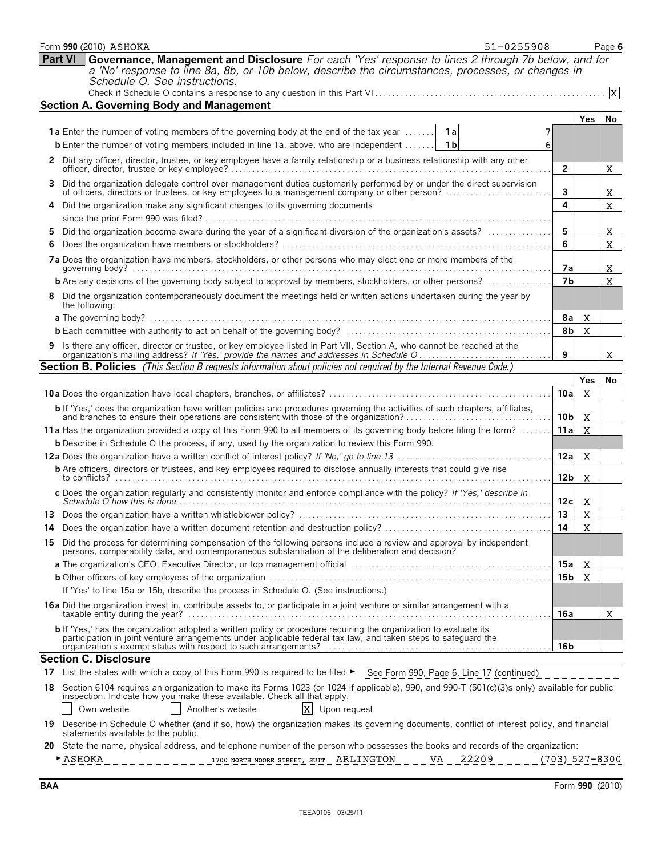|    | 51-0255908<br>Form 990 (2010) ASHOKA                                                                                                                                                                                                                        |                 |              | Page 6                  |
|----|-------------------------------------------------------------------------------------------------------------------------------------------------------------------------------------------------------------------------------------------------------------|-----------------|--------------|-------------------------|
|    | <b>Part VI</b><br>Governance, Management and Disclosure For each 'Yes' response to lines 2 through 7b below, and for<br>a 'No' response to line 8a, 8b, or 10b below, describe the circumstances, processes, or changes in<br>Schedule O. See instructions. |                 |              |                         |
|    |                                                                                                                                                                                                                                                             |                 |              | $\overline{\mathbf{x}}$ |
|    | <b>Section A. Governing Body and Management</b>                                                                                                                                                                                                             |                 |              |                         |
|    |                                                                                                                                                                                                                                                             |                 | <b>Yes</b>   | No                      |
|    | <b>1a</b> Enter the number of voting members of the governing body at the end of the tax year                                                                                                                                                               |                 |              |                         |
|    | <b>b</b> Enter the number of voting members included in line 1a, above, who are independent<br>1 <sub>b</sub><br>6                                                                                                                                          |                 |              |                         |
|    | 2 Did any officer, director, trustee, or key employee have a family relationship or a business relationship with any other<br>officer, director, trustee or key employee?                                                                                   | 2               |              | x                       |
| 3. | Did the organization delegate control over management duties customarily performed by or under the direct supervision<br>of officers, directors or trustees, or key employees to a management company or other person?                                      | 3               |              | X                       |
| 4  | Did the organization make any significant changes to its governing documents                                                                                                                                                                                | 4               |              | X                       |
|    |                                                                                                                                                                                                                                                             |                 |              |                         |
| 5  | Did the organization become aware during the year of a significant diversion of the organization's assets?                                                                                                                                                  | 5               |              | X                       |
| 6  |                                                                                                                                                                                                                                                             | 6               |              | $\mathbf x$             |
|    | 7a Does the organization have members, stockholders, or other persons who may elect one or more members of the                                                                                                                                              | 7a              |              | X                       |
|    | <b>b</b> Are any decisions of the governing body subject to approval by members, stockholders, or other persons?                                                                                                                                            | 7 <sub>b</sub>  |              | X                       |
|    | 8 Did the organization contemporaneously document the meetings held or written actions undertaken during the year by<br>the following:                                                                                                                      |                 |              |                         |
|    |                                                                                                                                                                                                                                                             | 8al             | X            |                         |
|    |                                                                                                                                                                                                                                                             | 8b              | $\mathbf X$  |                         |
| 9  | Is there any officer, director or trustee, or key employee listed in Part VII, Section A, who cannot be reached at the                                                                                                                                      | 9               |              | x                       |
|    | <b>Section B. Policies</b> (This Section B requests information about policies not required by the Internal Revenue Code.)                                                                                                                                  |                 |              |                         |
|    |                                                                                                                                                                                                                                                             |                 | Yes          | No                      |
|    |                                                                                                                                                                                                                                                             | 10a             | $\mathbf{x}$ |                         |
|    | b If 'Yes,' does the organization have written policies and procedures governing the activities of such chapters, affiliates, and branches to ensure their operations are consistent with those of the organization?                                        | 10 <sub>b</sub> | $\mathbf{x}$ |                         |
|    | 11 a Has the organization provided a copy of this Form 990 to all members of its governing body before filing the form?                                                                                                                                     | 11a             | $\mathbf{x}$ |                         |
|    | <b>b</b> Describe in Schedule O the process, if any, used by the organization to review this Form 990.                                                                                                                                                      |                 |              |                         |
|    |                                                                                                                                                                                                                                                             | 12a             | $\mathbf x$  |                         |
|    | <b>b</b> Are officers, directors or trustees, and key employees required to disclose annually interests that could give rise                                                                                                                                | 12 <sub>b</sub> | X            |                         |
|    | c Does the organization regularly and consistently monitor and enforce compliance with the policy? If 'Yes,' describe in                                                                                                                                    | 12c             | X            |                         |
|    |                                                                                                                                                                                                                                                             | 13              | $\mathbf X$  |                         |
|    |                                                                                                                                                                                                                                                             | 14              | X            |                         |
|    | 15 Did the process for determining compensation of the following persons include a review and approval by independent persons, comparability data, and contemporaneous substantiation of the deliberation and decision?                                     |                 |              |                         |
|    |                                                                                                                                                                                                                                                             | 15a             | x            |                         |
|    |                                                                                                                                                                                                                                                             | 15 bl           | X            |                         |
|    | If 'Yes' to line 15a or 15b, describe the process in Schedule O. (See instructions.)                                                                                                                                                                        |                 |              |                         |
|    | 16a Did the organization invest in, contribute assets to, or participate in a joint venture or similar arrangement with a                                                                                                                                   | 16a             |              | X.                      |
|    | <b>b</b> If 'Yes,' has the organization adopted a written policy or procedure requiring the organization to evaluate its<br>participation in joint venture arrangements under applicable federal tax law, and taken steps to safeguard the                  |                 |              |                         |
|    |                                                                                                                                                                                                                                                             | 16 <sub>b</sub> |              |                         |
|    | <b>Section C. Disclosure</b>                                                                                                                                                                                                                                |                 |              |                         |
|    | 17 List the states with which a copy of this Form 990 is required to be filed > See Form 990, Page 6, Line 17 (continued)                                                                                                                                   |                 |              |                         |
| 18 | Section 6104 requires an organization to make its Forms 1023 (or 1024 if applicable), 990, and 990-T (501(c)(3)s only) available for public<br>inspection. Indicate how you make these available. Check all that apply.                                     |                 |              |                         |
|    | Another's website<br>$ {\rm x} $<br>Own website<br>Upon request                                                                                                                                                                                             |                 |              |                         |
|    | 19 Describe in Schedule O whether (and if so, how) the organization makes its governing documents, conflict of interest policy, and financial<br>statements available to the public.                                                                        |                 |              |                         |
| 20 | State the name, physical address, and telephone number of the person who possesses the books and records of the organization:                                                                                                                               |                 |              |                         |

| . | SUIT<br>1700<br>NORTH MOORE<br>STREET | AR.<br>-NIC<br>. TON | VA | . | -- |
|---|---------------------------------------|----------------------|----|---|----|
|   |                                       |                      |    |   |    |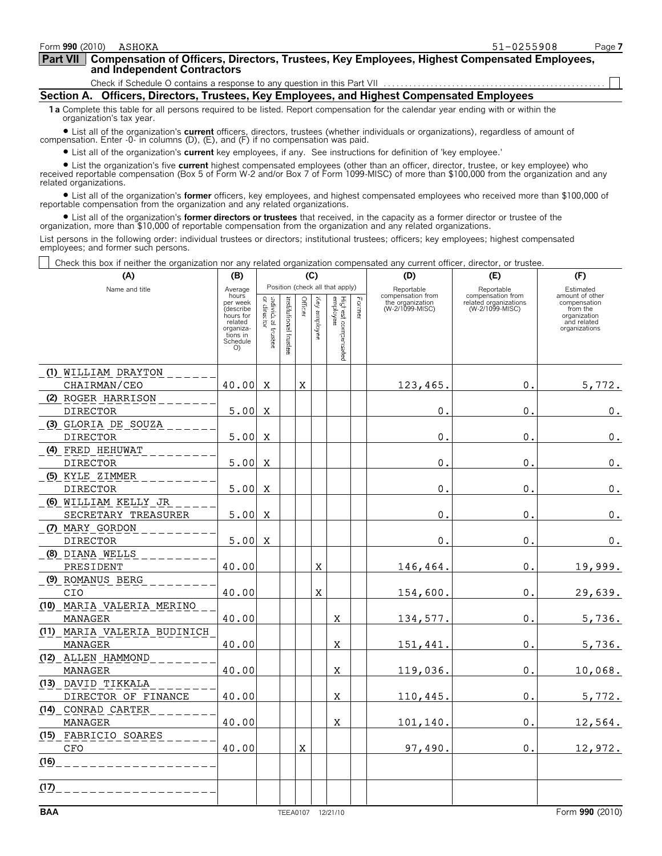**Compensation of Officers, Directors, Trustees, Key Employees, Highest Compensated Employees, and Independent Contractors Part VII**

Check if Schedule O contains a response to any question in this Part VII

**Section A. Officers, Directors, Trustees, Key Employees, and Highest Compensated Employees**

**1 a** Complete this table for all persons required to be listed. Report compensation for the calendar year ending with or within the organization's tax year.

● List all of the organization's **current** officers, directors, trustees (whether individuals or organizations), regardless of amount of<br>compensation. Enter -0- in columns (D), (E), and (F) if no compensation was paid.

? List all of the organization's **current** key employees, if any. See instructions for definition of 'key employee.'

List the organization's five current highest compensated employees (other than an officer, director, trustee, or key employee) who<br>The The The Sand/or Box 7 of Form 1099-MISC) of more than \$100,000 from the organization a related organizations.

? List all of the organization's **former** officers, key employees, and highest compensated employees who received more than \$100,000 of reportable compensation from the organization and any related organizations.

? List all of the organization's **former directors or trustees** that received, in the capacity as a former director or trustee of the organization, more than \$10,000 of reportable compensation from the organization and any related organizations.

List persons in the following order: individual trustees or directors; institutional trustees; officers; key employees; highest compensated employees; and former such persons.

Check this box if neither the organization nor any related organization compensated any current officer, director, or trustee.

| (A)                                    | (B)                                                                                               | (C)                                       |                         |             |              |                                          |        | (D)                                                      | (E)                                                           | (F)                                                                                         |  |  |
|----------------------------------------|---------------------------------------------------------------------------------------------------|-------------------------------------------|-------------------------|-------------|--------------|------------------------------------------|--------|----------------------------------------------------------|---------------------------------------------------------------|---------------------------------------------------------------------------------------------|--|--|
| Name and title                         | Position (check all that apply)<br>Average                                                        |                                           |                         |             |              |                                          |        | Reportable                                               | Reportable                                                    | Estimated                                                                                   |  |  |
|                                        | hours<br>per week<br>(describe<br>hours for<br>related<br>organiza-<br>tions in<br>Schedule<br>O) | adividual $\frac{1}{2}$<br><b>Ecustes</b> | institutional<br>tustee |             | Key amployee | Highest co.<br>Highest co.<br>esperanted | Former | compensation from<br>the organization<br>(W-2/1099-MISC) | compensation from<br>related organizations<br>(W-2/1099-MISC) | amount of other<br>compensation<br>from the<br>organization<br>and related<br>organizations |  |  |
| (1) WILLIAM DRAYTON                    |                                                                                                   |                                           |                         |             |              |                                          |        |                                                          |                                                               |                                                                                             |  |  |
| CHAIRMAN/CEO                           | 40.00                                                                                             | x                                         |                         | X           |              |                                          |        | 123,465.                                                 | 0.                                                            | 5,772.                                                                                      |  |  |
| (2) ROGER HARRISON                     |                                                                                                   |                                           |                         |             |              |                                          |        |                                                          |                                                               |                                                                                             |  |  |
| <b>DIRECTOR</b>                        | 5.00                                                                                              | X                                         |                         |             |              |                                          |        | О.                                                       | О.                                                            | 0.                                                                                          |  |  |
| (3) GLORIA DE SOUZA                    |                                                                                                   |                                           |                         |             |              |                                          |        |                                                          |                                                               |                                                                                             |  |  |
| <b>DIRECTOR</b>                        | 5.00                                                                                              | X                                         |                         |             |              |                                          |        | 0.                                                       | 0.                                                            | $\mathfrak o$ .                                                                             |  |  |
| (4) FRED HEHUWAT                       |                                                                                                   |                                           |                         |             |              |                                          |        |                                                          |                                                               |                                                                                             |  |  |
| <b>DIRECTOR</b>                        | 5.00                                                                                              | X                                         |                         |             |              |                                          |        | 0.                                                       | $\mathbf 0$ .                                                 | $\mathfrak o$ .                                                                             |  |  |
| (5) KYLE ZIMMER                        |                                                                                                   |                                           |                         |             |              |                                          |        |                                                          |                                                               |                                                                                             |  |  |
| <b>DIRECTOR</b>                        | 5.00                                                                                              | X                                         |                         |             |              |                                          |        | 0.                                                       | $\mathbf 0$ .                                                 | $\mathbf 0$ .                                                                               |  |  |
| (6) WILLIAM KELLY JR                   |                                                                                                   |                                           |                         |             |              |                                          |        |                                                          |                                                               |                                                                                             |  |  |
| SECRETARY TREASURER                    | 5.00                                                                                              | X                                         |                         |             |              |                                          |        | 0.                                                       | О.                                                            | 0.                                                                                          |  |  |
| (7) MARY GORDON                        |                                                                                                   |                                           |                         |             |              |                                          |        |                                                          |                                                               |                                                                                             |  |  |
| <b>DIRECTOR</b>                        | 5.00                                                                                              | $\mathbf{x}$                              |                         |             |              |                                          |        | 0.                                                       | $\mathbf 0$ .                                                 | 0.                                                                                          |  |  |
| (8) DIANA WELLS                        |                                                                                                   |                                           |                         |             |              |                                          |        |                                                          |                                                               |                                                                                             |  |  |
| PRESIDENT                              | 40.00                                                                                             |                                           |                         |             | X            |                                          |        | 146,464.                                                 | $\mathbf 0$ .                                                 | 19,999.                                                                                     |  |  |
| (9) ROMANUS BERG                       |                                                                                                   |                                           |                         |             |              |                                          |        |                                                          |                                                               |                                                                                             |  |  |
| CIO                                    | 40.00                                                                                             |                                           |                         |             | $\mathbf x$  |                                          |        | 154,600.                                                 | 0.                                                            | 29,639.                                                                                     |  |  |
| (10) MARIA VALERIA MERINO              |                                                                                                   |                                           |                         |             |              |                                          |        |                                                          |                                                               |                                                                                             |  |  |
| MANAGER                                | 40.00                                                                                             |                                           |                         |             |              | X                                        |        | 134,577.                                                 | О.                                                            | 5,736.                                                                                      |  |  |
| (11) MARIA VALERIA BUDINICH<br>MANAGER | 40.00                                                                                             |                                           |                         |             |              | X                                        |        | 151,441.                                                 | О.                                                            | 5,736.                                                                                      |  |  |
| (12) ALLEN HAMMOND                     |                                                                                                   |                                           |                         |             |              |                                          |        |                                                          |                                                               |                                                                                             |  |  |
| MANAGER                                | 40.00                                                                                             |                                           |                         |             |              | X                                        |        | 119,036.                                                 | 0.                                                            | 10,068.                                                                                     |  |  |
| (13) DAVID TIKKALA                     |                                                                                                   |                                           |                         |             |              |                                          |        |                                                          |                                                               |                                                                                             |  |  |
| DIRECTOR OF FINANCE                    | 40.00                                                                                             |                                           |                         |             |              | x                                        |        | 110,445.                                                 | О.                                                            | 5,772.                                                                                      |  |  |
| (14) CONRAD CARTER                     |                                                                                                   |                                           |                         |             |              |                                          |        |                                                          |                                                               |                                                                                             |  |  |
| MANAGER                                | 40.00                                                                                             |                                           |                         |             |              | x                                        |        | 101,140.                                                 | 0.                                                            | 12,564.                                                                                     |  |  |
| (15) FABRICIO SOARES                   |                                                                                                   |                                           |                         |             |              |                                          |        |                                                          |                                                               |                                                                                             |  |  |
| CFO                                    | 40.00                                                                                             |                                           |                         | $\mathbf X$ |              |                                          |        | 97,490.                                                  | 0.                                                            | 12,972.                                                                                     |  |  |
| (16)                                   |                                                                                                   |                                           |                         |             |              |                                          |        |                                                          |                                                               |                                                                                             |  |  |
| (17)                                   |                                                                                                   |                                           |                         |             |              |                                          |        |                                                          |                                                               |                                                                                             |  |  |
| <b>BAA</b>                             |                                                                                                   |                                           |                         |             |              | TEEA0107 12/21/10                        |        |                                                          |                                                               | Form 990 (2010)                                                                             |  |  |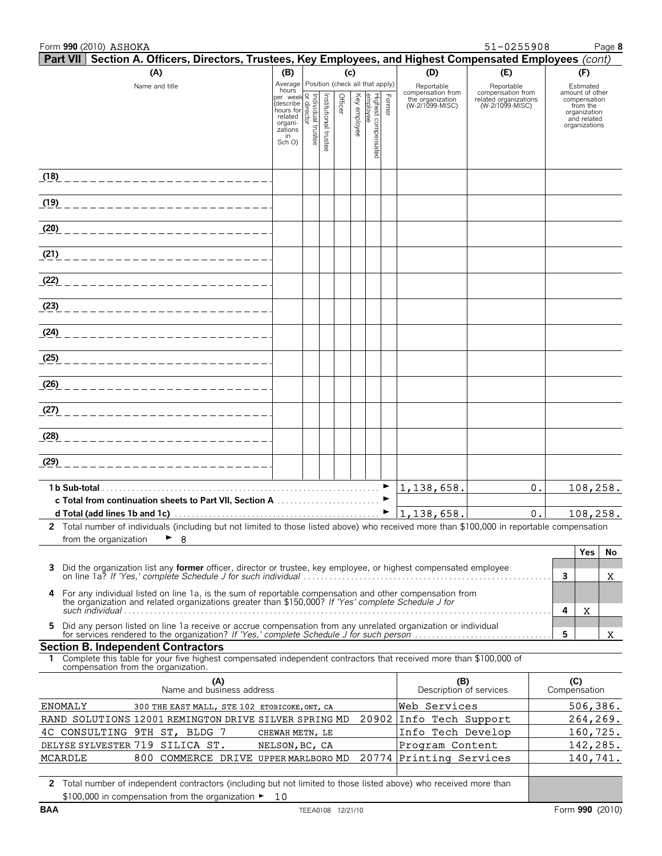| Form 990 (2010) ASHOKA                                                                                                                                                                                                                                                                                                        |                                                                                                                           |               |         |          |                            |        |                                     | 51-0255908                               |   | Page 8                       |
|-------------------------------------------------------------------------------------------------------------------------------------------------------------------------------------------------------------------------------------------------------------------------------------------------------------------------------|---------------------------------------------------------------------------------------------------------------------------|---------------|---------|----------|----------------------------|--------|-------------------------------------|------------------------------------------|---|------------------------------|
| Part VII Section A. Officers, Directors, Trustees, Key Employees, and Highest Compensated Employees (cont)                                                                                                                                                                                                                    |                                                                                                                           |               |         |          |                            |        |                                     |                                          |   |                              |
| (A)                                                                                                                                                                                                                                                                                                                           | (B)                                                                                                                       |               |         | (c)      |                            |        | (D)                                 | (E)                                      |   | (F)                          |
| Name and title                                                                                                                                                                                                                                                                                                                | Average Position (check all that apply)<br>hours                                                                          |               |         |          |                            |        | Reportable<br>compensation from     | Reportable<br>compensation from          |   | Estimated<br>amount of other |
|                                                                                                                                                                                                                                                                                                                               | hours<br>(describe language of the process of related<br>related organisations<br>zations<br>and comparisations<br>Sch O) | Institutional | Officer | Key      | Híghest compen<br>emplovee | Former | the organization<br>(W-2/1099-MISC) | related organizations<br>(W-2/1099-MISC) |   | compensation<br>from the     |
|                                                                                                                                                                                                                                                                                                                               |                                                                                                                           |               |         | employee |                            |        |                                     |                                          |   | organization<br>and related  |
|                                                                                                                                                                                                                                                                                                                               |                                                                                                                           |               |         |          |                            |        |                                     |                                          |   | organizations                |
|                                                                                                                                                                                                                                                                                                                               |                                                                                                                           | trustee       |         |          |                            |        |                                     |                                          |   |                              |
|                                                                                                                                                                                                                                                                                                                               |                                                                                                                           |               |         |          |                            |        |                                     |                                          |   |                              |
|                                                                                                                                                                                                                                                                                                                               |                                                                                                                           |               |         |          |                            |        |                                     |                                          |   |                              |
| <u>(18) ________________________</u>                                                                                                                                                                                                                                                                                          |                                                                                                                           |               |         |          |                            |        |                                     |                                          |   |                              |
|                                                                                                                                                                                                                                                                                                                               |                                                                                                                           |               |         |          |                            |        |                                     |                                          |   |                              |
|                                                                                                                                                                                                                                                                                                                               |                                                                                                                           |               |         |          |                            |        |                                     |                                          |   |                              |
| <u>(20) _________________________</u>                                                                                                                                                                                                                                                                                         |                                                                                                                           |               |         |          |                            |        |                                     |                                          |   |                              |
|                                                                                                                                                                                                                                                                                                                               |                                                                                                                           |               |         |          |                            |        |                                     |                                          |   |                              |
| <u>(21) _________________________</u>                                                                                                                                                                                                                                                                                         |                                                                                                                           |               |         |          |                            |        |                                     |                                          |   |                              |
|                                                                                                                                                                                                                                                                                                                               |                                                                                                                           |               |         |          |                            |        |                                     |                                          |   |                              |
|                                                                                                                                                                                                                                                                                                                               |                                                                                                                           |               |         |          |                            |        |                                     |                                          |   |                              |
|                                                                                                                                                                                                                                                                                                                               |                                                                                                                           |               |         |          |                            |        |                                     |                                          |   |                              |
| <u>(23) ________________________</u>                                                                                                                                                                                                                                                                                          |                                                                                                                           |               |         |          |                            |        |                                     |                                          |   |                              |
|                                                                                                                                                                                                                                                                                                                               |                                                                                                                           |               |         |          |                            |        |                                     |                                          |   |                              |
| <u>(24) ________________________</u>                                                                                                                                                                                                                                                                                          |                                                                                                                           |               |         |          |                            |        |                                     |                                          |   |                              |
| <u>(25) ________________________</u>                                                                                                                                                                                                                                                                                          |                                                                                                                           |               |         |          |                            |        |                                     |                                          |   |                              |
|                                                                                                                                                                                                                                                                                                                               |                                                                                                                           |               |         |          |                            |        |                                     |                                          |   |                              |
| <u>(26) ________________________</u>                                                                                                                                                                                                                                                                                          |                                                                                                                           |               |         |          |                            |        |                                     |                                          |   |                              |
|                                                                                                                                                                                                                                                                                                                               |                                                                                                                           |               |         |          |                            |        |                                     |                                          |   |                              |
| <u>(27) _________________________</u>                                                                                                                                                                                                                                                                                         |                                                                                                                           |               |         |          |                            |        |                                     |                                          |   |                              |
|                                                                                                                                                                                                                                                                                                                               |                                                                                                                           |               |         |          |                            |        |                                     |                                          |   |                              |
| <u>(28) _________________________</u>                                                                                                                                                                                                                                                                                         |                                                                                                                           |               |         |          |                            |        |                                     |                                          |   |                              |
|                                                                                                                                                                                                                                                                                                                               |                                                                                                                           |               |         |          |                            |        |                                     |                                          |   |                              |
| <u>(29) _________________________</u>                                                                                                                                                                                                                                                                                         |                                                                                                                           |               |         |          |                            |        |                                     |                                          |   |                              |
|                                                                                                                                                                                                                                                                                                                               |                                                                                                                           |               |         |          |                            |        | 1, 138, 658.                        | 0.1                                      |   | 108,258.                     |
|                                                                                                                                                                                                                                                                                                                               |                                                                                                                           |               |         |          |                            |        |                                     |                                          |   |                              |
| d Total (add lines 1b and 1c) $\ldots$ $\ldots$ $\ldots$ $\ldots$ $\ldots$ $\ldots$ $\ldots$ $\ldots$ $\ldots$ $\ldots$ $\ldots$ $\ldots$ $\ldots$ $\ldots$ $\ldots$ $\ldots$ $\ldots$ $\ldots$ $\ldots$ $\ldots$ $\ldots$ $\ldots$ $\ldots$ $\ldots$ $\ldots$ $\ldots$ $\ldots$ $\ldots$ $\ldots$ $\ldots$ $\ldots$ $\ldots$ |                                                                                                                           |               |         |          |                            |        |                                     | 0.1                                      |   | 108, 258.                    |
| 2 Total number of individuals (including but not limited to those listed above) who received more than \$100,000 in reportable compensation                                                                                                                                                                                   |                                                                                                                           |               |         |          |                            |        |                                     |                                          |   |                              |
| $\triangleright$ 8<br>from the organization                                                                                                                                                                                                                                                                                   |                                                                                                                           |               |         |          |                            |        |                                     |                                          |   |                              |
|                                                                                                                                                                                                                                                                                                                               |                                                                                                                           |               |         |          |                            |        |                                     |                                          |   | Yes<br>No                    |
| Did the organization list any former officer, director or trustee, key employee, or highest compensated employee<br>3                                                                                                                                                                                                         |                                                                                                                           |               |         |          |                            |        |                                     |                                          |   |                              |
|                                                                                                                                                                                                                                                                                                                               |                                                                                                                           |               |         |          |                            |        |                                     |                                          | 3 | X.                           |
| For any individual listed on line 1a, is the sum of reportable compensation and other compensation from<br>4<br>the organization and related organizations greater than \$150,000? If 'Yes' complete Schedule J for                                                                                                           |                                                                                                                           |               |         |          |                            |        |                                     |                                          |   |                              |
|                                                                                                                                                                                                                                                                                                                               |                                                                                                                           |               |         |          |                            |        |                                     |                                          | 4 | X                            |
| Did any person listed on line 1a receive or accrue compensation from any unrelated organization or individual<br>for services rendered to the organization? If 'Yes,' complete Schedule J for such person<br>5.                                                                                                               |                                                                                                                           |               |         |          |                            |        |                                     |                                          |   |                              |
|                                                                                                                                                                                                                                                                                                                               |                                                                                                                           |               |         |          |                            |        |                                     |                                          | 5 | X                            |
| <b>Section B. Independent Contractors</b><br>Complete this table for your five highest compensated independent contractors that received more than \$100,000 of<br>1.                                                                                                                                                         |                                                                                                                           |               |         |          |                            |        |                                     |                                          |   |                              |
| compensation from the organization.                                                                                                                                                                                                                                                                                           |                                                                                                                           |               |         |          |                            |        |                                     |                                          |   |                              |
| (A)                                                                                                                                                                                                                                                                                                                           |                                                                                                                           |               |         |          |                            |        | (B)                                 |                                          |   | (C)                          |
| Name and business address                                                                                                                                                                                                                                                                                                     |                                                                                                                           |               |         |          |                            |        | Description of services             |                                          |   | Compensation                 |
| <b>ENOMALY</b><br>300 THE EAST MALL, STE 102 ETOBICOKE, ONT, CA                                                                                                                                                                                                                                                               |                                                                                                                           |               |         |          |                            |        | Web Services                        |                                          |   | 506,386.                     |
| RAND SOLUTIONS 12001 REMINGTON DRIVE SILVER SPRING MD                                                                                                                                                                                                                                                                         |                                                                                                                           |               |         |          | 20902                      |        | Info Tech Support                   |                                          |   | 264,269.                     |
| 4C CONSULTING 9TH ST, BLDG 7                                                                                                                                                                                                                                                                                                  | CHEWAH METN, LE                                                                                                           |               |         |          |                            |        | Info Tech Develop                   |                                          |   | 160, 725.                    |
| DELYSE SYLVESTER 719 SILICA ST.                                                                                                                                                                                                                                                                                               | NELSON, BC, CA                                                                                                            |               |         |          |                            |        | Program Content                     |                                          |   | 142,285.                     |
| 800 COMMERCE DRIVE UPPER MARLBORO MD<br>MCARDLE                                                                                                                                                                                                                                                                               |                                                                                                                           |               |         |          | 20774                      |        | Printing Services                   |                                          |   | 140,741.                     |
| 2 Total number of independent contractors (including but not limited to those listed above) who received more than                                                                                                                                                                                                            |                                                                                                                           |               |         |          |                            |        |                                     |                                          |   |                              |
|                                                                                                                                                                                                                                                                                                                               |                                                                                                                           |               |         |          |                            |        |                                     |                                          |   |                              |

 $$100,000$  in compensation from the organization  $\blacktriangleright$  10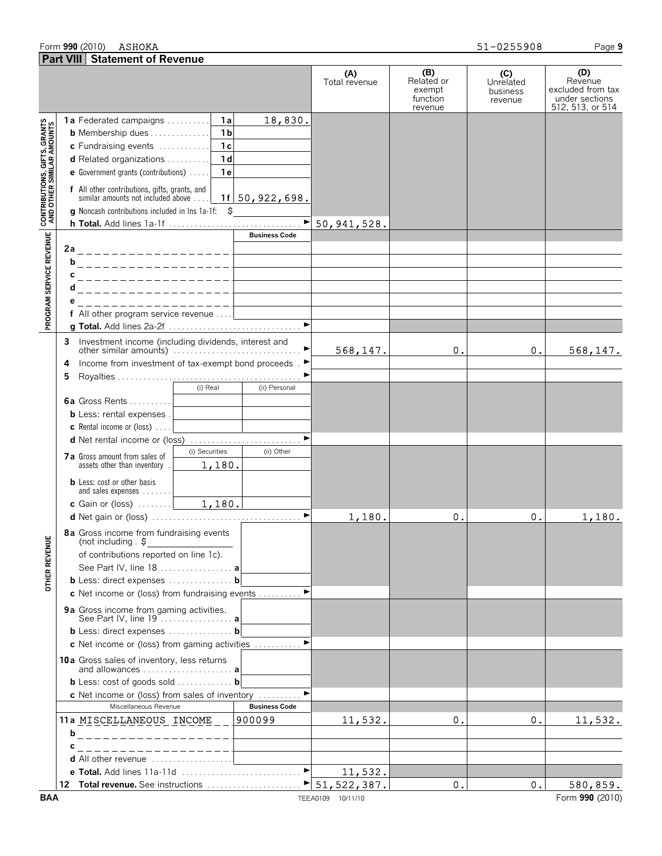#### Form **990** (2010) Page **9**

| ASHOKA | 51-0255908 |
|--------|------------|
|--------|------------|

|                                                           | <b>Part VIII Statement of Revenue</b>                                                                                                                                                                                                                                                                                                               |                      |                                                    |                                         |                                                                           |
|-----------------------------------------------------------|-----------------------------------------------------------------------------------------------------------------------------------------------------------------------------------------------------------------------------------------------------------------------------------------------------------------------------------------------------|----------------------|----------------------------------------------------|-----------------------------------------|---------------------------------------------------------------------------|
|                                                           |                                                                                                                                                                                                                                                                                                                                                     | (A)<br>Total revenue | (B)<br>Related or<br>exempt<br>function<br>revenue | (C)<br>Unrelated<br>business<br>revenue | (D)<br>Revenue<br>excluded from tax<br>under sections<br>512, 513, or 514 |
| CONTRIBUTIONS, GIFTS, GRANTS<br>AND OTHER SIMILAR AMOUNTS | 18,830.<br><b>1a</b><br>1a Federated campaigns<br>1 <sub>b</sub><br><b>b</b> Membership dues<br>1 <sub>c</sub><br>c Fundraising events<br>1 <sub>d</sub><br>d Related organizations<br>e Government grants (contributions)<br>1 e<br><b>f</b> All other contributions, gifts, grants, and<br>similar amounts not included above<br>1f 50, 922, 698. |                      |                                                    |                                         |                                                                           |
|                                                           | <b>g</b> Noncash contributions included in lns 1a-1f: \$                                                                                                                                                                                                                                                                                            |                      |                                                    |                                         |                                                                           |
|                                                           | <b>Business Code</b>                                                                                                                                                                                                                                                                                                                                |                      |                                                    |                                         |                                                                           |
| PROGRAM SERVICE REVENUE                                   | 2a<br>b<br>------------------<br>С<br>__________________<br>. _ _ _ _ _ _ _ _ _ _ _ _ _ _ _ _ _ _<br>_ _ _ _ _ _ _ _ _ _ _ _ _ _ _                                                                                                                                                                                                                  |                      |                                                    |                                         |                                                                           |
|                                                           | f All other program service revenue<br>$\blacktriangleright$                                                                                                                                                                                                                                                                                        |                      |                                                    |                                         |                                                                           |
|                                                           | 3 Investment income (including dividends, interest and<br>Income from investment of tax-exempt bond proceeds. ►<br>4                                                                                                                                                                                                                                | 568, 147.            | 0.                                                 | 0.                                      | 568,147.                                                                  |
|                                                           | 5<br>(i) Real<br>(ii) Personal<br><b>6a</b> Gross Rents<br><b>b</b> Less: rental expenses.<br><b>c</b> Rental income or (loss) $\ldots$                                                                                                                                                                                                             |                      |                                                    |                                         |                                                                           |
|                                                           | (i) Securities<br>(ii) Other<br>7a Gross amount from sales of<br>1,180.<br>assets other than inventory<br><b>b</b> Less: cost or other basis                                                                                                                                                                                                        |                      |                                                    |                                         |                                                                           |
|                                                           | and sales expenses                                                                                                                                                                                                                                                                                                                                  | 1,180.               | 0.                                                 | 0.                                      | 1,180.                                                                    |
| ш<br>OTHER REVENU                                         | 8a Gross income from fundraising events<br>(not including $\frac{1}{2}$<br><u> 1989 - Johann Barbara, martin a</u><br>of contributions reported on line 1c).<br>See Part IV, line 18  a<br>b Less: direct expenses  b<br>c Net income or (loss) from fundraising events  ▶                                                                          |                      |                                                    |                                         |                                                                           |
|                                                           | 9a Gross income from gaming activities.<br>See Part IV, line 19  a<br>b Less: direct expenses  b                                                                                                                                                                                                                                                    |                      |                                                    |                                         |                                                                           |
|                                                           | c Net income or (loss) from gaming activities                                                                                                                                                                                                                                                                                                       |                      |                                                    |                                         |                                                                           |
|                                                           | 10a Gross sales of inventory, less returns<br>and allowances  a<br><b>b</b> Less: cost of goods sold <b>b</b><br>$\blacktriangleright$                                                                                                                                                                                                              |                      |                                                    |                                         |                                                                           |
|                                                           | c Net income or (loss) from sales of inventory<br>Miscellaneous Revenue<br><b>Business Code</b>                                                                                                                                                                                                                                                     |                      |                                                    |                                         |                                                                           |
|                                                           | 11a MISCELLANEOUS INCOME _ _<br>1900099<br>b<br>___________________                                                                                                                                                                                                                                                                                 | 11,532.              | $\mathfrak{o}$ .                                   | 0.                                      | 11,532.                                                                   |
|                                                           | __________________<br>С                                                                                                                                                                                                                                                                                                                             |                      |                                                    |                                         |                                                                           |
|                                                           | <b>d</b> All other revenue $\ldots, \ldots, \ldots, \ldots, \ldots$                                                                                                                                                                                                                                                                                 |                      |                                                    |                                         |                                                                           |
|                                                           |                                                                                                                                                                                                                                                                                                                                                     | 11,532.              |                                                    |                                         |                                                                           |
| <b>BAA</b>                                                |                                                                                                                                                                                                                                                                                                                                                     | TEEA0109 10/11/10    | $0$ .                                              | 0.                                      | 580,859.<br>Form 990 (2010)                                               |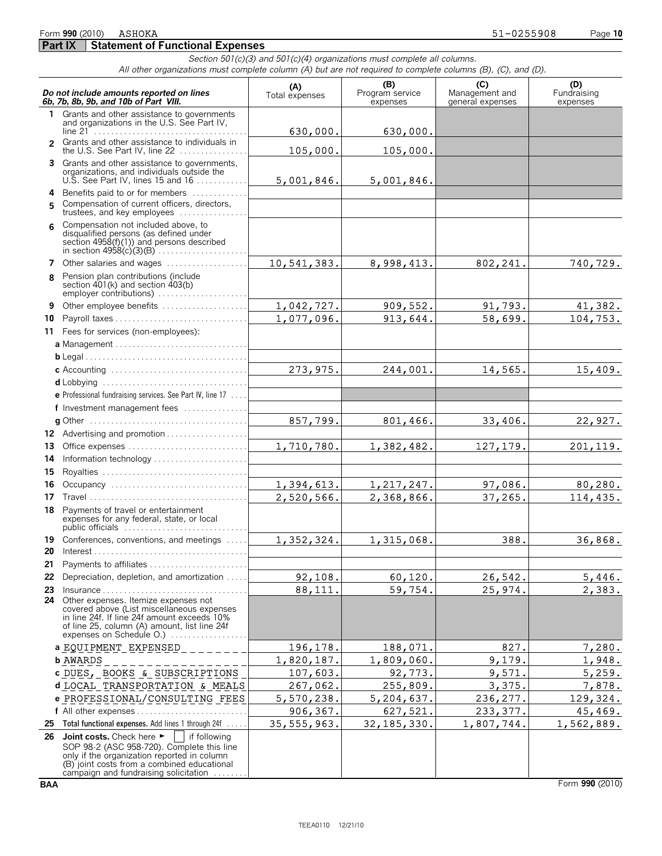**Part IX | Statement of Functional Expenses** *Section 501(c)(3) and 501(c)(4) organizations must complete all columns. All other organizations must complete column (A) but are not required to complete columns (B), (C), and (D).*

|    | Do not include amounts reported on lines<br>6b. 7b. 8b. 9b. and 10b of Part VIII.                                                                                                                                                         | (A)<br>Total expenses | (B)<br>Program service<br>expenses | (C)<br>Management and<br>general expenses | (D)<br>Fundraising<br>expenses |
|----|-------------------------------------------------------------------------------------------------------------------------------------------------------------------------------------------------------------------------------------------|-----------------------|------------------------------------|-------------------------------------------|--------------------------------|
|    | 1 Grants and other assistance to governments<br>and organizations in the U.S. See Part IV,                                                                                                                                                | 630,000.              | 630,000.                           |                                           |                                |
|    | 2 Grants and other assistance to individuals in<br>the U.S. See Part IV. line $22$                                                                                                                                                        | 105,000.              | 105,000.                           |                                           |                                |
|    | 3 Grants and other assistance to governments,<br>organizations, and individuals outside the<br>U.S. See Part IV, lines 15 and 16 $\dots$                                                                                                  | 5,001,846.            | 5,001,846.                         |                                           |                                |
| 5. | 4 Benefits paid to or for members<br>Compensation of current officers, directors,<br>trustees, and key employees $\ldots$                                                                                                                 |                       |                                    |                                           |                                |
| 6  | Compensation not included above, to<br>disqualified persons (as defined under<br>section $4958(f)(1)$ and persons described                                                                                                               |                       |                                    |                                           |                                |
|    | 7 Other salaries and wages                                                                                                                                                                                                                | 10,541,383.           | 8,998,413.                         | 802,241.                                  | 740,729.                       |
| 8  | Pension plan contributions (include<br>section 401(k) and section 403(b)<br>employer contributions)                                                                                                                                       |                       |                                    |                                           |                                |
| 9  | Other employee benefits                                                                                                                                                                                                                   | 1,042,727.            | 909,552.                           | 91,793.                                   | 41,382.                        |
| 10 |                                                                                                                                                                                                                                           | 1,077,096.            | 913,644.                           | 58,699.                                   | 104,753.                       |
|    | 11 Fees for services (non-employees):                                                                                                                                                                                                     |                       |                                    |                                           |                                |
|    |                                                                                                                                                                                                                                           |                       |                                    |                                           |                                |
|    |                                                                                                                                                                                                                                           |                       |                                    |                                           |                                |
|    |                                                                                                                                                                                                                                           | 273,975.              | 244,001.                           | 14,565.                                   | 15,409.                        |
|    |                                                                                                                                                                                                                                           |                       |                                    |                                           |                                |
|    | e Professional fundraising services. See Part IV, line 17                                                                                                                                                                                 |                       |                                    |                                           |                                |
|    | f Investment management fees                                                                                                                                                                                                              |                       |                                    |                                           |                                |
|    |                                                                                                                                                                                                                                           | 857,799.              | 801,466.                           | 33,406.                                   | 22,927.                        |
|    | 12 Advertising and promotion                                                                                                                                                                                                              |                       |                                    |                                           |                                |
| 13 | Office expenses                                                                                                                                                                                                                           | 1,710,780.            | 1,382,482.                         | 127, 179.                                 | 201,119.                       |
| 14 | Information technology                                                                                                                                                                                                                    |                       |                                    |                                           |                                |
| 15 |                                                                                                                                                                                                                                           |                       |                                    |                                           |                                |
| 16 |                                                                                                                                                                                                                                           | 1,394,613.            | 1,217,247.                         | 97,086.                                   | 80,280.                        |
| 17 |                                                                                                                                                                                                                                           | 2,520,566.            | 2,368,866.                         | 37,265.                                   | 114,435.                       |
| 18 | Payments of travel or entertainment<br>expenses for any federal, state, or local<br>public officials                                                                                                                                      |                       |                                    |                                           |                                |
|    | 19 Conferences, conventions, and meetings                                                                                                                                                                                                 | 1,352,324.            | 1,315,068.                         | 388.                                      | 36,868.                        |
| 20 |                                                                                                                                                                                                                                           |                       |                                    |                                           |                                |
|    | 21 Payments to affiliates                                                                                                                                                                                                                 |                       |                                    |                                           |                                |
|    | 22 Depreciation, depletion, and amortization                                                                                                                                                                                              | 92,108.               | 60, 120.                           | 26,542.                                   | 5,446.                         |
| 23 | $Insurance \ldots \ldots \ldots \ldots \ldots$                                                                                                                                                                                            | 88,111.               | 59,754.                            | 25,974.                                   | 2,383.                         |
| 24 | Other expenses. Itemize expenses not<br>covered above (List miscellaneous expenses<br>in line 24f. If line 24f amount exceeds 10%<br>of line 25, column (A) amount, list line 24f<br>expenses on Schedule O.)                             |                       |                                    |                                           |                                |
|    | a EQUIPMENT EXPENSED                                                                                                                                                                                                                      | 196,178.              | 188,071.                           | 827.                                      | 7,280.                         |
|    | <b>b AWARDS</b>                                                                                                                                                                                                                           | 1,820,187.            | 1,809,060.                         | 9,179.                                    | 1,948.                         |
|    | c DUES, BOOKS & SUBSCRIPTIONS                                                                                                                                                                                                             | 107,603.              | 92,773.                            | 9,571.                                    | 5,259.                         |
|    | d LOCAL TRANSPORTATION & MEALS                                                                                                                                                                                                            | 267,062.              | 255,809.                           | 3,375.                                    | 7,878.                         |
|    | e PROFESSIONAL/CONSULTING FEES                                                                                                                                                                                                            | 5,570,238.            | 5,204,637.                         | 236,277.                                  | 129,324.                       |
|    | f All other expenses                                                                                                                                                                                                                      | 906,367.              | 627,521.                           | 233,377.                                  | 45,469.                        |
| 25 | Total functional expenses. Add lines 1 through 24f                                                                                                                                                                                        | 35, 555, 963.         | 32, 185, 330.                      | 1,807,744.                                | 1,562,889.                     |
| 26 | Joint costs. Check here<br>if following<br>SOP 98-2 (ASC 958-720). Complete this line<br>only if the organization reported in column<br>(B) joint costs from a combined educational<br>campaign and fundraising solicitation $\dots\dots$ |                       |                                    |                                           |                                |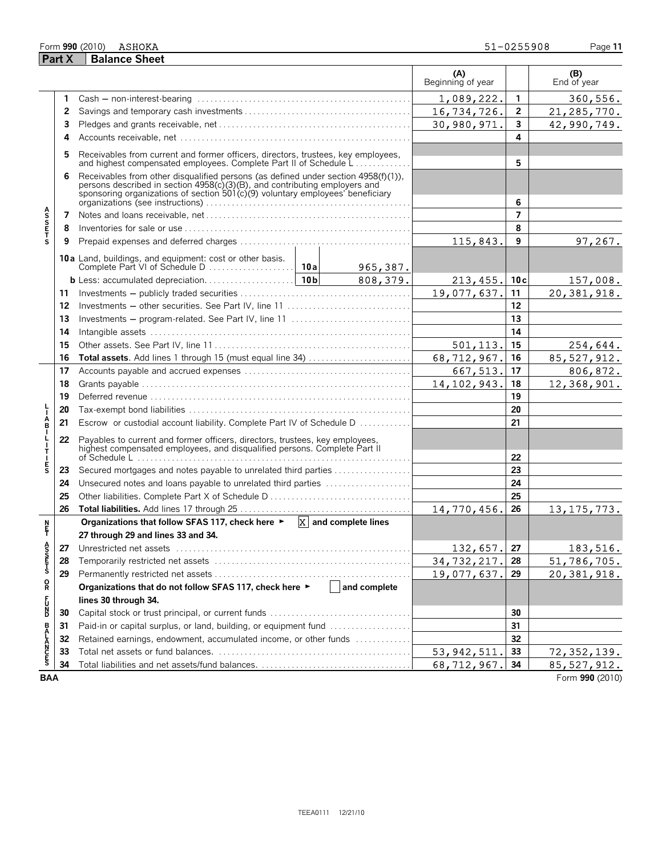#### Form **990** (2010) Page **11**

|                       | <b>Part X</b> | <b>Balance Sheet</b>                                                                                                                                                                                                                               |              |                          |                  |                    |
|-----------------------|---------------|----------------------------------------------------------------------------------------------------------------------------------------------------------------------------------------------------------------------------------------------------|--------------|--------------------------|------------------|--------------------|
|                       |               |                                                                                                                                                                                                                                                    |              | (A)<br>Beginning of year |                  | (B)<br>End of year |
|                       | 1             |                                                                                                                                                                                                                                                    |              | 1,089,222.               | $\mathbf{1}$     | 360,556.           |
|                       | 2             |                                                                                                                                                                                                                                                    |              | 16,734,726.              | $\boldsymbol{2}$ | 21, 285, 770.      |
|                       | 3             |                                                                                                                                                                                                                                                    |              | 30,980,971.              | 3                | 42,990,749.        |
|                       | 4             |                                                                                                                                                                                                                                                    |              |                          | 4                |                    |
|                       | 5             | Receivables from current and former officers, directors, trustees, key employees,<br>and highest compensated employees. Complete Part II of Schedule L                                                                                             |              |                          | 5                |                    |
|                       | 6             | Receivables from other disqualified persons (as defined under section 4958(f)(1)),<br>persons described in section 4958(c)(3)(B), and contributing employers and<br>sponsoring organizations of section 501(c)(9) voluntary employees' beneficiary |              |                          | 6                |                    |
|                       | 7             |                                                                                                                                                                                                                                                    |              |                          | $\overline{7}$   |                    |
| A<br>S<br>S<br>F<br>T | 8             |                                                                                                                                                                                                                                                    |              |                          | 8                |                    |
|                       | 9             |                                                                                                                                                                                                                                                    |              | 115,843.                 | 9                | 97,267.            |
|                       |               | 10a Land, buildings, and equipment: cost or other basis.                                                                                                                                                                                           | 965,387.     |                          |                  |                    |
|                       |               |                                                                                                                                                                                                                                                    | 808,379.     | $213, 455.$   10c        |                  | 157,008.           |
|                       | 11            |                                                                                                                                                                                                                                                    |              | 19,077,637.              | 11               | 20,381,918.        |
|                       | 12            |                                                                                                                                                                                                                                                    |              |                          | 12               |                    |
|                       | 13            | Investments - program-related. See Part IV, line 11                                                                                                                                                                                                |              |                          | 13               |                    |
|                       | 14            |                                                                                                                                                                                                                                                    |              |                          | 14               |                    |
|                       | 15            |                                                                                                                                                                                                                                                    |              | 501, 113.                | 15               | 254,644.           |
|                       | 16            |                                                                                                                                                                                                                                                    |              | 68,712,967.              | 16               | 85, 527, 912.      |
|                       | 17            |                                                                                                                                                                                                                                                    |              | 667,513.                 | 17               | 806,872.           |
|                       | 18            |                                                                                                                                                                                                                                                    |              | 14, 102, 943.            | 18               | 12,368,901.        |
|                       | 19            |                                                                                                                                                                                                                                                    |              |                          | 19               |                    |
|                       | 20            |                                                                                                                                                                                                                                                    |              |                          | 20               |                    |
| Å                     | 21            | Escrow or custodial account liability. Complete Part IV of Schedule D                                                                                                                                                                              |              |                          | 21               |                    |
| L<br>л.<br>т          | 22            | Payables to current and former officers, directors, trustees, key employees,<br>highest compensated employees, and disqualified persons. Complete Part II                                                                                          |              |                          |                  |                    |
| $\frac{E}{S}$         |               | of Schedule L                                                                                                                                                                                                                                      |              |                          | 22               |                    |
|                       | 23            | Secured mortgages and notes payable to unrelated third parties                                                                                                                                                                                     |              |                          | 23<br>24         |                    |
|                       | 24            | Unsecured notes and loans payable to unrelated third parties                                                                                                                                                                                       |              |                          | 25               |                    |
|                       | 25<br>26      |                                                                                                                                                                                                                                                    |              | 14,770,456.              | 26               |                    |
|                       |               | Organizations that follow SFAS 117, check here $\triangleright$ $\overline{X}$ and complete lines                                                                                                                                                  |              |                          |                  | 13, 175, 773.      |
| n<br>F                |               | 27 through 29 and lines 33 and 34.                                                                                                                                                                                                                 |              |                          |                  |                    |
|                       | 27            |                                                                                                                                                                                                                                                    |              | 132,657. 27              |                  | 183,516.           |
| A<br>S<br>S<br>T<br>S | 28            |                                                                                                                                                                                                                                                    |              | 34, 732, 217. 28         |                  | 51,786,705.        |
|                       | 29            |                                                                                                                                                                                                                                                    |              | 19,077,637.              | 29               | 20,381,918.        |
| $\mathsf{R}$          |               | Organizations that do not follow SFAS 117, check here ▶                                                                                                                                                                                            | and complete |                          |                  |                    |
|                       |               | lines 30 through 34.                                                                                                                                                                                                                               |              |                          |                  |                    |
| <b>PD</b><br>D        | 30            |                                                                                                                                                                                                                                                    |              |                          | 30               |                    |
|                       | 31            | Paid-in or capital surplus, or land, building, or equipment fund                                                                                                                                                                                   |              |                          | 31               |                    |
|                       | 32            | Retained earnings, endowment, accumulated income, or other funds                                                                                                                                                                                   |              |                          | 32               |                    |
| <b>BALANCES</b>       | 33            |                                                                                                                                                                                                                                                    |              | 53, 942, 511.            | 33               | 72, 352, 139.      |
|                       | 34            |                                                                                                                                                                                                                                                    |              | 68,712,967. 34           |                  | 85,527,912.        |

**BAA** Form **990** (2010)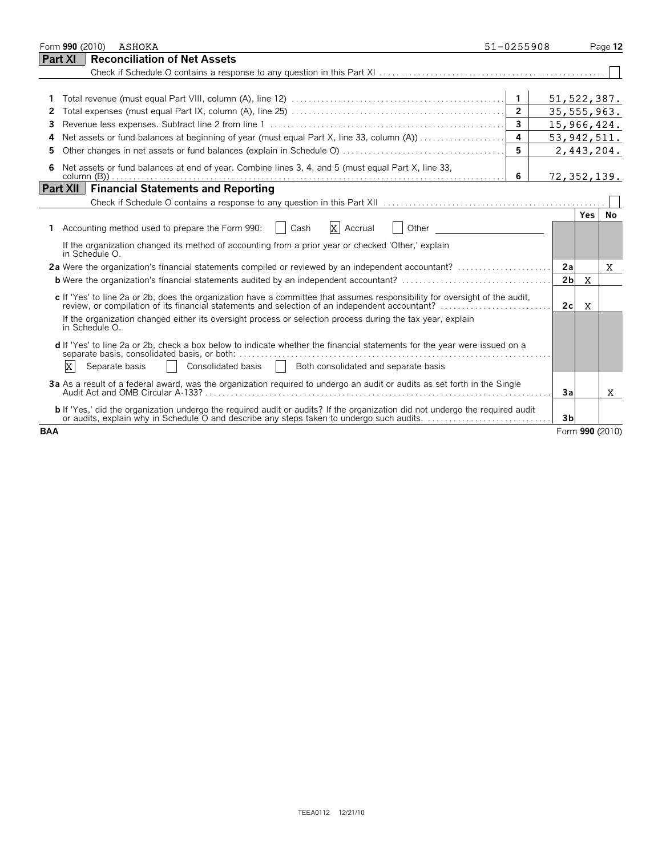| Form 990 (2010)<br>ASHOKA                                                                                                                                                                                                         | 51-0255908              |                |             | Page 12         |
|-----------------------------------------------------------------------------------------------------------------------------------------------------------------------------------------------------------------------------------|-------------------------|----------------|-------------|-----------------|
| <b>Reconciliation of Net Assets</b><br>Part XI                                                                                                                                                                                    |                         |                |             |                 |
|                                                                                                                                                                                                                                   |                         |                |             |                 |
|                                                                                                                                                                                                                                   |                         |                |             |                 |
|                                                                                                                                                                                                                                   |                         | 51, 522, 387.  |             |                 |
| 2                                                                                                                                                                                                                                 | $\overline{2}$          | 35, 555, 963.  |             |                 |
| 3                                                                                                                                                                                                                                 | $\overline{\mathbf{3}}$ | 15,966,424.    |             |                 |
| Net assets or fund balances at beginning of year (must equal Part X, line 33, column (A))<br>4                                                                                                                                    | $\overline{a}$          | 53, 942, 511.  |             |                 |
| 5                                                                                                                                                                                                                                 | 5                       |                |             | 2,443,204.      |
| Net assets or fund balances at end of year. Combine lines 3, 4, and 5 (must equal Part X, line 33,<br>6                                                                                                                           | - 6                     | 72,352,139.    |             |                 |
| <b>Financial Statements and Reporting</b><br><b>Part XII</b>                                                                                                                                                                      |                         |                |             |                 |
|                                                                                                                                                                                                                                   |                         |                |             |                 |
|                                                                                                                                                                                                                                   |                         |                | Yes         | No              |
| $X$ Accrual<br>1 Accounting method used to prepare the Form 990:<br>$\overline{\phantom{a}}$ Cash<br>Other                                                                                                                        |                         |                |             |                 |
| If the organization changed its method of accounting from a prior year or checked 'Other,' explain<br>in Schedule O.                                                                                                              |                         |                |             |                 |
| 2a Were the organization's financial statements compiled or reviewed by an independent accountant?                                                                                                                                |                         | 2a             |             | X               |
| <b>b</b> Were the organization's financial statements audited by an independent accountant?                                                                                                                                       |                         | 2 <sub>b</sub> | $\mathbf X$ |                 |
| c If 'Yes' to line 2a or 2b, does the organization have a committee that assumes responsibility for oversight of the audit,                                                                                                       |                         | 2c             | X           |                 |
| If the organization changed either its oversight process or selection process during the tax year, explain<br>in Schedule O.                                                                                                      |                         |                |             |                 |
| d If 'Yes' to line 2a or 2b, check a box below to indicate whether the financial statements for the year were issued on a                                                                                                         |                         |                |             |                 |
| $\mathbf{x}$<br><b>Both consolidated and separate basis</b><br>Consolidated basis<br>Separate basis                                                                                                                               |                         |                |             |                 |
| 3a As a result of a federal award, was the organization required to undergo an audit or audits as set forth in the Single                                                                                                         |                         | 3a             |             | X.              |
| <b>b</b> If 'Yes,' did the organization undergo the required audit or audits? If the organization did not undergo the required audit<br>or audits, explain why in Schedule O and describe any steps taken to undergo such audits. |                         | 3 <sub>b</sub> |             |                 |
| <b>BAA</b>                                                                                                                                                                                                                        |                         |                |             | Form 990 (2010) |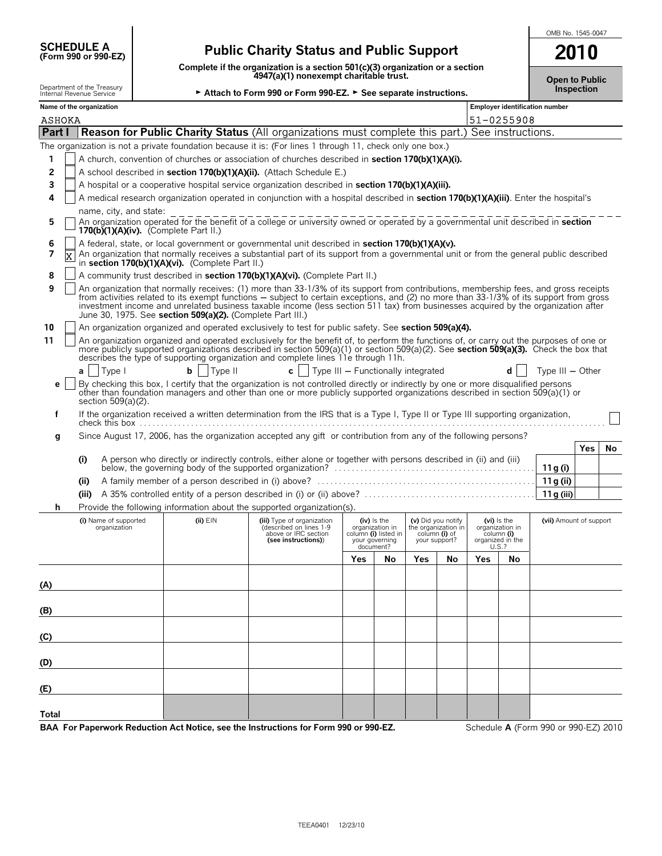| <b>SCHEDULE A</b>    |
|----------------------|
| (Form 990 or 990-EZ) |

## **(Form 990 or 990-EZ) Public Charity Status and Public Support**

**Complete if the organization is a section 501(c)(3) organization or a section 4947(a)(1) nonexempt charitable trust.**

| <b>Open to Public</b> |  |
|-----------------------|--|
| <b>Inspection</b>     |  |

| Department of the Treasury<br>Internal Revenue Service |  |  |  |  |
|--------------------------------------------------------|--|--|--|--|
| Name of the organization                               |  |  |  |  |
|                                                        |  |  |  |  |

| PQ<br>Internal Revenue Service | ► Attach to Form 990 or Form 990-EZ. ► See separate instructions. |  |
|--------------------------------|-------------------------------------------------------------------|--|
|--------------------------------|-------------------------------------------------------------------|--|

| Name of the organization                                                                                                                                                                                                                                                                                                                                                   |              |                                                                                                                 |                                    |                                                                                         |                                |                                           |                          |                                               | Employer identification number |     |     |
|----------------------------------------------------------------------------------------------------------------------------------------------------------------------------------------------------------------------------------------------------------------------------------------------------------------------------------------------------------------------------|--------------|-----------------------------------------------------------------------------------------------------------------|------------------------------------|-----------------------------------------------------------------------------------------|--------------------------------|-------------------------------------------|--------------------------|-----------------------------------------------|--------------------------------|-----|-----|
| ASHOKA                                                                                                                                                                                                                                                                                                                                                                     |              |                                                                                                                 |                                    |                                                                                         |                                |                                           |                          | 51-0255908                                    |                                |     |     |
| <b>Part I   Reason for Public Charity Status</b> (All organizations must complete this part.) See instructions.                                                                                                                                                                                                                                                            |              |                                                                                                                 |                                    |                                                                                         |                                |                                           |                          |                                               |                                |     |     |
| The organization is not a private foundation because it is: (For lines 1 through 11, check only one box.)                                                                                                                                                                                                                                                                  |              |                                                                                                                 |                                    |                                                                                         |                                |                                           |                          |                                               |                                |     |     |
| A church, convention of churches or association of churches described in <b>section 170(b)(1)(A)(i).</b><br>1                                                                                                                                                                                                                                                              |              |                                                                                                                 |                                    |                                                                                         |                                |                                           |                          |                                               |                                |     |     |
| A school described in section 170(b)(1)(A)(ii). (Attach Schedule E.)<br>2                                                                                                                                                                                                                                                                                                  |              |                                                                                                                 |                                    |                                                                                         |                                |                                           |                          |                                               |                                |     |     |
| 3<br>A hospital or a cooperative hospital service organization described in section 170(b)(1)(A)(iii).                                                                                                                                                                                                                                                                     |              |                                                                                                                 |                                    |                                                                                         |                                |                                           |                          |                                               |                                |     |     |
| A medical research organization operated in conjunction with a hospital described in section 170(b)(1)(A)(iii). Enter the hospital's<br>4                                                                                                                                                                                                                                  |              |                                                                                                                 |                                    |                                                                                         |                                |                                           |                          |                                               |                                |     |     |
| name, city, and state:                                                                                                                                                                                                                                                                                                                                                     |              |                                                                                                                 |                                    |                                                                                         |                                |                                           |                          |                                               |                                |     |     |
| An organization operated for the benefit of a college or university owned or operated by a governmental unit described in section<br>5<br>170(b)(1)(A)(iv). (Complete Part II.)                                                                                                                                                                                            |              |                                                                                                                 |                                    |                                                                                         |                                |                                           |                          |                                               |                                |     |     |
| A federal, state, or local government or governmental unit described in <b>section 170(b)(1)(A)(v).</b><br>6<br>7<br>An organization that normally receives a substantial part of its support from a governmental unit or from the general public described<br>lx                                                                                                          |              |                                                                                                                 |                                    |                                                                                         |                                |                                           |                          |                                               |                                |     |     |
| in section 170(b)(1)(A)(vi). (Complete Part II.)<br>A community trust described in section 170(b)(1)(A)(vi). (Complete Part II.)<br>8                                                                                                                                                                                                                                      |              |                                                                                                                 |                                    |                                                                                         |                                |                                           |                          |                                               |                                |     |     |
| An organization that normally receives: (1) more than 33-1/3% of its support from contributions, membership fees, and gross receipts<br>9                                                                                                                                                                                                                                  |              |                                                                                                                 |                                    |                                                                                         |                                |                                           |                          |                                               |                                |     |     |
| from activities related to its exempt functions – subject to certain exceptions, and (2) no more than 33-1/3% of its support from gross<br>investment income and unrelated business taxable income (less section 511 tax) from businesses acquired by the organization after<br>June 30, 1975. See section 509(a)(2). (Complete Part III.)                                 |              |                                                                                                                 |                                    |                                                                                         |                                |                                           |                          |                                               |                                |     |     |
| An organization organized and operated exclusively to test for public safety. See section 509(a)(4).<br>10                                                                                                                                                                                                                                                                 |              |                                                                                                                 |                                    |                                                                                         |                                |                                           |                          |                                               |                                |     |     |
| An organization organized and operated exclusively for the benefit of, to perform the functions of, or carry out the purposes of one or<br>11<br>more publicly supported organizations described in section 509(a)(1) or section 509(a)(2). See section 509(a)(3). Check the box that<br>describes the type of supporting organization and complete lines 11e through 11h. |              |                                                                                                                 |                                    |                                                                                         |                                |                                           |                          |                                               |                                |     |     |
| Type I<br>a l                                                                                                                                                                                                                                                                                                                                                              | Type II<br>b | $c \mid$                                                                                                        | Type III - Functionally integrated |                                                                                         |                                |                                           |                          | dl                                            | Type $III - Other$             |     |     |
| By checking this box, I certify that the organization is not controlled directly or indirectly by one or more disqualified persons<br>e<br>other than foundation managers and other than one or more publicly supported organizations described in section 509(a)(1) or<br>section 509(a)(2).                                                                              |              |                                                                                                                 |                                    |                                                                                         |                                |                                           |                          |                                               |                                |     |     |
| If the organization received a written determination from the IRS that is a Type I, Type II or Type III supporting organization,<br>f                                                                                                                                                                                                                                      |              |                                                                                                                 |                                    |                                                                                         |                                |                                           |                          |                                               |                                |     |     |
| Since August 17, 2006, has the organization accepted any gift or contribution from any of the following persons?<br>g                                                                                                                                                                                                                                                      |              |                                                                                                                 |                                    |                                                                                         |                                |                                           |                          |                                               |                                |     |     |
|                                                                                                                                                                                                                                                                                                                                                                            |              |                                                                                                                 |                                    |                                                                                         |                                |                                           |                          |                                               |                                | Yes | No. |
| (i)                                                                                                                                                                                                                                                                                                                                                                        |              | A person who directly or indirectly controls, either alone or together with persons described in (ii) and (iii) |                                    |                                                                                         |                                |                                           |                          |                                               | 11 g (i)                       |     |     |
| (i)                                                                                                                                                                                                                                                                                                                                                                        |              |                                                                                                                 |                                    |                                                                                         |                                |                                           |                          |                                               | 11 g (ii)                      |     |     |
| (iii)                                                                                                                                                                                                                                                                                                                                                                      |              |                                                                                                                 |                                    |                                                                                         |                                |                                           |                          |                                               | 11 g (iii)                     |     |     |
| Provide the following information about the supported organization(s).<br>h                                                                                                                                                                                                                                                                                                |              |                                                                                                                 |                                    |                                                                                         |                                |                                           |                          |                                               |                                |     |     |
| (i) Name of supported<br>organization                                                                                                                                                                                                                                                                                                                                      | $(ii)$ $EIN$ | (iii) Type of organization<br>(described on lines 1-9<br>above or IRC section<br>(see instructions))            |                                    | $(iv)$ is the<br>organization in<br>column (i) listed in<br>your governing<br>document? | column (i) of<br>your support? | (v) Did you notify<br>the organization in | organization in<br>U.S.? | (vi) is the<br>column (i)<br>organized in the | (vii) Amount of support        |     |     |
|                                                                                                                                                                                                                                                                                                                                                                            |              |                                                                                                                 | Yes                                | No                                                                                      | Yes                            | No                                        | Yes                      | No                                            |                                |     |     |
| <u>(A)</u>                                                                                                                                                                                                                                                                                                                                                                 |              |                                                                                                                 |                                    |                                                                                         |                                |                                           |                          |                                               |                                |     |     |
|                                                                                                                                                                                                                                                                                                                                                                            |              |                                                                                                                 |                                    |                                                                                         |                                |                                           |                          |                                               |                                |     |     |
| (B)                                                                                                                                                                                                                                                                                                                                                                        |              |                                                                                                                 |                                    |                                                                                         |                                |                                           |                          |                                               |                                |     |     |
| (C)                                                                                                                                                                                                                                                                                                                                                                        |              |                                                                                                                 |                                    |                                                                                         |                                |                                           |                          |                                               |                                |     |     |
| (D)                                                                                                                                                                                                                                                                                                                                                                        |              |                                                                                                                 |                                    |                                                                                         |                                |                                           |                          |                                               |                                |     |     |
|                                                                                                                                                                                                                                                                                                                                                                            |              |                                                                                                                 |                                    |                                                                                         |                                |                                           |                          |                                               |                                |     |     |
| (E)                                                                                                                                                                                                                                                                                                                                                                        |              |                                                                                                                 |                                    |                                                                                         |                                |                                           |                          |                                               |                                |     |     |
| <b>Total</b>                                                                                                                                                                                                                                                                                                                                                               |              |                                                                                                                 |                                    |                                                                                         |                                |                                           |                          |                                               |                                |     |     |

**BAA For Paperwork Reduction Act Notice, see the Instructions for Form 990 or 990-EZ.** Schedule **A** (Form 990 or 990-EZ) 2010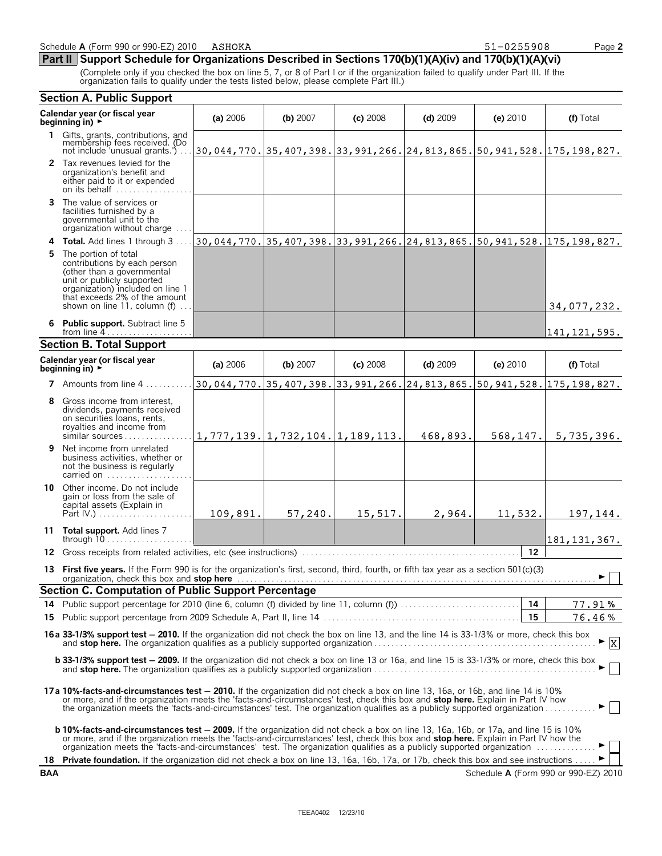| <u>Part II Support Schedule for Organizations Described in Sections 170(b)(1)(A)(iv) and 170(b)(1)(A)(vi)</u> |  |
|---------------------------------------------------------------------------------------------------------------|--|
|---------------------------------------------------------------------------------------------------------------|--|

(Complete only if you checked the box on line 5, 7, or 8 of Part I or if the organization failed to qualify under Part III. If the organization fails to qualify under the tests listed below, please complete Part III.)

|            | <b>Section A. Public Support</b>                                                                                                                                                                                                                                                                                                                                                                                   |                                                                  |          |            |            |           |                                                                                                                     |
|------------|--------------------------------------------------------------------------------------------------------------------------------------------------------------------------------------------------------------------------------------------------------------------------------------------------------------------------------------------------------------------------------------------------------------------|------------------------------------------------------------------|----------|------------|------------|-----------|---------------------------------------------------------------------------------------------------------------------|
|            | Calendar year (or fiscal year<br>beginning in) $\rightarrow$                                                                                                                                                                                                                                                                                                                                                       | (a) 2006                                                         | (b) 2007 | $(c)$ 2008 | $(d)$ 2009 | (e) 2010  | (f) Total                                                                                                           |
| 1.         | Gifts, grants, contributions, and<br>membership fees received. (Do<br>not include 'unusual grants.')                                                                                                                                                                                                                                                                                                               |                                                                  |          |            |            |           | $\left 30,044,770.\right 35,407,398.\right 33,991,266.\left 24,813,865.\right 50,941,528.\left 175,198,827.\right $ |
|            | 2 Tax revenues levied for the<br>organization's benefit and<br>either paid to it or expended<br>on its behalf                                                                                                                                                                                                                                                                                                      |                                                                  |          |            |            |           |                                                                                                                     |
| 3.         | The value of services or<br>facilities furnished by a<br>governmental unit to the<br>organization without charge                                                                                                                                                                                                                                                                                                   |                                                                  |          |            |            |           |                                                                                                                     |
| 4          | Total. Add lines 1 through 3                                                                                                                                                                                                                                                                                                                                                                                       |                                                                  |          |            |            |           | 30,044,770. 35,407,398. 33,991,266. 24,813,865. 50,941,528. 175,198,827.                                            |
| 5.         | The portion of total<br>contributions by each person<br>(other than a governmental<br>unit or publicly supported<br>organization) included on line 1<br>that exceeds 2% of the amount<br>shown on line 11, column (f)                                                                                                                                                                                              |                                                                  |          |            |            |           | 34,077,232.                                                                                                         |
|            | 6 Public support. Subtract line 5<br>from line $4$                                                                                                                                                                                                                                                                                                                                                                 |                                                                  |          |            |            |           | 141,121,595.                                                                                                        |
|            | <b>Section B. Total Support</b>                                                                                                                                                                                                                                                                                                                                                                                    |                                                                  |          |            |            |           |                                                                                                                     |
|            | Calendar year (or fiscal year<br>beginning in) $\rightarrow$                                                                                                                                                                                                                                                                                                                                                       | (a) 2006                                                         | (b) 2007 | $(c)$ 2008 | $(d)$ 2009 | (e) 2010  | (f) Total                                                                                                           |
|            | <b>7</b> Amounts from line $4 \ldots \ldots$                                                                                                                                                                                                                                                                                                                                                                       |                                                                  |          |            |            |           | 30,044,770. 35,407,398. 33,991,266. 24,813,865. 50,941,528. 175,198,827.                                            |
| 8          | Gross income from interest,<br>dividends, payments received<br>on securities loans, rents,<br>royalties and income from<br>similar sources                                                                                                                                                                                                                                                                         | $\vert 1, 777, 139. \vert 1, 732, 104. \vert 1, 189, 113. \vert$ |          |            | 468,893.   | 568, 147. | 5,735,396.                                                                                                          |
| 9          | Net income from unrelated<br>business activities, whether or<br>not the business is regularly<br>carried on                                                                                                                                                                                                                                                                                                        |                                                                  |          |            |            |           |                                                                                                                     |
|            | 10 Other income. Do not include<br>gain or loss from the sale of<br>capital assets (Explain in<br>Part IV.) $\ldots \ldots \ldots \ldots \ldots \ldots$                                                                                                                                                                                                                                                            | 109,891.                                                         | 57,240.  | 15,517.    | 2,964.     | 11,532.   | 197, 144.                                                                                                           |
|            | 11 Total support. Add lines 7<br>through $10$                                                                                                                                                                                                                                                                                                                                                                      |                                                                  |          |            |            |           | 181, 131, 367.                                                                                                      |
|            |                                                                                                                                                                                                                                                                                                                                                                                                                    |                                                                  |          |            |            | 12        |                                                                                                                     |
|            | 13 First five years. If the Form 990 is for the organization's first, second, third, fourth, or fifth tax year as a section 501(c)(3)<br>organization, check this box and stop here in the contract of the contract of the contract of the contract of the contract of the contract of the contract of the contract of the contract of the contract of the contract of                                             |                                                                  |          |            |            |           |                                                                                                                     |
|            | Section C. Computation of Public Support Percentage                                                                                                                                                                                                                                                                                                                                                                |                                                                  |          |            |            |           |                                                                                                                     |
| 15         |                                                                                                                                                                                                                                                                                                                                                                                                                    |                                                                  |          |            |            | 15        | 77.91%<br>76.46%                                                                                                    |
|            |                                                                                                                                                                                                                                                                                                                                                                                                                    |                                                                  |          |            |            |           |                                                                                                                     |
|            | 16a 33-1/3% support test - 2010. If the organization did not check the box on line 13, and the line 14 is 33-1/3% or more, check this box                                                                                                                                                                                                                                                                          |                                                                  |          |            |            |           | $\vert x \vert$                                                                                                     |
|            | <b>b 33-1/3% support test - 2009.</b> If the organization did not check a box on line 13 or 16a, and line 15 is 33-1/3% or more, check this box                                                                                                                                                                                                                                                                    |                                                                  |          |            |            |           |                                                                                                                     |
|            | 17a 10%-facts-and-circumstances test - 2010. If the organization did not check a box on line 13, 16a, or 16b, and line 14 is 10%<br>or more, and if the organization meets the 'facts-and-circumstances' test, check this box and <b>stop here.</b> Explain in Part IV how<br>the organization meets the 'facts-and-circumstances' test. The organization qualifies as a publicly supported organization           |                                                                  |          |            |            |           |                                                                                                                     |
|            | <b>b 10%-facts-and-circumstances test - 2009.</b> If the organization did not check a box on line 13, 16a, 16b, or 17a, and line 15 is 10%<br>or more, and if the organization meets the 'facts-and-circumstances' test, check this box and <b>stop here.</b> Explain in Part IV how the<br>organization meets the 'facts-and-circumstances' test. The organization qualifies as a publicly supported organization |                                                                  |          |            |            |           |                                                                                                                     |
|            | 18 Private foundation. If the organization did not check a box on line 13, 16a, 16b, 17a, or 17b, check this box and see instructions                                                                                                                                                                                                                                                                              |                                                                  |          |            |            |           |                                                                                                                     |
| <b>BAA</b> |                                                                                                                                                                                                                                                                                                                                                                                                                    |                                                                  |          |            |            |           | Schedule A (Form 990 or 990-EZ) 2010                                                                                |

51-0255908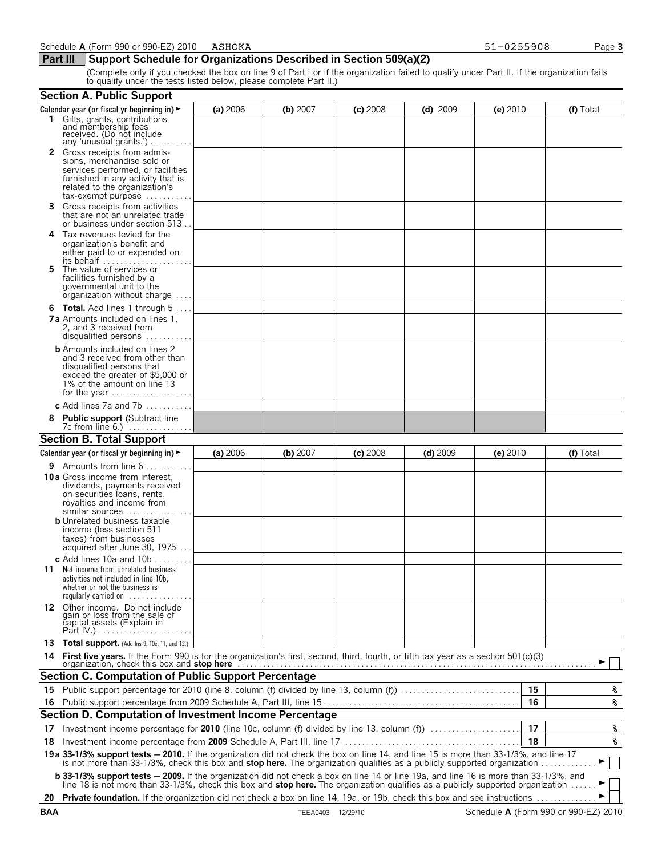### **Part III** Support Schedule for Organizations Described in Section 509(a)(2)

(Complete only if you checked the box on line 9 of Part I or if the organization failed to qualify under Part II. If the organization fails to qualify under the tests listed below, please complete Part II.)

|     | <b>Section A. Public Support</b>                                                                                                                                                                                                                                             |          |          |            |            |            |    |              |
|-----|------------------------------------------------------------------------------------------------------------------------------------------------------------------------------------------------------------------------------------------------------------------------------|----------|----------|------------|------------|------------|----|--------------|
|     | Calendar year (or fiscal yr beginning in) $\blacktriangleright$                                                                                                                                                                                                              | (a) 2006 | (b) 2007 | $(c)$ 2008 | $(d)$ 2009 | (e) 2010   |    | (f) Total    |
|     | 1 Gifts, grants, contributions<br>and membership fees<br>received. (Do not include<br>any 'unusual grants.') $\ldots$ .                                                                                                                                                      |          |          |            |            |            |    |              |
|     | 2 Gross receipts from admis-<br>sions, merchandise sold or<br>services performed, or facilities<br>furnished in any activity that is<br>related to the organization's<br>$tax\text{-}exempt$ purpose $\ldots \ldots \ldots$                                                  |          |          |            |            |            |    |              |
| 3   | Gross receipts from activities<br>that are not an unrelated trade<br>or business under section 513.                                                                                                                                                                          |          |          |            |            |            |    |              |
| 4   | Tax revenues levied for the<br>organization's benefit and<br>either paid to or expended on<br>its behalf $\ldots, \ldots, \ldots, \ldots, \ldots$                                                                                                                            |          |          |            |            |            |    |              |
| 5   | The value of services or<br>facilities furnished by a<br>governmental unit to the<br>organization without charge                                                                                                                                                             |          |          |            |            |            |    |              |
|     | <b>6 Total.</b> Add lines 1 through 5<br><b>7a</b> Amounts included on lines 1,<br>2, and 3 received from<br>disqualified persons                                                                                                                                            |          |          |            |            |            |    |              |
|     | <b>b</b> Amounts included on lines 2<br>and 3 received from other than<br>disqualified persons that<br>exceed the greater of \$5,000 or<br>1% of the amount on line 13<br>for the year $\dots\dots\dots\dots\dots\dots\dots$                                                 |          |          |            |            |            |    |              |
|     | c Add lines 7a and 7b $\dots$                                                                                                                                                                                                                                                |          |          |            |            |            |    |              |
|     | 8 Public support (Subtract line<br>7c from line 6.)                                                                                                                                                                                                                          |          |          |            |            |            |    |              |
|     | <b>Section B. Total Support</b>                                                                                                                                                                                                                                              |          |          |            |            |            |    |              |
|     | Calendar year (or fiscal yr beginning in) ►                                                                                                                                                                                                                                  | (a) 2006 | (b) 2007 | $(c)$ 2008 | $(d)$ 2009 | $(e)$ 2010 |    | (f) Total    |
|     | <b>9</b> Amounts from line 6                                                                                                                                                                                                                                                 |          |          |            |            |            |    |              |
|     | 10 a Gross income from interest,<br>dividends, payments received<br>on securities loans, rents,<br>royalties and income from<br>similar sources<br><b>b</b> Unrelated business taxable<br>income (less section 511<br>taxes) from businesses<br>acquired after June 30, 1975 |          |          |            |            |            |    |              |
|     | c Add lines 10a and $10b$<br>11 Net income from unrelated business<br>activities not included in line 10b,<br>whether or not the business is<br>requiarly carried on $\dots\dots$                                                                                            |          |          |            |            |            |    |              |
|     | 12 Other income. Do not include<br>gain or loss from the sale of<br>capital assets (Explain in                                                                                                                                                                               |          |          |            |            |            |    |              |
| 13. | <b>Total support.</b> (Add Ins 9, 10c, 11, and 12.)                                                                                                                                                                                                                          |          |          |            |            |            |    |              |
|     |                                                                                                                                                                                                                                                                              |          |          |            |            |            |    |              |
|     | <b>Section C. Computation of Public Support Percentage</b>                                                                                                                                                                                                                   |          |          |            |            |            |    |              |
|     | 15 Public support percentage for 2010 (line 8, column (f) divided by line 13, column (f)                                                                                                                                                                                     |          |          |            |            |            | 15 | နွ           |
|     |                                                                                                                                                                                                                                                                              |          |          |            |            |            | 16 | $\mathbf{s}$ |
|     | Section D. Computation of Investment Income Percentage                                                                                                                                                                                                                       |          |          |            |            |            |    |              |
| 17  | Investment income percentage for 2010 (line 10c, column (f) divided by line 13, column (f)                                                                                                                                                                                   |          |          |            |            |            | 17 | နွ           |
| 18. |                                                                                                                                                                                                                                                                              |          |          |            |            |            | 18 | နွ           |
|     | 19 a 33-1/3% support tests - 2010. If the organization did not check the box on line 14, and line 15 is more than 33-1/3%, and line 17<br>is not more than 33-1/3%, check this box and stop here. The organization qualifies as a publicly supported organization            |          |          |            |            |            |    |              |
|     | <b>b 33-1/3% support tests - 2009.</b> If the organization did not check a box on line 14 or line 19a, and line 16 is more than 33-1/3%, and line 18 is not more than 33-1/3%, check this box and <b>stop here.</b> The organization qua                                     |          |          |            |            |            |    |              |
|     | 20 Private foundation. If the organization did not check a box on line 14, 19a, or 19b, check this box and see instructions                                                                                                                                                  |          |          |            |            |            |    |              |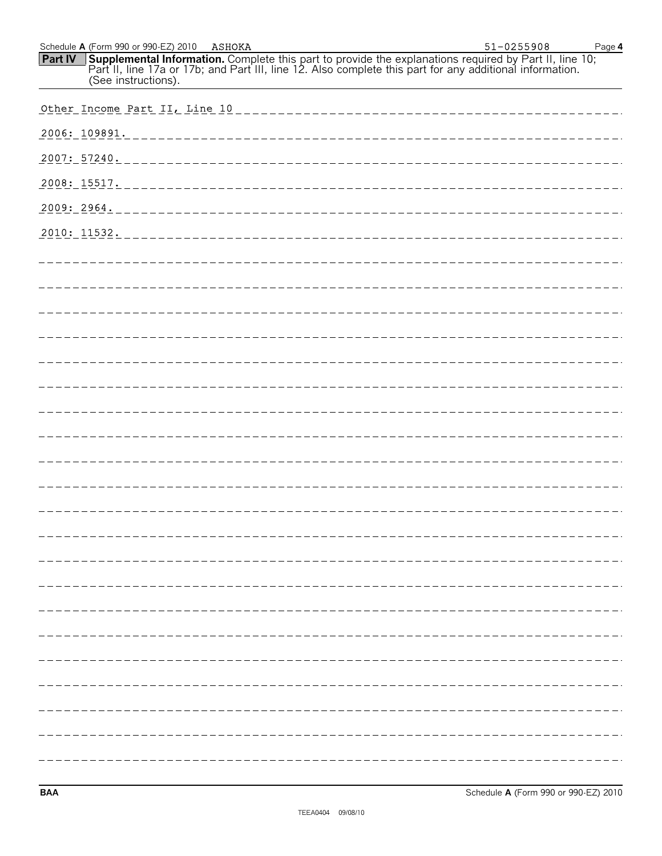| Schedule A (Form 990 or 990-EZ) 2010 ASHOKA                                                                                                                                                                                                          | 51-0255908<br>Page 4 |
|------------------------------------------------------------------------------------------------------------------------------------------------------------------------------------------------------------------------------------------------------|----------------------|
| Supplemental Information. Complete this part to provide the explanations required by Part II, line 10;<br>Part II, line 17a or 17b; and Part III, line 12. Also complete this part for any additional information.<br>Part IV<br>(See instructions). |                      |
|                                                                                                                                                                                                                                                      |                      |
|                                                                                                                                                                                                                                                      |                      |
|                                                                                                                                                                                                                                                      |                      |
|                                                                                                                                                                                                                                                      |                      |
|                                                                                                                                                                                                                                                      |                      |
| 2010: 11532.                                                                                                                                                                                                                                         |                      |
|                                                                                                                                                                                                                                                      |                      |
|                                                                                                                                                                                                                                                      |                      |
|                                                                                                                                                                                                                                                      |                      |
|                                                                                                                                                                                                                                                      |                      |
|                                                                                                                                                                                                                                                      |                      |
|                                                                                                                                                                                                                                                      |                      |
|                                                                                                                                                                                                                                                      |                      |
|                                                                                                                                                                                                                                                      |                      |
|                                                                                                                                                                                                                                                      |                      |
|                                                                                                                                                                                                                                                      |                      |
|                                                                                                                                                                                                                                                      |                      |
|                                                                                                                                                                                                                                                      |                      |
|                                                                                                                                                                                                                                                      |                      |
|                                                                                                                                                                                                                                                      |                      |
|                                                                                                                                                                                                                                                      |                      |
|                                                                                                                                                                                                                                                      |                      |
|                                                                                                                                                                                                                                                      |                      |
|                                                                                                                                                                                                                                                      |                      |
|                                                                                                                                                                                                                                                      |                      |
|                                                                                                                                                                                                                                                      |                      |
|                                                                                                                                                                                                                                                      |                      |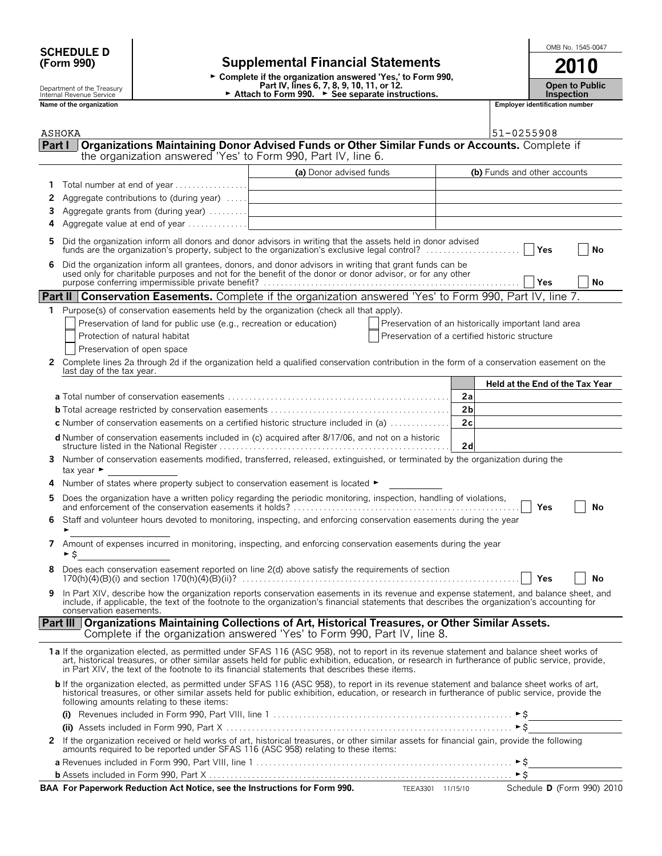# **SCHEDULE D and the set of the set of the set of the set of the set of the set of the set of the set of the set of the set of the set of the set of the set of the set of the set of the set of the set of the set of the se**

Department of the Treasury Internal Revenue Service

# **(Form 990) Supplemental Financial Statements 2010**

► Complete if the organization answered 'Yes,' to Form 990, **Part IV, lines 6, 7, 8, 9, 10, 11, or 12.** ► Attach to Form 990. ► See separate instructions.

|  | OMB No. 1545-0047 |
|--|-------------------|
|  |                   |

**Open to Public**

**Inspection Name of the organization** 

|        | ASHOKA                                                                                                                                                                                                                                                                                                                                                                                        |                         |                                                     | 51-0255908                      |
|--------|-----------------------------------------------------------------------------------------------------------------------------------------------------------------------------------------------------------------------------------------------------------------------------------------------------------------------------------------------------------------------------------------------|-------------------------|-----------------------------------------------------|---------------------------------|
| Part I | Organizations Maintaining Donor Advised Funds or Other Similar Funds or Accounts. Complete if                                                                                                                                                                                                                                                                                                 |                         |                                                     |                                 |
|        | the organization answered 'Yes' to Form 990, Part IV, line 6.                                                                                                                                                                                                                                                                                                                                 |                         |                                                     |                                 |
|        |                                                                                                                                                                                                                                                                                                                                                                                               | (a) Donor advised funds |                                                     | (b) Funds and other accounts    |
| 1      | Total number at end of year                                                                                                                                                                                                                                                                                                                                                                   |                         |                                                     |                                 |
| 2      | Aggregate contributions to (during year)                                                                                                                                                                                                                                                                                                                                                      |                         |                                                     |                                 |
| 3      |                                                                                                                                                                                                                                                                                                                                                                                               |                         |                                                     |                                 |
|        | Aggregate value at end of year $\dots\dots\dots\dots$                                                                                                                                                                                                                                                                                                                                         |                         |                                                     |                                 |
| 5      | Did the organization inform all donors and donor advisors in writing that the assets held in donor advised                                                                                                                                                                                                                                                                                    |                         |                                                     | No                              |
| 6      | Did the organization inform all grantees, donors, and donor advisors in writing that grant funds can be<br>used only for charitable purposes and not for the benefit of the donor or donor advisor, or for any other                                                                                                                                                                          |                         |                                                     | Yes<br>No                       |
|        | <b>Part II   Conservation Easements.</b> Complete if the organization answered 'Yes' to Form 990, Part IV, line 7.                                                                                                                                                                                                                                                                            |                         |                                                     |                                 |
| 1.     | Purpose(s) of conservation easements held by the organization (check all that apply).                                                                                                                                                                                                                                                                                                         |                         |                                                     |                                 |
|        | Preservation of land for public use (e.g., recreation or education)                                                                                                                                                                                                                                                                                                                           |                         | Preservation of an historically important land area |                                 |
|        | Protection of natural habitat                                                                                                                                                                                                                                                                                                                                                                 |                         | Preservation of a certified historic structure      |                                 |
|        | Preservation of open space                                                                                                                                                                                                                                                                                                                                                                    |                         |                                                     |                                 |
| 2      | Complete lines 2a through 2d if the organization held a qualified conservation contribution in the form of a conservation easement on the<br>last day of the tax year.                                                                                                                                                                                                                        |                         |                                                     |                                 |
|        |                                                                                                                                                                                                                                                                                                                                                                                               |                         |                                                     | Held at the End of the Tax Year |
|        |                                                                                                                                                                                                                                                                                                                                                                                               |                         | 2a                                                  |                                 |
|        |                                                                                                                                                                                                                                                                                                                                                                                               |                         | 2 <sub>b</sub>                                      |                                 |
|        | <b>c</b> Number of conservation easements on a certified historic structure included in (a) $\dots\dots\dots\dots$                                                                                                                                                                                                                                                                            |                         | 2c                                                  |                                 |
|        | d Number of conservation easements included in (c) acquired after 8/17/06, and not on a historic                                                                                                                                                                                                                                                                                              |                         | 2d                                                  |                                 |
| 3      | Number of conservation easements modified, transferred, released, extinguished, or terminated by the organization during the<br>tax year $\blacktriangleright$                                                                                                                                                                                                                                |                         |                                                     |                                 |
|        | Number of states where property subject to conservation easement is located ►                                                                                                                                                                                                                                                                                                                 |                         |                                                     |                                 |
| 5      |                                                                                                                                                                                                                                                                                                                                                                                               |                         |                                                     | Yes<br>No                       |
| 6      | Staff and volunteer hours devoted to monitoring, inspecting, and enforcing conservation easements during the year<br>٠                                                                                                                                                                                                                                                                        |                         |                                                     |                                 |
| 7      | Amount of expenses incurred in monitoring, inspecting, and enforcing conservation easements during the year<br>►\$                                                                                                                                                                                                                                                                            |                         |                                                     |                                 |
|        | Does each conservation easement reported on line 2(d) above satisfy the requirements of section                                                                                                                                                                                                                                                                                               |                         |                                                     | Yes<br>No                       |
| 9      | In Part XIV, describe how the organization reports conservation easements in its revenue and expense statement, and balance sheet, and<br>include, if applicable, the text of the footnote to the organization's financial statements that describes the organization's accounting for<br>conservation easements.                                                                             |                         |                                                     |                                 |
|        | Part III   Organizations Maintaining Collections of Art, Historical Treasures, or Other Similar Assets.<br>Complete if the organization answered 'Yes' to Form 990, Part IV, line 8.                                                                                                                                                                                                          |                         |                                                     |                                 |
|        | 1a If the organization elected, as permitted under SFAS 116 (ASC 958), not to report in its revenue statement and balance sheet works of<br>art, historical treasures, or other similar assets held for public exhibition, education, or research in furtherance of public service, provide,<br>in Part XIV, the text of the footnote to its financial statements that describes these items. |                         |                                                     |                                 |
|        | <b>b</b> If the organization elected, as permitted under SFAS 116 (ASC 958), to report in its revenue statement and balance sheet works of art,<br>historical treasures, or other similar assets held for public exhibition, education, or research in furtherance of public service, provide the<br>following amounts relating to these items:                                               |                         |                                                     |                                 |
|        |                                                                                                                                                                                                                                                                                                                                                                                               |                         |                                                     |                                 |
|        |                                                                                                                                                                                                                                                                                                                                                                                               |                         |                                                     |                                 |
|        | 2 If the organization received or held works of art, historical treasures, or other similar assets for financial gain, provide the following<br>amounts required to be reported under SFAS 116 (ASC 958) relating to these items:                                                                                                                                                             |                         |                                                     |                                 |
|        |                                                                                                                                                                                                                                                                                                                                                                                               |                         |                                                     |                                 |
|        |                                                                                                                                                                                                                                                                                                                                                                                               |                         |                                                     |                                 |
|        | BAA For Paperwork Reduction Act Notice, see the Instructions for Form 990. TEEA3301 11/15/10                                                                                                                                                                                                                                                                                                  |                         |                                                     | Schedule D (Form 990) 2010      |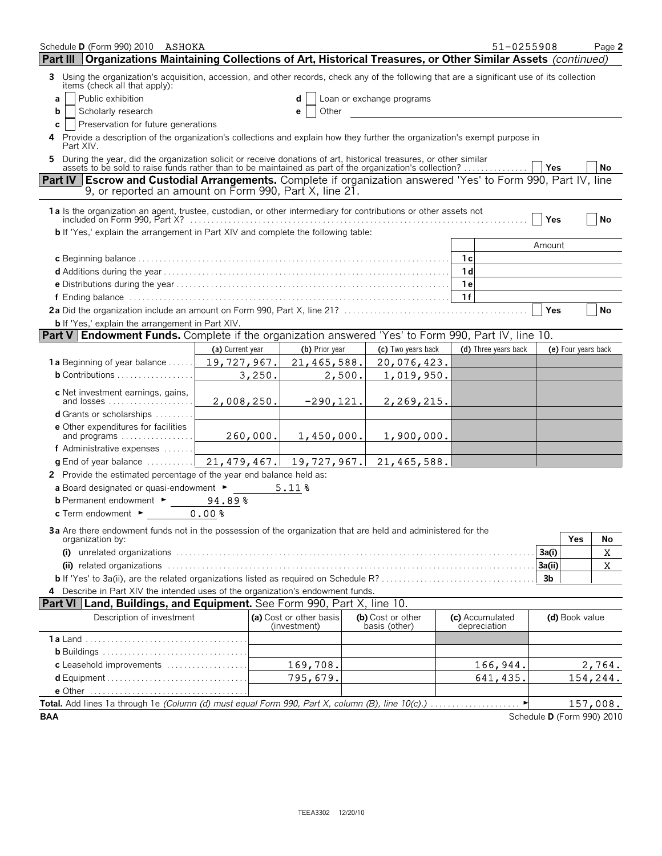| Schedule D (Form 990) 2010 ASHOKA<br>Organizations Maintaining Collections of Art, Historical Treasures, or Other Similar Assets (continued)<br>Part III                                                                      |                                                     |                                         |                                             | 51-0255908                      |            |                     | Page 2                     |
|-------------------------------------------------------------------------------------------------------------------------------------------------------------------------------------------------------------------------------|-----------------------------------------------------|-----------------------------------------|---------------------------------------------|---------------------------------|------------|---------------------|----------------------------|
| 3 Using the organization's acquisition, accession, and other records, check any of the following that are a significant use of its collection                                                                                 |                                                     |                                         |                                             |                                 |            |                     |                            |
| items (check all that apply):                                                                                                                                                                                                 |                                                     |                                         |                                             |                                 |            |                     |                            |
| a                                                                                                                                                                                                                             | Public exhibition<br>Loan or exchange programs<br>d |                                         |                                             |                                 |            |                     |                            |
| Scholarly research<br>b                                                                                                                                                                                                       | Other<br>e                                          |                                         |                                             |                                 |            |                     |                            |
| Preservation for future generations<br>C                                                                                                                                                                                      |                                                     |                                         |                                             |                                 |            |                     |                            |
| 4 Provide a description of the organization's collections and explain how they further the organization's exempt purpose in<br>Part XIV.                                                                                      |                                                     |                                         |                                             |                                 |            |                     |                            |
| 5 During the year, did the organization solicit or receive donations of art, historical treasures, or other similar assets to be sold to raise funds rather than to be maintained as part of the organization's collection? . |                                                     |                                         |                                             |                                 | <b>Yes</b> |                     | No                         |
| Part IV Escrow and Custodial Arrangements. Complete if organization answered 'Yes' to Form 990, Part IV, line<br>9, or reported an amount on Form 990, Part X, line 21.                                                       |                                                     |                                         |                                             |                                 |            |                     |                            |
|                                                                                                                                                                                                                               |                                                     |                                         |                                             |                                 | Yes        |                     | No                         |
| <b>b</b> If 'Yes,' explain the arrangement in Part XIV and complete the following table:                                                                                                                                      |                                                     |                                         |                                             |                                 |            |                     |                            |
|                                                                                                                                                                                                                               |                                                     |                                         |                                             |                                 | Amount     |                     |                            |
|                                                                                                                                                                                                                               |                                                     |                                         |                                             | -1 с                            |            |                     |                            |
|                                                                                                                                                                                                                               |                                                     |                                         |                                             | 1d                              |            |                     |                            |
|                                                                                                                                                                                                                               |                                                     |                                         |                                             | 1e                              |            |                     |                            |
|                                                                                                                                                                                                                               |                                                     |                                         |                                             | 1f                              |            |                     |                            |
|                                                                                                                                                                                                                               |                                                     |                                         |                                             |                                 | Yes        |                     | <b>No</b>                  |
| <b>b</b> If 'Yes,' explain the arrangement in Part XIV.                                                                                                                                                                       |                                                     |                                         |                                             |                                 |            |                     |                            |
| <b>Part V   Endowment Funds.</b> Complete if the organization answered 'Yes' to Form 990, Part IV, line 10.                                                                                                                   |                                                     |                                         |                                             |                                 |            |                     |                            |
|                                                                                                                                                                                                                               | (a) Current year                                    | (b) Prior year                          | (c) Two years back                          | (d) Three years back            |            | (e) Four years back |                            |
| <b>1a</b> Beginning of year balance $\dots$ .                                                                                                                                                                                 | 19,727,967.                                         | 21,465,588.                             | 20,076,423.                                 |                                 |            |                     |                            |
| <b>b</b> Contributions $\ldots \ldots \ldots \ldots \ldots$                                                                                                                                                                   | 3,250.                                              | 2,500.                                  | 1,019,950.                                  |                                 |            |                     |                            |
| c Net investment earnings, gains,<br>and losses                                                                                                                                                                               | 2,008,250.                                          | $-290, 121.$                            | 2,269,215.                                  |                                 |            |                     |                            |
| <b>d</b> Grants or scholarships                                                                                                                                                                                               |                                                     |                                         |                                             |                                 |            |                     |                            |
| e Other expenditures for facilities<br>and programs                                                                                                                                                                           | 260,000.                                            | 1,450,000.                              | 1,900,000.                                  |                                 |            |                     |                            |
| f Administrative expenses                                                                                                                                                                                                     |                                                     |                                         |                                             |                                 |            |                     |                            |
| $g$ End of year balance $\ldots \ldots \ldots$                                                                                                                                                                                |                                                     |                                         | $21, 479, 467.$ 19, 727, 967. 21, 465, 588. |                                 |            |                     |                            |
| 2 Provide the estimated percentage of the year end balance held as:                                                                                                                                                           |                                                     |                                         |                                             |                                 |            |                     |                            |
| a Board designated or quasi-endowment $\blacktriangleright$                                                                                                                                                                   |                                                     | 5.11%                                   |                                             |                                 |            |                     |                            |
| <b>b</b> Permanent endowment $\blacktriangleright$                                                                                                                                                                            | 94.89%                                              |                                         |                                             |                                 |            |                     |                            |
| $c$ Term endowment $\blacktriangleright$                                                                                                                                                                                      | 0.00%                                               |                                         |                                             |                                 |            |                     |                            |
| 3a Are there endowment funds not in the possession of the organization that are held and administered for the                                                                                                                 |                                                     |                                         |                                             |                                 |            |                     |                            |
| organization by:                                                                                                                                                                                                              |                                                     |                                         |                                             |                                 |            | Yes                 | No                         |
|                                                                                                                                                                                                                               |                                                     |                                         |                                             |                                 | 3a(i)      |                     | $\mathbf X$                |
|                                                                                                                                                                                                                               |                                                     |                                         |                                             |                                 | 3a(ii)     |                     | X                          |
|                                                                                                                                                                                                                               |                                                     |                                         |                                             |                                 | 3b         |                     |                            |
| 4 Describe in Part XIV the intended uses of the organization's endowment funds.                                                                                                                                               |                                                     |                                         |                                             |                                 |            |                     |                            |
| Part VI Land, Buildings, and Equipment. See Form 990, Part X, line 10.                                                                                                                                                        |                                                     |                                         |                                             |                                 |            |                     |                            |
| Description of investment                                                                                                                                                                                                     |                                                     | (a) Cost or other basis<br>(investment) | (b) Cost or other<br>basis (other)          | (c) Accumulated<br>depreciation |            | (d) Book value      |                            |
|                                                                                                                                                                                                                               |                                                     |                                         |                                             |                                 |            |                     |                            |
|                                                                                                                                                                                                                               |                                                     |                                         |                                             |                                 |            |                     |                            |
| c Leasehold improvements                                                                                                                                                                                                      |                                                     | 169,708.                                |                                             | 166,944.                        |            |                     | 2,764.                     |
|                                                                                                                                                                                                                               |                                                     | 795,679.                                |                                             | 641,435.                        |            |                     | 154,244.                   |
|                                                                                                                                                                                                                               |                                                     |                                         |                                             |                                 |            |                     |                            |
|                                                                                                                                                                                                                               |                                                     |                                         |                                             |                                 |            |                     | 157,008.                   |
| <b>BAA</b>                                                                                                                                                                                                                    |                                                     |                                         |                                             |                                 |            |                     | Schedule D (Form 990) 2010 |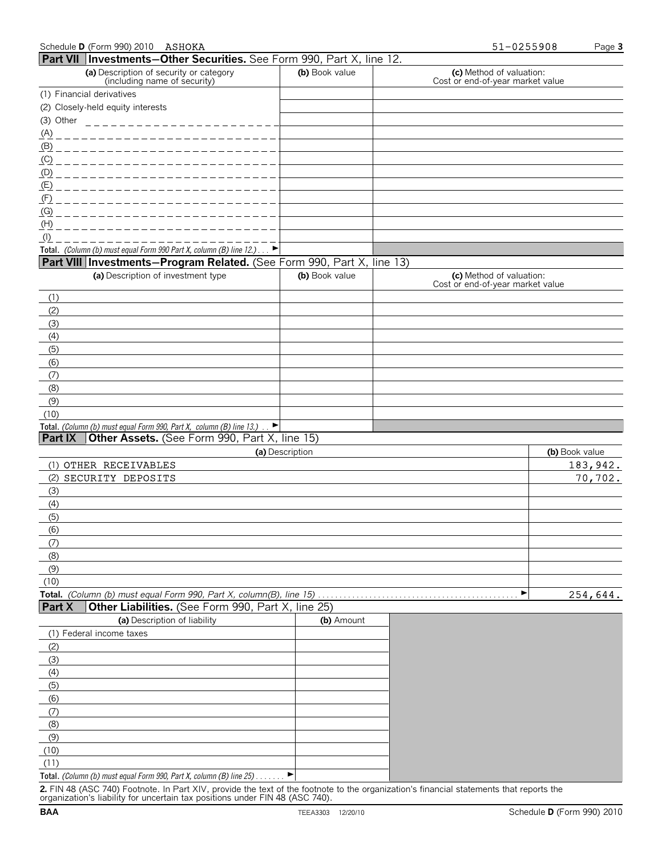|               | Schedule D (Form 990) 2010 ASHOKA                                                                          |                 | 51-0255908<br>Page 3                                         |                            |  |
|---------------|------------------------------------------------------------------------------------------------------------|-----------------|--------------------------------------------------------------|----------------------------|--|
|               | Part VII   Investments-Other Securities. See Form 990, Part X, line 12.                                    |                 |                                                              |                            |  |
|               | (a) Description of security or category<br>(including name of security)                                    | (b) Book value  | (c) Method of valuation:<br>Cost or end-of-year market value |                            |  |
|               | (1) Financial derivatives                                                                                  |                 |                                                              |                            |  |
|               | (2) Closely-held equity interests                                                                          |                 |                                                              |                            |  |
| (3) Other     | _________________________                                                                                  |                 |                                                              |                            |  |
| <u>(A)</u>    | ________________________                                                                                   |                 |                                                              |                            |  |
|               |                                                                                                            |                 |                                                              |                            |  |
|               |                                                                                                            |                 |                                                              |                            |  |
|               |                                                                                                            |                 |                                                              |                            |  |
|               | <u>(E) _______________________</u>                                                                         |                 |                                                              |                            |  |
| (F)           | _________________________                                                                                  |                 |                                                              |                            |  |
| (G)           | ------------------------                                                                                   |                 |                                                              |                            |  |
| (H)           |                                                                                                            |                 |                                                              |                            |  |
| $($ l $)$     |                                                                                                            |                 |                                                              |                            |  |
|               | Total. (Column (b) must equal Form 990 Part X, column (B) line $12.$ )                                     |                 |                                                              |                            |  |
|               | Part VIII Investments-Program Related. (See Form 990, Part X, line 13)                                     |                 |                                                              |                            |  |
|               | (a) Description of investment type                                                                         | (b) Book value  | (c) Method of valuation:<br>Cost or end-of-year market value |                            |  |
| (1)           |                                                                                                            |                 |                                                              |                            |  |
| (2)           |                                                                                                            |                 |                                                              |                            |  |
| (3)           |                                                                                                            |                 |                                                              |                            |  |
| (4)           |                                                                                                            |                 |                                                              |                            |  |
| (5)           |                                                                                                            |                 |                                                              |                            |  |
| (6)           |                                                                                                            |                 |                                                              |                            |  |
| (7)           |                                                                                                            |                 |                                                              |                            |  |
| (8)           |                                                                                                            |                 |                                                              |                            |  |
| (9)           |                                                                                                            |                 |                                                              |                            |  |
| (10)          |                                                                                                            |                 |                                                              |                            |  |
|               | Total. (Column (b) must equal Form 990, Part X, column (B) line 13.).<br>$\blacktriangleright$             |                 |                                                              |                            |  |
| Part IX       | Other Assets. (See Form 990, Part X, line 15)                                                              |                 |                                                              |                            |  |
|               | (1) OTHER RECEIVABLES                                                                                      | (a) Description |                                                              | (b) Book value<br>183,942. |  |
|               | (2) SECURITY DEPOSITS                                                                                      |                 |                                                              | 70,702.                    |  |
| (3)           |                                                                                                            |                 |                                                              |                            |  |
| (4)           |                                                                                                            |                 |                                                              |                            |  |
| (5)           |                                                                                                            |                 |                                                              |                            |  |
| (6)           |                                                                                                            |                 |                                                              |                            |  |
| (7)           |                                                                                                            |                 |                                                              |                            |  |
| (8)           |                                                                                                            |                 |                                                              |                            |  |
| (9)           |                                                                                                            |                 |                                                              |                            |  |
| (10)          |                                                                                                            |                 |                                                              |                            |  |
|               | Total. (Column (b) must equal Form 990, Part X, column(B), line 15)                                        |                 | ▶                                                            | 254,644.                   |  |
| <b>Part X</b> | Other Liabilities. (See Form 990, Part X, line 25)                                                         |                 |                                                              |                            |  |
|               | (a) Description of liability                                                                               | (b) Amount      |                                                              |                            |  |
|               | (1) Federal income taxes                                                                                   |                 |                                                              |                            |  |
| (2)           |                                                                                                            |                 |                                                              |                            |  |
| (3)           |                                                                                                            |                 |                                                              |                            |  |
| (4)           |                                                                                                            |                 |                                                              |                            |  |
| (5)           |                                                                                                            |                 |                                                              |                            |  |
| (6)           |                                                                                                            |                 |                                                              |                            |  |
| (7)           |                                                                                                            |                 |                                                              |                            |  |
| (8)           |                                                                                                            |                 |                                                              |                            |  |
| (9)           |                                                                                                            |                 |                                                              |                            |  |
| (10)          |                                                                                                            |                 |                                                              |                            |  |
| (11)          |                                                                                                            |                 |                                                              |                            |  |
|               | Total. (Column (b) must equal Form 990, Part X, column (B) line 25)<br>2 FIN 48 (ASC 740) Epotrato In Dart | of tha faatn    | financial ctatomonte                                         |                            |  |

**2.** FIN 48 (ASC 740) Footnote. In Part XIV, provide the text of the footnote to the organization's financial statements that reports the organization's liability for uncertain tax positions under FIN 48 (ASC 740).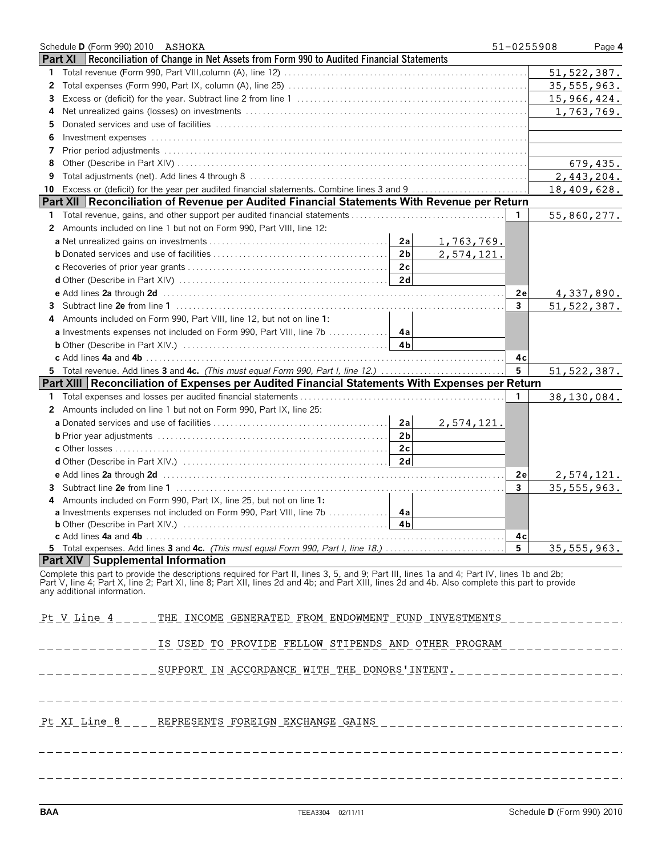|    | Schedule D (Form 990) 2010 ASHOKA                                                                                                                                             | 51-0255908      | Page 4        |
|----|-------------------------------------------------------------------------------------------------------------------------------------------------------------------------------|-----------------|---------------|
|    | <b>Part XI</b><br>Reconciliation of Change in Net Assets from Form 990 to Audited Financial Statements                                                                        |                 |               |
| 1  |                                                                                                                                                                               |                 | 51, 522, 387. |
| 2  |                                                                                                                                                                               |                 | 35, 555, 963. |
| 3  |                                                                                                                                                                               |                 | 15,966,424.   |
| 4  |                                                                                                                                                                               |                 | 1,763,769.    |
| 5  |                                                                                                                                                                               |                 |               |
| 6  | Investment expenses with contact the control of the control of the contact of the contact of the contact of the                                                               |                 |               |
| 7  |                                                                                                                                                                               |                 |               |
| 8  |                                                                                                                                                                               |                 | 679,435.      |
| 9  |                                                                                                                                                                               |                 | 2,443,204.    |
| 10 | Excess or (deficit) for the year per audited financial statements. Combine lines 3 and 9                                                                                      |                 | 18,409,628.   |
|    | Part XII   Reconciliation of Revenue per Audited Financial Statements With Revenue per Return                                                                                 |                 |               |
| 1. |                                                                                                                                                                               | $\mathbf{1}$    | 55,860,277.   |
| 2  | Amounts included on line 1 but not on Form 990, Part VIII, line 12:                                                                                                           |                 |               |
|    | 2a<br>1,763,769.                                                                                                                                                              |                 |               |
|    | 2 <sub>b</sub><br>2,574,121.                                                                                                                                                  |                 |               |
|    | 2c                                                                                                                                                                            |                 |               |
|    | 2d                                                                                                                                                                            |                 |               |
|    |                                                                                                                                                                               | 2е              | 4,337,890.    |
| 3  |                                                                                                                                                                               | $\overline{3}$  | 51, 522, 387. |
|    | Amounts included on Form 990, Part VIII, line 12, but not on line 1:                                                                                                          |                 |               |
| 4  |                                                                                                                                                                               |                 |               |
|    |                                                                                                                                                                               |                 |               |
|    |                                                                                                                                                                               |                 |               |
|    |                                                                                                                                                                               | 4с              |               |
|    | 5 Total revenue. Add lines 3 and 4c. (This must equal Form 990, Part I, line 12.)                                                                                             | $5\phantom{.0}$ | 51, 522, 387. |
|    | Part XIII Reconciliation of Expenses per Audited Financial Statements With Expenses per Return                                                                                |                 |               |
| 1  |                                                                                                                                                                               | 1               | 38,130,084.   |
| 2  | Amounts included on line 1 but not on Form 990, Part IX, line 25:                                                                                                             |                 |               |
|    | 2a<br>2,574,121.                                                                                                                                                              |                 |               |
|    | 2 <sub>b</sub>                                                                                                                                                                |                 |               |
|    | 2c                                                                                                                                                                            |                 |               |
|    | 2d                                                                                                                                                                            |                 |               |
|    |                                                                                                                                                                               | 2е              | 2,574,121.    |
| 3  |                                                                                                                                                                               | $\mathbf{3}$    | 35, 555, 963. |
|    | Amounts included on Form 990, Part IX, line 25, but not on line 1:                                                                                                            |                 |               |
|    | <b>a</b> Investments expenses not included on Form 990, Part VIII, line 7b<br>4a                                                                                              |                 |               |
|    | 4 <sub>b</sub>                                                                                                                                                                |                 |               |
|    | 5 Total expenses. Add lines 3 and 4c. (This must equal Form 990, Part I, line 18.)                                                                                            | 4с<br>5         | 35, 555, 963. |
|    | <b>Part XIV Supplemental Information</b>                                                                                                                                      |                 |               |
|    | Complete this part to provide the descriptions required for Part II, lines 3, 5, and 9; Part III, lines 1a and 4; Part IV, lines 1b and 2b;                                   |                 |               |
|    | Part V, line 4; Part X, line 2; Part XI, line 8; Part XII, lines 2d and 4b; and Part XIII, lines 2d and 4b. Also complete this part to provide<br>any additional information. |                 |               |
|    | Pt V Line 4<br>THE INCOME GENERATED FROM ENDOWMENT FUND INVESTMENTS                                                                                                           |                 |               |
|    | IS USED TO PROVIDE FELLOW STIPENDS AND OTHER PROGRAM                                                                                                                          |                 |               |
|    | SUPPORT IN ACCORDANCE WITH THE DONORS'INTENT.                                                                                                                                 |                 |               |
|    | Pt XI Line 8 REPRESENTS FOREIGN EXCHANGE GAINS                                                                                                                                |                 |               |
|    |                                                                                                                                                                               |                 |               |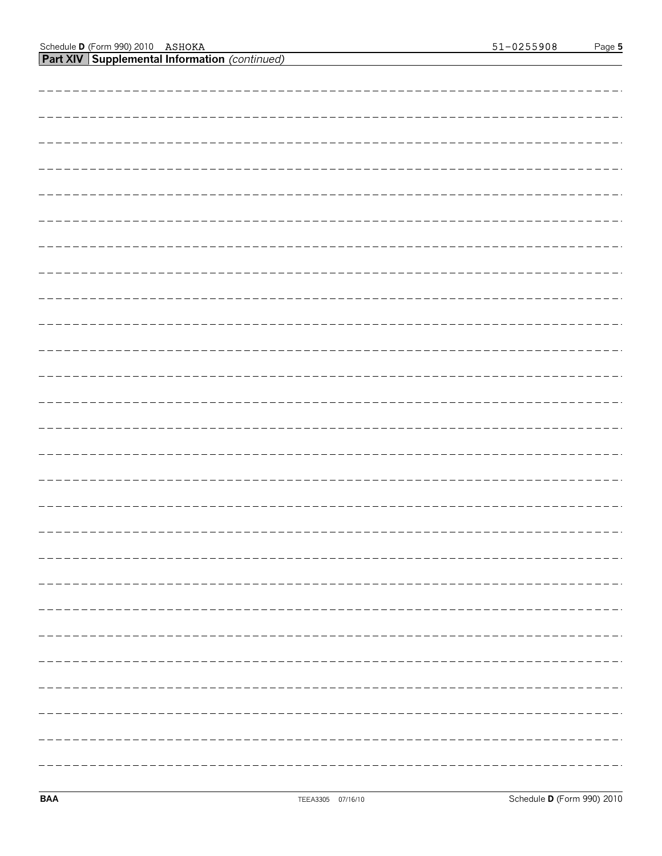**Part XIV Supplemental Information** *(continued)*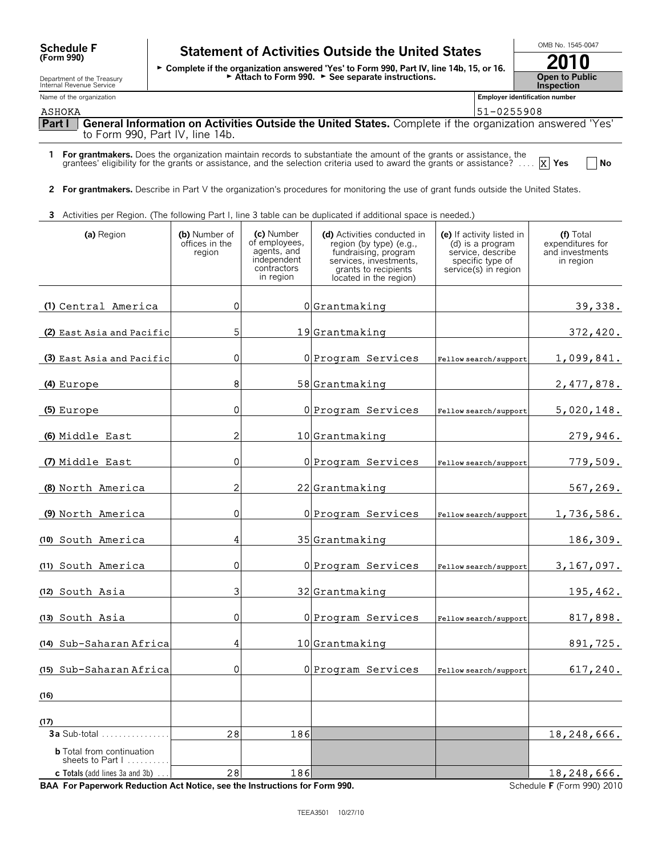| <b>Schedule F</b> |  |
|-------------------|--|
| (Form 990)        |  |

### Department of the Treasury Internal Revenue Service

#### Name of the organization **Employer identification number Employer identification number**

### **Statement of Activities Outside the United States** Schedule F Statement of Activities Outside the United States<br>
Form 990) Facomplete if the organization answered 'Yes' to Form 990, Part IV, line 14b, 15, or 16.

Attach to Form 990.  $\blacktriangleright$  See separate instructions.

| 2010                  |
|-----------------------|
| <b>Open to Public</b> |
| <b>Inspection</b>     |

ASHOKA 51-0255908 (51-0255908)

**Part I General Information on Activities Outside the United States.** Complete if the organization answered 'Yes' to Form 990, Part IV, line 14b.

**1 For grantmakers.** Does the organization maintain records to substantiate the amount of the grants or assistance, the grantees' eligibility for the grants or assistance, and the selection criteria used to award the grants or assistance? . . . . **Yes No** X Yes

**2 For grantmakers.** Describe in Part V the organization's procedures for monitoring the use of grant funds outside the United States.

**3** Activities per Region. (The following Part I, line 3 table can be duplicated if additional space is needed.)

| (a) Region                                           | (b) Number of<br>offices in the<br>region | (c) Number<br>of employees,<br>agents, and<br>independent<br>contractors<br>in region | (d) Activities conducted in<br>region (by type) (e.g.,<br>fundraising, program<br>services, investments.<br>grants to recipients<br>located in the region) | (e) If activity listed in<br>(d) is a program<br>service, describe<br>specific type of<br>service(s) in region | (f) Total<br>expenditures for<br>and investments<br>in region |
|------------------------------------------------------|-------------------------------------------|---------------------------------------------------------------------------------------|------------------------------------------------------------------------------------------------------------------------------------------------------------|----------------------------------------------------------------------------------------------------------------|---------------------------------------------------------------|
| (1) Central America                                  | οI                                        |                                                                                       | $0 $ Grantmaking                                                                                                                                           |                                                                                                                | 39,338.                                                       |
| (2) East Asia and Pacific                            | 5 <sub>l</sub>                            |                                                                                       | 19Grantmaking                                                                                                                                              |                                                                                                                | 372,420.                                                      |
| (3) East Asia and Pacific                            | 0                                         |                                                                                       | 0 Program Services                                                                                                                                         | Fellow search/support                                                                                          | 1,099,841.                                                    |
| (4) Europe                                           | 8                                         |                                                                                       | $58 $ Grantmaking                                                                                                                                          |                                                                                                                | 2,477,878.                                                    |
| (5) Europe                                           | 0                                         |                                                                                       | 0 Program Services                                                                                                                                         | Fellow search/support                                                                                          | <u>5,020,148.</u>                                             |
| (6) Middle East                                      | $\overline{2}$                            |                                                                                       | $10$  Grantmaking                                                                                                                                          |                                                                                                                | 279,946.                                                      |
| (7) Middle East                                      | $\overline{0}$                            |                                                                                       | 0 Program Services                                                                                                                                         | Fellow search/support                                                                                          | 779,509.                                                      |
| (8) North America                                    | $\overline{2}$                            |                                                                                       | $22$ Grantmaking                                                                                                                                           |                                                                                                                | 567,269.                                                      |
| (9) North America                                    | 0                                         |                                                                                       | 0 Program Services                                                                                                                                         | Fellow search/support                                                                                          | 1,736,586.                                                    |
| (10) South America                                   | $\vert 4 \vert$                           |                                                                                       | 35 Grantmaking                                                                                                                                             |                                                                                                                | 186,309.                                                      |
| (11) South America                                   | $\overline{0}$                            |                                                                                       | 0 Program Services                                                                                                                                         | Fellow search/support                                                                                          | 3,167,097.                                                    |
| (12) South Asia                                      | $\overline{\mathbf{3}}$                   |                                                                                       | 32 Grantmaking                                                                                                                                             |                                                                                                                | 195,462.                                                      |
| (13) South Asia                                      | $\Omega$                                  |                                                                                       | 0 Program Services                                                                                                                                         | Fellow search/support                                                                                          | 817,898.                                                      |
| (14) Sub-Saharan Africa                              | $\overline{4}$                            |                                                                                       | $10$  Grantmaking                                                                                                                                          |                                                                                                                | 891,725.                                                      |
| (15) Sub-Saharan Africa                              | οI                                        |                                                                                       | 0 Program Services                                                                                                                                         | Fellow search/support                                                                                          | 617,240.                                                      |
| (16)                                                 |                                           |                                                                                       |                                                                                                                                                            |                                                                                                                |                                                               |
| (17)                                                 |                                           |                                                                                       |                                                                                                                                                            |                                                                                                                |                                                               |
|                                                      | 28                                        | 186                                                                                   |                                                                                                                                                            |                                                                                                                | 18,248,666.                                                   |
| <b>b</b> Total from continuation<br>sheets to Part I |                                           |                                                                                       |                                                                                                                                                            |                                                                                                                |                                                               |
| <b>c</b> Totals (add lines $3a$ and $3b$ ) $\ldots$  | 28                                        | 186                                                                                   |                                                                                                                                                            |                                                                                                                | 18,248,666.                                                   |

BAA For Paperwork Reduction Act Notice, see the Instructions for Form 990. Schedule F (Form 990) 2010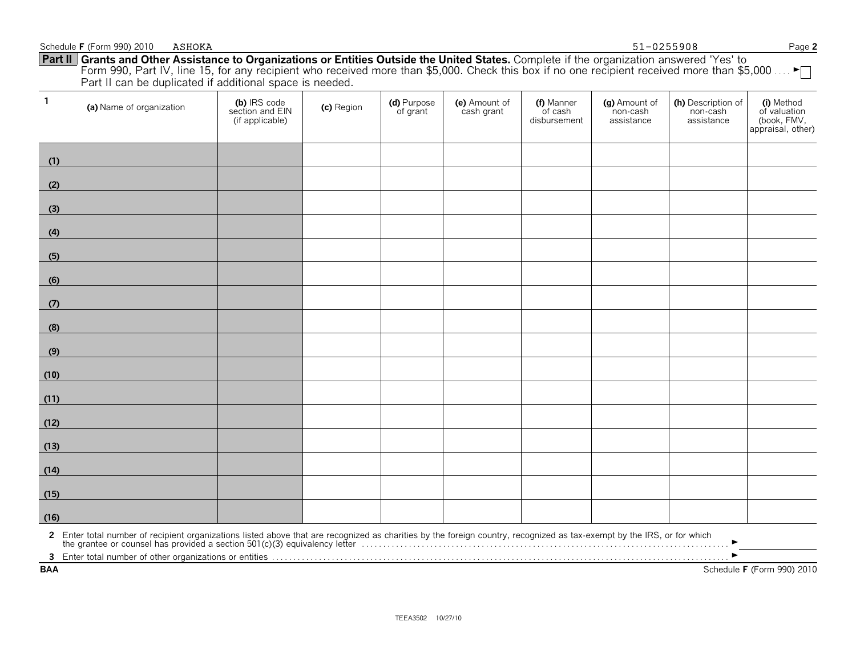| $\mathbf{1}$ | (a) Name of organization                                                                                                                                                                                                          | (b) IRS code<br>section and EIN<br>(if applicable) | (c) Region | (d) Purpose<br>of grant | (e) Amount of<br>cash grant | (f) Manner<br>of cash<br>disbursement | (g) Amount of<br>non-cash<br>assistance | (h) Description of<br>non-cash<br>assistance | (i) Method<br>of valuation<br>(book, FMV,<br>appraisal, other) |
|--------------|-----------------------------------------------------------------------------------------------------------------------------------------------------------------------------------------------------------------------------------|----------------------------------------------------|------------|-------------------------|-----------------------------|---------------------------------------|-----------------------------------------|----------------------------------------------|----------------------------------------------------------------|
| (1)          |                                                                                                                                                                                                                                   |                                                    |            |                         |                             |                                       |                                         |                                              |                                                                |
| (2)          |                                                                                                                                                                                                                                   |                                                    |            |                         |                             |                                       |                                         |                                              |                                                                |
| (3)          |                                                                                                                                                                                                                                   |                                                    |            |                         |                             |                                       |                                         |                                              |                                                                |
| (4)          |                                                                                                                                                                                                                                   |                                                    |            |                         |                             |                                       |                                         |                                              |                                                                |
| (5)          |                                                                                                                                                                                                                                   |                                                    |            |                         |                             |                                       |                                         |                                              |                                                                |
| (6)          |                                                                                                                                                                                                                                   |                                                    |            |                         |                             |                                       |                                         |                                              |                                                                |
| (7)          |                                                                                                                                                                                                                                   |                                                    |            |                         |                             |                                       |                                         |                                              |                                                                |
| (8)          |                                                                                                                                                                                                                                   |                                                    |            |                         |                             |                                       |                                         |                                              |                                                                |
| (9)          |                                                                                                                                                                                                                                   |                                                    |            |                         |                             |                                       |                                         |                                              |                                                                |
| (10)         |                                                                                                                                                                                                                                   |                                                    |            |                         |                             |                                       |                                         |                                              |                                                                |
| (11)         |                                                                                                                                                                                                                                   |                                                    |            |                         |                             |                                       |                                         |                                              |                                                                |
| (12)         |                                                                                                                                                                                                                                   |                                                    |            |                         |                             |                                       |                                         |                                              |                                                                |
| (13)         |                                                                                                                                                                                                                                   |                                                    |            |                         |                             |                                       |                                         |                                              |                                                                |
| (14)         |                                                                                                                                                                                                                                   |                                                    |            |                         |                             |                                       |                                         |                                              |                                                                |
| (15)         |                                                                                                                                                                                                                                   |                                                    |            |                         |                             |                                       |                                         |                                              |                                                                |
| (16)         |                                                                                                                                                                                                                                   |                                                    |            |                         |                             |                                       |                                         |                                              |                                                                |
|              | 2 Enter total number of recipient organizations listed above that are recognized as charities by the foreign country, recognized as tax-exempt by the IRS, or for which<br>the grantee or counsel has provided a section 501(c)(3 |                                                    |            |                         |                             |                                       |                                         |                                              |                                                                |
|              |                                                                                                                                                                                                                                   |                                                    |            |                         |                             |                                       |                                         |                                              |                                                                |
| <b>BAA</b>   |                                                                                                                                                                                                                                   |                                                    |            |                         |                             |                                       |                                         |                                              | Schedule F (Form 990) 2010                                     |

#### Schedule **F** (Form 990) 2010 Page **2 Part II Grants and Other Assistance to Organizations or Entities Outside the United States.** Complete if the organization answered 'Yes' to Form 990, Part IV, line 15, for any recipient who received more than \$5,000. Check this box if no one recipient received more than \$5,000 …. ► Part II can be duplicated if additional space is needed. ASHOKA 51-0255908

┯

┯

 $\top$ 

┯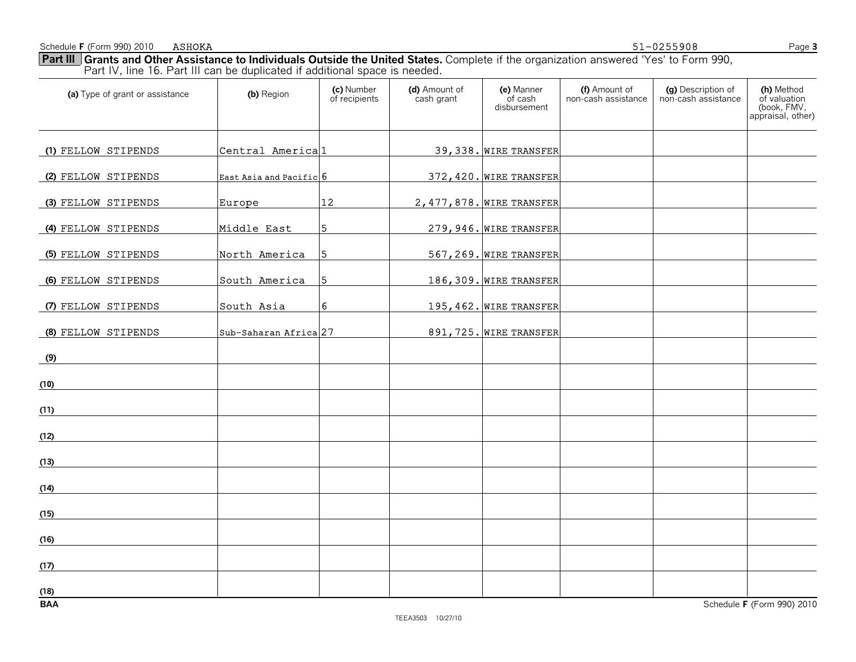Schedule **F** (Form 990) 2010 ASHOKA Page 3

ASHOKA 51-0255908

**Part III Grants and Other Assistance to Individuals Outside the United States.** Complete if the organization answered 'Yes' to Form 990, Part IV, line 16. Part III can be duplicated if additional space is needed.

| (a) Type of grant or assistance | (b) Region                       | (c) Number<br>of recipients | (d) Amount of<br>cash grant | (e) Manner<br>of cash<br>disbursement | (f) Amount of<br>non-cash assistance | (g) Description of<br>non-cash assistance | (h) Method<br>of valuation<br>(book, FMV,<br>appraisal, other) |
|---------------------------------|----------------------------------|-----------------------------|-----------------------------|---------------------------------------|--------------------------------------|-------------------------------------------|----------------------------------------------------------------|
| (1) FELLOW STIPENDS             | Central Americal1                |                             |                             | 39, 338. WIRE TRANSFER                |                                      |                                           |                                                                |
| (2) FELLOW STIPENDS             | East Asia and Pacific 6          |                             |                             | 372, 420. WIRE TRANSFER               |                                      |                                           |                                                                |
| (3) FELLOW STIPENDS             | Europe                           | 12                          |                             | 2, 477, 878. WIRE TRANSFER            |                                      |                                           |                                                                |
| (4) FELLOW STIPENDS             | Middle East                      | 5 <sub>1</sub>              |                             | 279, 946. WIRE TRANSFER               |                                      |                                           |                                                                |
| (5) FELLOW STIPENDS             | North America                    | 5                           |                             | 567, 269. WIRE TRANSFER               |                                      |                                           |                                                                |
| (6) FELLOW STIPENDS             | South America                    | 5                           |                             | 186, 309. WIRE TRANSFER               |                                      |                                           |                                                                |
| (7) FELLOW STIPENDS             | South Asia                       | $6\phantom{.}6$             |                             | $195, 462.$ WIRE TRANSFER             |                                      |                                           |                                                                |
| (8) FELLOW STIPENDS             | Sub-Saharan Africa <sup>27</sup> |                             |                             | 891, 725. WIRE TRANSFER               |                                      |                                           |                                                                |
| (9)                             |                                  |                             |                             |                                       |                                      |                                           |                                                                |
| (10)                            |                                  |                             |                             |                                       |                                      |                                           |                                                                |
| (11)                            |                                  |                             |                             |                                       |                                      |                                           |                                                                |
| (12)                            |                                  |                             |                             |                                       |                                      |                                           |                                                                |
| (13)                            |                                  |                             |                             |                                       |                                      |                                           |                                                                |
| (14)                            |                                  |                             |                             |                                       |                                      |                                           |                                                                |
| (15)                            |                                  |                             |                             |                                       |                                      |                                           |                                                                |
| (16)                            |                                  |                             |                             |                                       |                                      |                                           |                                                                |
| (17)                            |                                  |                             |                             |                                       |                                      |                                           |                                                                |
| (18)<br><b>BAA</b>              |                                  |                             |                             |                                       |                                      |                                           | Schedule F (Form 990) 2010                                     |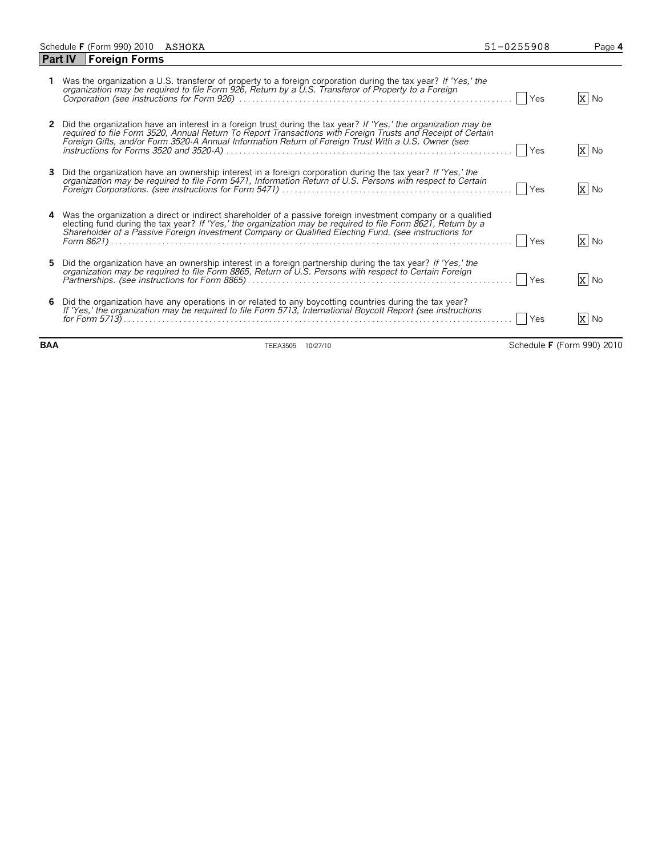|    | Schedule F (Form 990) 2010 ASHOKA |                                                                                                                                                                                                                                                                                                                                         | 51-0255908<br>Page 4 |  |
|----|-----------------------------------|-----------------------------------------------------------------------------------------------------------------------------------------------------------------------------------------------------------------------------------------------------------------------------------------------------------------------------------------|----------------------|--|
|    | Part IV   Foreign Forms           |                                                                                                                                                                                                                                                                                                                                         |                      |  |
|    |                                   | Was the organization a U.S. transferor of property to a foreign corporation during the tax year? If 'Yes,' the<br>organization may be required to file Form 926, Return by a U.S. Transferor of Property to a Foreign                                                                                                                   | X No<br><b>Yes</b>   |  |
| 2  |                                   | Did the organization have an interest in a foreign trust during the tax year? If 'Yes,' the organization may be<br>required to file Form 3520, Annual Return To Report Transactions with Foreign Trusts and Receipt of Certain<br>Foreign Gifts, and/or Form 3520-A Annual Information Return of Foreign Trust With a U.S. Owner (see   | X No<br>Yes          |  |
| 3. |                                   | Did the organization have an ownership interest in a foreign corporation during the tax year? If 'Yes,' the<br>organization may be required to file Form 5471, Information Return of U.S. Persons with respect to Certain                                                                                                               | X No<br><b>Yes</b>   |  |
|    |                                   | 4 Was the organization a direct or indirect shareholder of a passive foreign investment company or a qualified<br>electing fund during the tax year? If 'Yes,' the organization may be required to file Form 8621, Return by a<br>Shareholder of a Passive Foreign Investment Company or Qualified Electing Fund. (see instructions for | X No<br>Yes          |  |
| 5. |                                   | Did the organization have an ownership interest in a foreign partnership during the tax year? If 'Yes,' the<br>organization may be required to file Form 8865, Return of U.S. Persons with respect to Certain Foreign                                                                                                                   | X No<br><b>Yes</b>   |  |
|    |                                   | 6 Did the organization have any operations in or related to any boycotting countries during the tax year?<br>If 'Yes,' the organization may be required to file Form 5713, International Boycott Report (see instructions                                                                                                               | X No<br>Yes          |  |

**BAA** TEEA3505 10/27/10 Schedule **F** (Form 990) 2010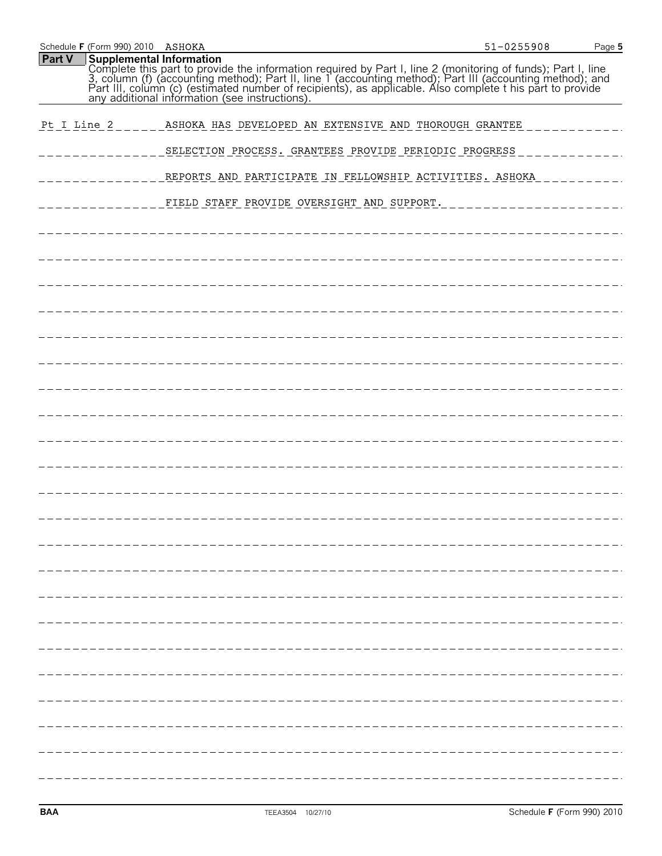| <b>Part V</b><br><b>Supplemental Information</b><br>Complete this part to provide the information required by Part I, line 2 (monitoring of funds); Part I, line 3, column (f) (accounting method); Part II, line 1 (accounting method); Part III (accounting method); and Part II<br>Pt I Line 2<br>ASHOKA HAS DEVELOPED AN EXTENSIVE AND THOROUGH GRANTEE<br>SELECTION PROCESS. GRANTEES PROVIDE PERIODIC PROGRESS<br>REPORTS AND PARTICIPATE IN FELLOWSHIP ACTIVITIES. ASHOKA<br>FIELD STAFF PROVIDE OVERSIGHT AND SUPPORT. | Schedule F (Form 990) 2010 ASHOKA | 51-0255908 | Page 5 |
|--------------------------------------------------------------------------------------------------------------------------------------------------------------------------------------------------------------------------------------------------------------------------------------------------------------------------------------------------------------------------------------------------------------------------------------------------------------------------------------------------------------------------------|-----------------------------------|------------|--------|
|                                                                                                                                                                                                                                                                                                                                                                                                                                                                                                                                |                                   |            |        |
|                                                                                                                                                                                                                                                                                                                                                                                                                                                                                                                                |                                   |            |        |
|                                                                                                                                                                                                                                                                                                                                                                                                                                                                                                                                |                                   |            |        |
|                                                                                                                                                                                                                                                                                                                                                                                                                                                                                                                                |                                   |            |        |
|                                                                                                                                                                                                                                                                                                                                                                                                                                                                                                                                |                                   |            |        |
|                                                                                                                                                                                                                                                                                                                                                                                                                                                                                                                                |                                   |            |        |
|                                                                                                                                                                                                                                                                                                                                                                                                                                                                                                                                |                                   |            |        |
|                                                                                                                                                                                                                                                                                                                                                                                                                                                                                                                                |                                   |            |        |
|                                                                                                                                                                                                                                                                                                                                                                                                                                                                                                                                |                                   |            |        |
|                                                                                                                                                                                                                                                                                                                                                                                                                                                                                                                                |                                   |            |        |
|                                                                                                                                                                                                                                                                                                                                                                                                                                                                                                                                |                                   |            |        |
|                                                                                                                                                                                                                                                                                                                                                                                                                                                                                                                                |                                   |            |        |
|                                                                                                                                                                                                                                                                                                                                                                                                                                                                                                                                |                                   |            |        |
|                                                                                                                                                                                                                                                                                                                                                                                                                                                                                                                                |                                   |            |        |
|                                                                                                                                                                                                                                                                                                                                                                                                                                                                                                                                |                                   |            |        |
|                                                                                                                                                                                                                                                                                                                                                                                                                                                                                                                                |                                   |            |        |
|                                                                                                                                                                                                                                                                                                                                                                                                                                                                                                                                |                                   |            |        |
|                                                                                                                                                                                                                                                                                                                                                                                                                                                                                                                                |                                   |            |        |
|                                                                                                                                                                                                                                                                                                                                                                                                                                                                                                                                |                                   |            |        |
|                                                                                                                                                                                                                                                                                                                                                                                                                                                                                                                                |                                   |            |        |
|                                                                                                                                                                                                                                                                                                                                                                                                                                                                                                                                |                                   |            |        |
|                                                                                                                                                                                                                                                                                                                                                                                                                                                                                                                                |                                   |            |        |
|                                                                                                                                                                                                                                                                                                                                                                                                                                                                                                                                |                                   |            |        |
|                                                                                                                                                                                                                                                                                                                                                                                                                                                                                                                                |                                   |            |        |
|                                                                                                                                                                                                                                                                                                                                                                                                                                                                                                                                |                                   |            |        |
|                                                                                                                                                                                                                                                                                                                                                                                                                                                                                                                                |                                   |            |        |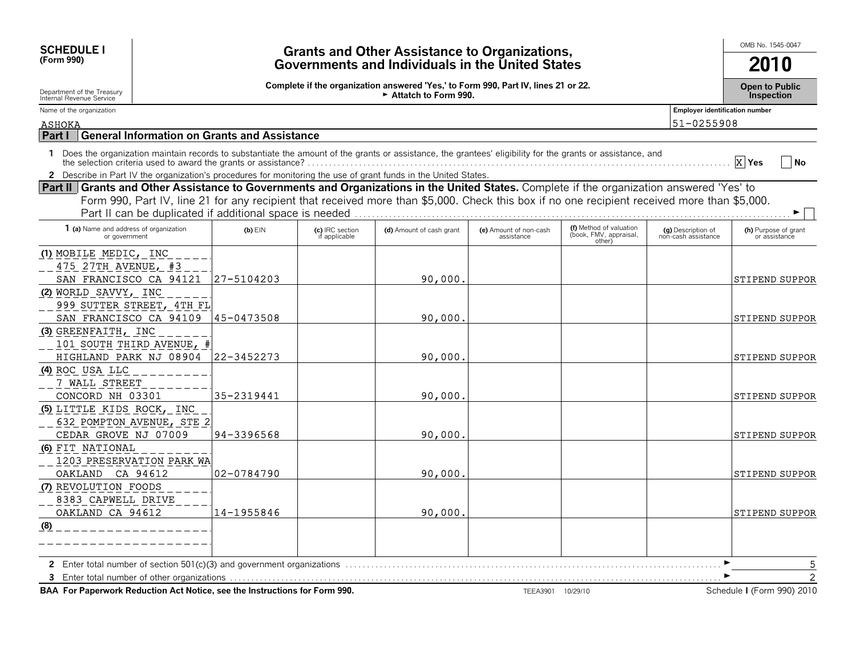| <b>SCHEDULE I</b><br>(Form 990)                                                                                                                                                                                                                                                                                                                      |                                                                                                                                                   |                                  | <b>Grants and Other Assistance to Organizations,</b><br>Governments and Individuals in the United States |                                      |                                                             |                                           | OMB No. 1545-0047<br>2010                         |  |  |  |
|------------------------------------------------------------------------------------------------------------------------------------------------------------------------------------------------------------------------------------------------------------------------------------------------------------------------------------------------------|---------------------------------------------------------------------------------------------------------------------------------------------------|----------------------------------|----------------------------------------------------------------------------------------------------------|--------------------------------------|-------------------------------------------------------------|-------------------------------------------|---------------------------------------------------|--|--|--|
| Department of the Treasury<br>Internal Revenue Service                                                                                                                                                                                                                                                                                               | Complete if the organization answered 'Yes,' to Form 990, Part IV, lines 21 or 22.<br><b>Open to Public</b><br>Attatch to Form 990.<br>Inspection |                                  |                                                                                                          |                                      |                                                             |                                           |                                                   |  |  |  |
| Name of the organization                                                                                                                                                                                                                                                                                                                             |                                                                                                                                                   |                                  |                                                                                                          |                                      |                                                             | <b>Employer identification number</b>     |                                                   |  |  |  |
| <b>ASHOKA</b>                                                                                                                                                                                                                                                                                                                                        |                                                                                                                                                   |                                  |                                                                                                          |                                      |                                                             | 51-0255908                                |                                                   |  |  |  |
| <b>General Information on Grants and Assistance</b><br>Part I                                                                                                                                                                                                                                                                                        |                                                                                                                                                   |                                  |                                                                                                          |                                      |                                                             |                                           |                                                   |  |  |  |
| Does the organization maintain records to substantiate the amount of the grants or assistance, the grantees' eligibility for the grants or assistance, and<br>$\mathbf{1}$                                                                                                                                                                           |                                                                                                                                                   |                                  |                                                                                                          |                                      |                                                             |                                           | X Yes<br>  No                                     |  |  |  |
| 2 Describe in Part IV the organization's procedures for monitoring the use of grant funds in the United States.                                                                                                                                                                                                                                      |                                                                                                                                                   |                                  |                                                                                                          |                                      |                                                             |                                           |                                                   |  |  |  |
| Part II Grants and Other Assistance to Governments and Organizations in the United States. Complete if the organization answered 'Yes' to<br>Form 990, Part IV, line 21 for any recipient that received more than \$5,000. Check this box if no one recipient received more than \$5,000.<br>Part II can be duplicated if additional space is needed |                                                                                                                                                   |                                  |                                                                                                          |                                      |                                                             |                                           |                                                   |  |  |  |
| 1 (a) Name and address of organization<br>or government                                                                                                                                                                                                                                                                                              | $(b)$ EIN                                                                                                                                         | (c) IRC section<br>if applicable | (d) Amount of cash grant                                                                                 | (e) Amount of non-cash<br>assistance | (f) Method of valuation<br>(book, FMV, appraisal,<br>other) | (g) Description of<br>non-cash assistance | (h) Purpose of grant<br>or assistance             |  |  |  |
| (1) MOBILE MEDIC, INC<br>475 27TH AVENUE, #3<br>SAN FRANCISCO CA 94121                                                                                                                                                                                                                                                                               | 27-5104203                                                                                                                                        |                                  | 90,000.                                                                                                  |                                      |                                                             |                                           | <b>STIPEND SUPPOR</b>                             |  |  |  |
| (2) WORLD SAVVY, INC<br>999 SUTTER STREET, 4TH FL<br>SAN FRANCISCO CA 94109                                                                                                                                                                                                                                                                          | 45-0473508                                                                                                                                        |                                  | 90,000                                                                                                   |                                      |                                                             |                                           | <b>STIPEND SUPPOR</b>                             |  |  |  |
| (3) GREENFAITH, INC<br>101 SOUTH THIRD AVENUE, #<br>HIGHLAND PARK NJ 08904                                                                                                                                                                                                                                                                           | 122-3452273                                                                                                                                       |                                  | 90,000.                                                                                                  |                                      |                                                             |                                           | <b>STIPEND SUPPOR</b>                             |  |  |  |
| (4) ROC USA LLC<br>7 WALL STREET<br>CONCORD NH 03301                                                                                                                                                                                                                                                                                                 | 35-2319441                                                                                                                                        |                                  | 90,000                                                                                                   |                                      |                                                             |                                           | STIPEND SUPPOR                                    |  |  |  |
| (5) LITTLE KIDS ROCK, INC<br>632 POMPTON AVENUE, STE 2<br>CEDAR GROVE NJ 07009                                                                                                                                                                                                                                                                       | 94-3396568                                                                                                                                        |                                  | 90,000.                                                                                                  |                                      |                                                             |                                           | STIPEND SUPPOR                                    |  |  |  |
| (6) FIT NATIONAL<br>1203 PRESERVATION PARK WA<br>OAKLAND CA 94612                                                                                                                                                                                                                                                                                    | 02-0784790                                                                                                                                        |                                  | 90,000.                                                                                                  |                                      |                                                             |                                           | <b>STIPEND SUPPOR</b>                             |  |  |  |
| (7) REVOLUTION FOODS<br>8383 CAPWELL DRIVE<br>OAKLAND CA 94612                                                                                                                                                                                                                                                                                       | 14-1955846                                                                                                                                        |                                  | 90,000.                                                                                                  |                                      |                                                             |                                           | <b>STIPEND SUPPOR</b>                             |  |  |  |
| (8)                                                                                                                                                                                                                                                                                                                                                  |                                                                                                                                                   |                                  |                                                                                                          |                                      |                                                             |                                           |                                                   |  |  |  |
| BAA For Paperwork Reduction Act Notice, see the Instructions for Form 990.                                                                                                                                                                                                                                                                           |                                                                                                                                                   |                                  |                                                                                                          | TEEA3901 10/29/10                    |                                                             |                                           | 5<br>$\overline{2}$<br>Schedule I (Form 990) 2010 |  |  |  |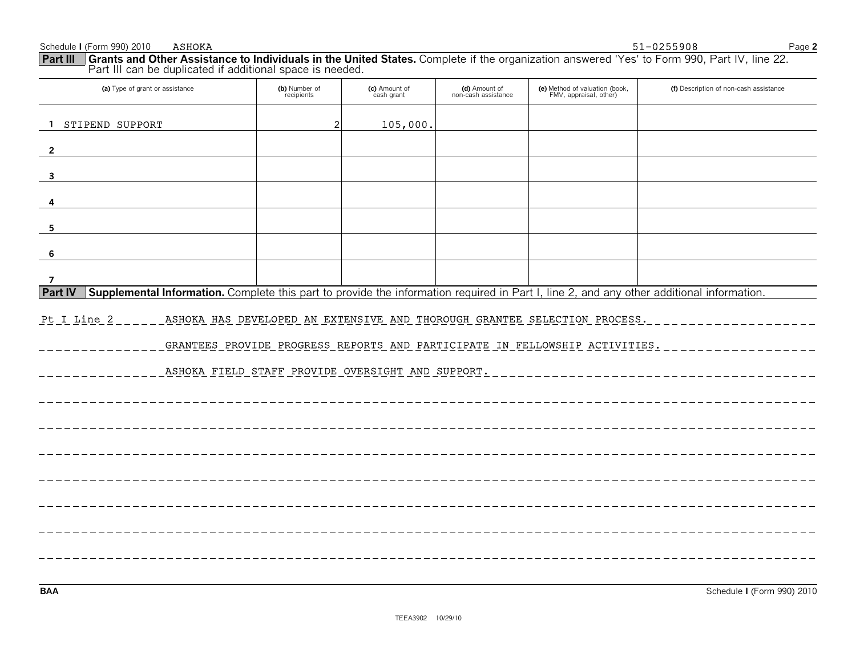| (a) Type of grant or assistance                                                                                                                             | (b) Number of<br>recipients                       | (c) Amount of<br>cash grant | (d) Amount of<br>non-cash assistance | (e) Method of valuation (book,<br>FMV, appraisal, other)                                                                                                 | (f) Description of non-cash assistance |
|-------------------------------------------------------------------------------------------------------------------------------------------------------------|---------------------------------------------------|-----------------------------|--------------------------------------|----------------------------------------------------------------------------------------------------------------------------------------------------------|----------------------------------------|
| STIPEND SUPPORT<br>$\mathbf{1}$                                                                                                                             | 2                                                 | 105,000.                    |                                      |                                                                                                                                                          |                                        |
| $\overline{2}$                                                                                                                                              |                                                   |                             |                                      |                                                                                                                                                          |                                        |
| $\mathbf{3}$                                                                                                                                                |                                                   |                             |                                      |                                                                                                                                                          |                                        |
|                                                                                                                                                             |                                                   |                             |                                      |                                                                                                                                                          |                                        |
| -5                                                                                                                                                          |                                                   |                             |                                      |                                                                                                                                                          |                                        |
| -6                                                                                                                                                          |                                                   |                             |                                      |                                                                                                                                                          |                                        |
| 7                                                                                                                                                           |                                                   |                             |                                      |                                                                                                                                                          |                                        |
| Supplemental Information. Complete this part to provide the information required in Part I, line 2, and any other additional information.<br><b>Part IV</b> |                                                   |                             |                                      |                                                                                                                                                          |                                        |
| Pt I Line 2                                                                                                                                                 | ASHOKA FIELD STAFF PROVIDE OVERSIGHT AND SUPPORT. |                             |                                      | ASHOKA HAS DEVELOPED AN EXTENSIVE AND THOROUGH GRANTEE SELECTION PROCESS.<br>GRANTEES PROVIDE PROGRESS REPORTS AND PARTICIPATE IN FELLOWSHIP ACTIVITIES. |                                        |
|                                                                                                                                                             |                                                   |                             |                                      |                                                                                                                                                          |                                        |
|                                                                                                                                                             |                                                   |                             |                                      |                                                                                                                                                          |                                        |
|                                                                                                                                                             |                                                   |                             |                                      |                                                                                                                                                          |                                        |
|                                                                                                                                                             |                                                   |                             |                                      |                                                                                                                                                          |                                        |
|                                                                                                                                                             |                                                   |                             |                                      |                                                                                                                                                          |                                        |
|                                                                                                                                                             |                                                   |                             |                                      |                                                                                                                                                          |                                        |
|                                                                                                                                                             |                                                   |                             |                                      |                                                                                                                                                          |                                        |
|                                                                                                                                                             |                                                   |                             |                                      |                                                                                                                                                          |                                        |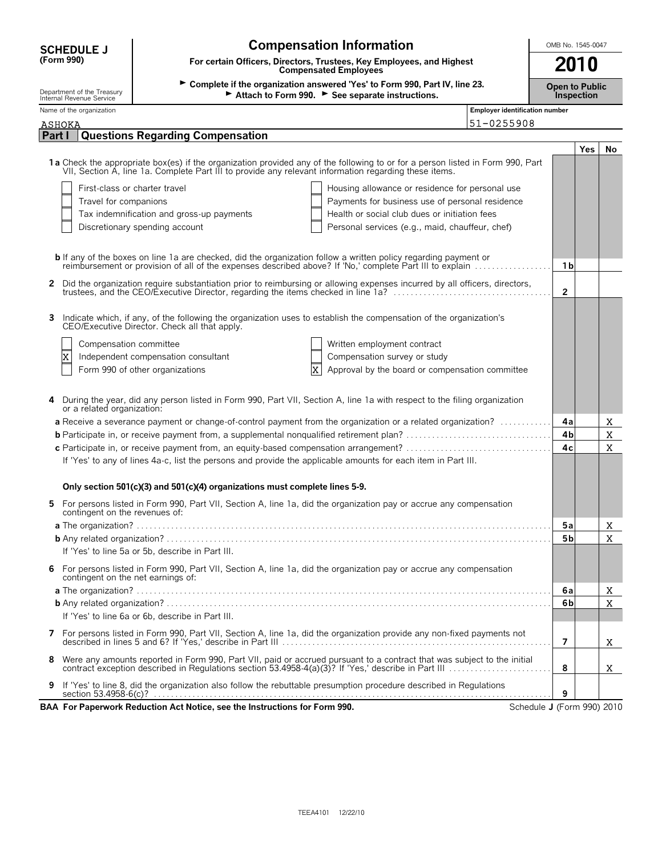| <b>SCHEDULE J</b>                                      | <b>Compensation Information</b>                                                                                                                                                                                                                                                                                             | OMB No. 1545-0047                     |                |            |             |  |  |  |  |
|--------------------------------------------------------|-----------------------------------------------------------------------------------------------------------------------------------------------------------------------------------------------------------------------------------------------------------------------------------------------------------------------------|---------------------------------------|----------------|------------|-------------|--|--|--|--|
| (Form 990)                                             | For certain Officers, Directors, Trustees, Key Employees, and Highest<br><b>Compensated Employees</b>                                                                                                                                                                                                                       |                                       |                |            |             |  |  |  |  |
| Department of the Treasury<br>Internal Revenue Service | ► Complete if the organization answered 'Yes' to Form 990, Part IV, line 23.<br><b>Open to Public</b><br>Attach to Form 990. See separate instructions.<br>Inspection                                                                                                                                                       |                                       |                |            |             |  |  |  |  |
| Name of the organization                               |                                                                                                                                                                                                                                                                                                                             | <b>Employer identification number</b> |                |            |             |  |  |  |  |
| ASHOKA                                                 | 51-0255908                                                                                                                                                                                                                                                                                                                  |                                       |                |            |             |  |  |  |  |
| Part I                                                 | <b>Questions Regarding Compensation</b>                                                                                                                                                                                                                                                                                     |                                       |                | <b>Yes</b> | No          |  |  |  |  |
|                                                        | 1a Check the appropriate box(es) if the organization provided any of the following to or for a person listed in Form 990, Part<br>VII, Section A, line 1a. Complete Part III to provide any relevant information regarding these items.<br>Housing allowance or residence for personal use<br>First-class or charter travel |                                       |                |            |             |  |  |  |  |
| Travel for companions                                  | Payments for business use of personal residence                                                                                                                                                                                                                                                                             |                                       |                |            |             |  |  |  |  |
|                                                        | Tax indemnification and gross-up payments<br>Health or social club dues or initiation fees                                                                                                                                                                                                                                  |                                       |                |            |             |  |  |  |  |
|                                                        | Discretionary spending account<br>Personal services (e.g., maid, chauffeur, chef)                                                                                                                                                                                                                                           |                                       |                |            |             |  |  |  |  |
|                                                        |                                                                                                                                                                                                                                                                                                                             |                                       |                |            |             |  |  |  |  |
|                                                        | <b>b</b> If any of the boxes on line 1a are checked, did the organization follow a written policy regarding payment or<br>reimbursement or provision of all of the expenses described above? If 'No,' complete Part III to explain                                                                                          |                                       | 1 <sub>b</sub> |            |             |  |  |  |  |
|                                                        | 2 Did the organization require substantiation prior to reimbursing or allowing expenses incurred by all officers, directors,                                                                                                                                                                                                |                                       |                |            |             |  |  |  |  |
|                                                        | trustees, and the CEO/Executive Director, regarding the items checked in line 1a?<br>                                                                                                                                                                                                                                       |                                       | $\overline{2}$ |            |             |  |  |  |  |
| 3.                                                     | Indicate which, if any, of the following the organization uses to establish the compensation of the organization's<br>CEO/Executive Director. Check all that apply.                                                                                                                                                         |                                       |                |            |             |  |  |  |  |
| Compensation committee                                 | Written employment contract                                                                                                                                                                                                                                                                                                 |                                       |                |            |             |  |  |  |  |
| x                                                      | Compensation survey or study<br>Independent compensation consultant                                                                                                                                                                                                                                                         |                                       |                |            |             |  |  |  |  |
|                                                        | $\overline{\text{x}}$<br>Approval by the board or compensation committee<br>Form 990 of other organizations                                                                                                                                                                                                                 |                                       |                |            |             |  |  |  |  |
| or a related organization:                             | During the year, did any person listed in Form 990, Part VII, Section A, line 1a with respect to the filing organization                                                                                                                                                                                                    |                                       |                |            |             |  |  |  |  |
|                                                        | a Receive a severance payment or change-of-control payment from the organization or a related organization?                                                                                                                                                                                                                 |                                       | 4a             |            | X           |  |  |  |  |
|                                                        |                                                                                                                                                                                                                                                                                                                             |                                       | 4 <sub>b</sub> |            | $\mathbf X$ |  |  |  |  |
|                                                        | c Participate in, or receive payment from, an equity-based compensation arrangement?                                                                                                                                                                                                                                        |                                       | 4c             |            | X           |  |  |  |  |
|                                                        | If 'Yes' to any of lines 4a-c, list the persons and provide the applicable amounts for each item in Part III.                                                                                                                                                                                                               |                                       |                |            |             |  |  |  |  |
|                                                        | Only section 501(c)(3) and 501(c)(4) organizations must complete lines 5-9.                                                                                                                                                                                                                                                 |                                       |                |            |             |  |  |  |  |
| contingent on the revenues of:                         | 5 For persons listed in Form 990, Part VII, Section A, line 1a, did the organization pay or accrue any compensation                                                                                                                                                                                                         |                                       |                |            |             |  |  |  |  |
|                                                        |                                                                                                                                                                                                                                                                                                                             |                                       | 5а             |            | x           |  |  |  |  |
|                                                        |                                                                                                                                                                                                                                                                                                                             |                                       | 5 <sub>b</sub> |            | X           |  |  |  |  |
|                                                        | If 'Yes' to line 5a or 5b, describe in Part III.                                                                                                                                                                                                                                                                            |                                       |                |            |             |  |  |  |  |
| contingent on the net earnings of:                     | 6 For persons listed in Form 990, Part VII, Section A, line 1a, did the organization pay or accrue any compensation                                                                                                                                                                                                         |                                       |                |            |             |  |  |  |  |
|                                                        |                                                                                                                                                                                                                                                                                                                             |                                       | 6a             |            | X           |  |  |  |  |
|                                                        |                                                                                                                                                                                                                                                                                                                             |                                       | 6b             |            | X           |  |  |  |  |
|                                                        | If 'Yes' to line 6a or 6b, describe in Part III.                                                                                                                                                                                                                                                                            |                                       |                |            |             |  |  |  |  |
|                                                        | 7 For persons listed in Form 990, Part VII, Section A, line 1a, did the organization provide any non-fixed payments not                                                                                                                                                                                                     |                                       | 7              |            | X.          |  |  |  |  |
| 8                                                      | Were any amounts reported in Form 990, Part VII, paid or accrued pursuant to a contract that was subject to the initial contract exception described in Regulations section 53.4958-4(a)(3)? If 'Yes,' describe in Part III                                                                                                 |                                       | 8              |            | X.          |  |  |  |  |
| 9                                                      | If 'Yes' to line 8, did the organization also follow the rebuttable presumption procedure described in Regulations                                                                                                                                                                                                          |                                       | 9              |            |             |  |  |  |  |
|                                                        | BAA For Paperwork Reduction Act Notice, see the Instructions for Form 990.                                                                                                                                                                                                                                                  | Schedule J (Form 990) 2010            |                |            |             |  |  |  |  |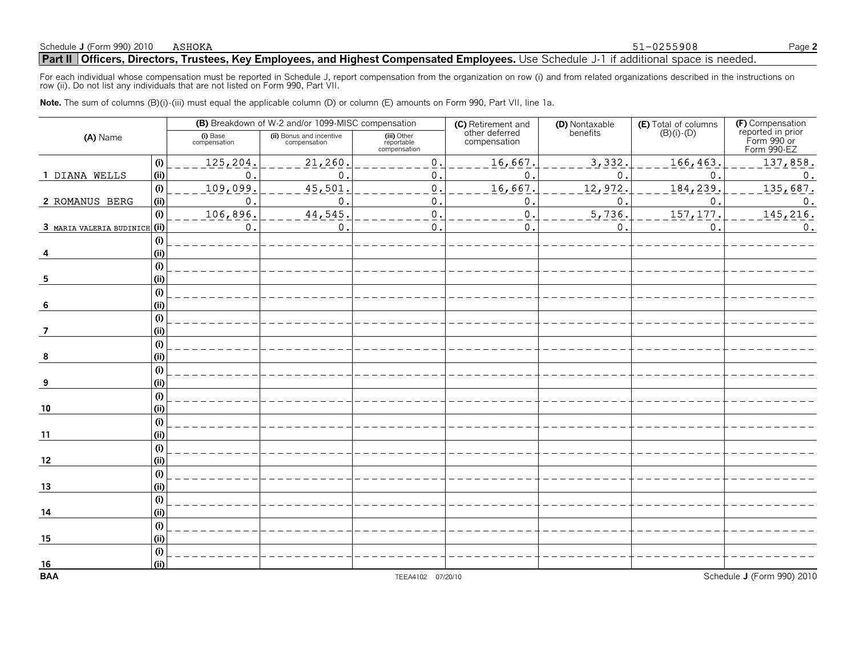#### Schedule **J** (Form 990) 2010 ASHOKA Page 2

51-0255908

#### **Part II Officers, Directors, Trustees, Key Employees, and Highest Compensated Employees.** Use Schedule J-1 if additional space is needed.

For each individual whose compensation must be reported in Schedule J, report compensation from the organization on row (i) and from related organizations described in the instructions on row (ii). Do not list any individuals that are not listed on Form 990, Part VII.

**Note.** The sum of columns (B)(i)-(iii) must equal the applicable column (D) or column (E) amounts on Form 990, Part VII, line 1a.

|                               |     |                          | (B) Breakdown of W-2 and/or 1099-MISC compensation |                                           | (C) Retirement and             | (D) Nontaxable | <b>(E)</b> Total of columns $(B)(i) \cdot (D)$ | (F) Compensation<br>reported in prior |  |
|-------------------------------|-----|--------------------------|----------------------------------------------------|-------------------------------------------|--------------------------------|----------------|------------------------------------------------|---------------------------------------|--|
| (A) Name                      |     | (i) Base<br>compensation | (ii) Bonus and incentive<br>compensation           | (iii) Other<br>reportable<br>compensation | other deferred<br>compensation | benefits       |                                                | Form 990 or<br>Form 990-EZ            |  |
|                               | (i) | 125,204.                 | 21,260                                             | $\mathbf 0$                               | 16,667.                        | 3,332.         | 166,463                                        | 137,858.                              |  |
| 1 DIANA WELLS                 | (i) | О,                       | $\mathbf 0$                                        | 0.                                        | 0.                             | 0              | 0                                              | 0.                                    |  |
|                               | (i) | 109,099                  | 45,501                                             | $\mathbf 0$ .                             | 16,667.                        | 12,972         | 184,239                                        | 135,687.                              |  |
| 2 ROMANUS BERG                | (i) | 0.                       | 0                                                  | 0                                         | О.                             | $\mathbf 0$ .  | 0                                              | 0.                                    |  |
|                               | (i) | 106,896                  | 44,545                                             | $\mathbf 0$ .                             | 0.                             | 5,736.         | 157, 177                                       | 145,216.                              |  |
| 3 MARIA VALERIA BUDINICH (ii) |     | 0.                       | $\mathbf{0}$                                       | $\mathbf 0$ .                             | 0.                             | $\mathbf 0$ .  | 0                                              | $0$ .                                 |  |
|                               | (i) |                          |                                                    |                                           |                                |                |                                                |                                       |  |
|                               | (i) |                          |                                                    |                                           |                                |                |                                                |                                       |  |
|                               | (i) |                          |                                                    |                                           |                                |                |                                                |                                       |  |
| 5                             | (i) |                          |                                                    |                                           |                                |                |                                                |                                       |  |
|                               | (i) |                          |                                                    |                                           |                                |                |                                                |                                       |  |
| -6                            | (i) |                          |                                                    |                                           |                                |                |                                                |                                       |  |
|                               | (i) |                          |                                                    |                                           |                                |                |                                                |                                       |  |
| -7                            | (i) |                          |                                                    |                                           |                                |                |                                                |                                       |  |
|                               | (i) |                          |                                                    |                                           |                                |                |                                                |                                       |  |
| 8                             | (i) |                          |                                                    |                                           |                                |                |                                                |                                       |  |
|                               | (i) |                          |                                                    |                                           |                                |                |                                                |                                       |  |
| 9                             | (i) |                          |                                                    |                                           |                                |                |                                                |                                       |  |
|                               | (i) |                          |                                                    |                                           |                                |                |                                                |                                       |  |
| 10                            | (i) |                          |                                                    |                                           |                                |                |                                                |                                       |  |
|                               | (i) |                          |                                                    |                                           |                                |                |                                                |                                       |  |
| 11                            | (i) |                          |                                                    |                                           |                                |                |                                                |                                       |  |
|                               | (i) |                          |                                                    |                                           |                                |                |                                                |                                       |  |
| 12                            | (i) |                          |                                                    |                                           |                                |                |                                                |                                       |  |
|                               | (i) |                          |                                                    |                                           |                                |                |                                                |                                       |  |
| 13                            | (i) |                          |                                                    |                                           |                                |                |                                                |                                       |  |
|                               | (i) |                          |                                                    |                                           |                                |                |                                                |                                       |  |
| 14                            | (i) |                          |                                                    |                                           |                                |                |                                                |                                       |  |
|                               | (i) |                          |                                                    |                                           |                                |                |                                                |                                       |  |
| 15                            | (i) |                          |                                                    |                                           |                                |                |                                                |                                       |  |
|                               | (i) |                          |                                                    |                                           |                                |                |                                                |                                       |  |
| $\frac{16}{BAA}$              | (i) |                          |                                                    |                                           |                                |                |                                                |                                       |  |
|                               |     |                          |                                                    | TEEA4102 07/20/10                         |                                |                |                                                | Schedule J (Form 990) 2010            |  |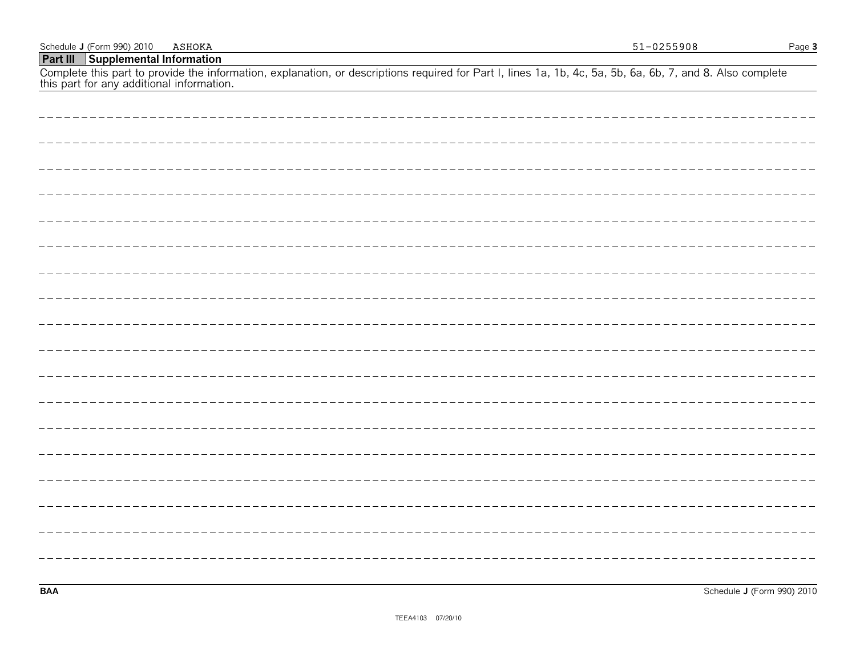| <b>Part III   Supplemental Information</b>                                                                                                                                                           |
|------------------------------------------------------------------------------------------------------------------------------------------------------------------------------------------------------|
| Complete this part to provide the information, explanation, or descriptions required for Part I, lines 1a, 1b, 4c, 5a, 5b, 6a, 6b, 7, and 8. Also complete this part for any additional information. |
|                                                                                                                                                                                                      |
|                                                                                                                                                                                                      |
|                                                                                                                                                                                                      |
|                                                                                                                                                                                                      |
|                                                                                                                                                                                                      |
|                                                                                                                                                                                                      |
|                                                                                                                                                                                                      |
|                                                                                                                                                                                                      |
|                                                                                                                                                                                                      |
|                                                                                                                                                                                                      |
|                                                                                                                                                                                                      |
|                                                                                                                                                                                                      |
|                                                                                                                                                                                                      |
|                                                                                                                                                                                                      |
|                                                                                                                                                                                                      |
|                                                                                                                                                                                                      |
|                                                                                                                                                                                                      |
|                                                                                                                                                                                                      |
|                                                                                                                                                                                                      |
|                                                                                                                                                                                                      |

Schedule **J** (Form 990) 2010 ASHOKA Page 3

51-0255908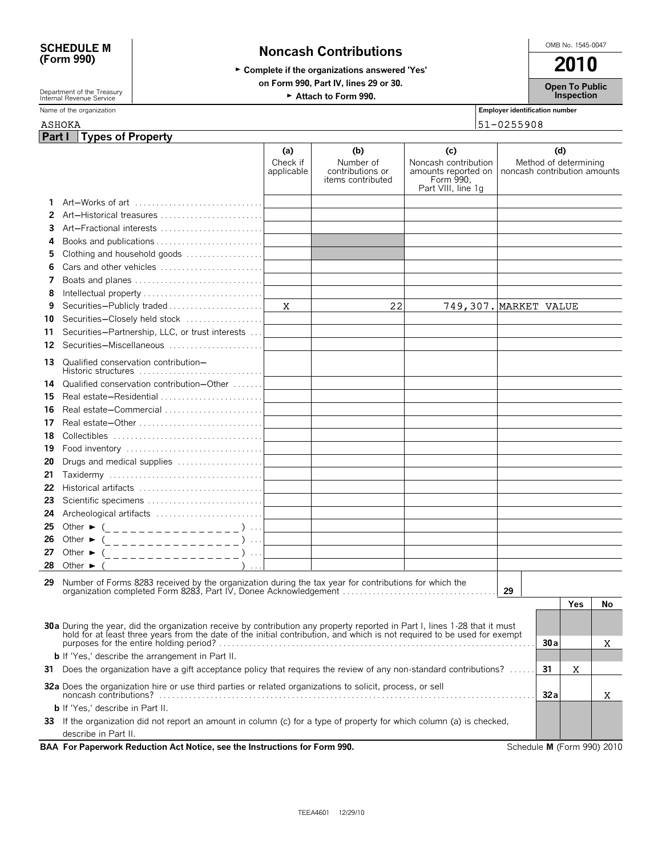# SCHEDULE M Noncash Contributions <sup>⊙MB No. 1545-0047</sup><br>(Form 990) Noncash Contributions

## ► Complete if the organizations answered 'Yes' 2010 **on Form 990, Part IV, lines 29 or 30.**

**Open To Public Inspection**

Department of the Treasury **Governant Construction Construction Construction Profession Person Construction Professor**<br>Internal Revenue Service

| Part I<br>(d)<br>(a)<br>(b)<br>(c)<br>Check if<br>Number of<br>Noncash contribution<br>Method of determining<br>amounts reported on   noncash contribution amounts<br>applicable<br>contributions or<br>Form 990,<br>items contributed<br>Part VIII, line 1q<br>Art-Works of art<br>1.<br>Art-Historical treasures<br>2<br>Art-Fractional interests<br>3<br>4<br>Clothing and household goods<br>5<br>Cars and other vehicles<br>6<br>Boats and planes<br>7<br>8<br>22<br>749,307. MARKET VALUE<br>Securities-Publicly traded<br>X<br>9<br>Securities-Closely held stock<br>10<br>Securities-Partnership, LLC, or trust interests<br>11<br>Securities-Miscellaneous<br>12<br>Qualified conservation contribution-<br>13.<br>Historic structures<br>Qualified conservation contribution-Other<br>14<br>Real estate-Residential<br>15<br>Real estate-Commercial<br>16<br>Real estate-Other<br>17<br>18<br>19<br>Drugs and medical supplies<br>20<br>21<br>Historical artifacts<br>22<br>Scientific specimens<br>23<br>Archeological artifacts<br>24<br>25<br>Other $\triangleright$ (________________)<br>Other $\triangleright$ (_________________)<br>26<br>Other $\triangleright$ (_______________)<br>27<br>$\sim$ $\sim$ $\sim$<br>28<br>Other $\blacktriangleright$<br>Number of Forms 8283 received by the organization during the tax year for contributions for which the<br>29<br>organization completed Form 8283, Part IV, Donee Acknowledgement<br>29<br>Yes<br>No<br>30a During the year, did the organization receive by contribution any property reported in Part I, lines 1-28 that it must hold for at least three years from the date of the initial contribution, and which is not required<br>30 a<br>X<br><b>b</b> If 'Yes,' describe the arrangement in Part II.<br>31 Does the organization have a gift acceptance policy that requires the review of any non-standard contributions?<br>31<br>X<br>32a Does the organization hire or use third parties or related organizations to solicit, process, or sell<br>32a<br>x<br><b>b</b> If 'Yes,' describe in Part II.<br>33 If the organization did not report an amount in column (c) for a type of property for which column (a) is checked,<br>describe in Part II.<br>BAA For Paperwork Reduction Act Notice, see the Instructions for Form 990.<br>Schedule M (Form 990) 2010 | <b>ASHOKA</b> |                          |  | 51-0255908 |  |
|----------------------------------------------------------------------------------------------------------------------------------------------------------------------------------------------------------------------------------------------------------------------------------------------------------------------------------------------------------------------------------------------------------------------------------------------------------------------------------------------------------------------------------------------------------------------------------------------------------------------------------------------------------------------------------------------------------------------------------------------------------------------------------------------------------------------------------------------------------------------------------------------------------------------------------------------------------------------------------------------------------------------------------------------------------------------------------------------------------------------------------------------------------------------------------------------------------------------------------------------------------------------------------------------------------------------------------------------------------------------------------------------------------------------------------------------------------------------------------------------------------------------------------------------------------------------------------------------------------------------------------------------------------------------------------------------------------------------------------------------------------------------------------------------------------------------------------------------------------------------------------------------------------------------------------------------------------------------------------------------------------------------------------------------------------------------------------------------------------------------------------------------------------------------------------------------------------------------------------------------------------------------------------------------------------------------------------------------------------|---------------|--------------------------|--|------------|--|
|                                                                                                                                                                                                                                                                                                                                                                                                                                                                                                                                                                                                                                                                                                                                                                                                                                                                                                                                                                                                                                                                                                                                                                                                                                                                                                                                                                                                                                                                                                                                                                                                                                                                                                                                                                                                                                                                                                                                                                                                                                                                                                                                                                                                                                                                                                                                                          |               | <b>Types of Property</b> |  |            |  |
|                                                                                                                                                                                                                                                                                                                                                                                                                                                                                                                                                                                                                                                                                                                                                                                                                                                                                                                                                                                                                                                                                                                                                                                                                                                                                                                                                                                                                                                                                                                                                                                                                                                                                                                                                                                                                                                                                                                                                                                                                                                                                                                                                                                                                                                                                                                                                          |               |                          |  |            |  |
|                                                                                                                                                                                                                                                                                                                                                                                                                                                                                                                                                                                                                                                                                                                                                                                                                                                                                                                                                                                                                                                                                                                                                                                                                                                                                                                                                                                                                                                                                                                                                                                                                                                                                                                                                                                                                                                                                                                                                                                                                                                                                                                                                                                                                                                                                                                                                          |               |                          |  |            |  |
|                                                                                                                                                                                                                                                                                                                                                                                                                                                                                                                                                                                                                                                                                                                                                                                                                                                                                                                                                                                                                                                                                                                                                                                                                                                                                                                                                                                                                                                                                                                                                                                                                                                                                                                                                                                                                                                                                                                                                                                                                                                                                                                                                                                                                                                                                                                                                          |               |                          |  |            |  |
|                                                                                                                                                                                                                                                                                                                                                                                                                                                                                                                                                                                                                                                                                                                                                                                                                                                                                                                                                                                                                                                                                                                                                                                                                                                                                                                                                                                                                                                                                                                                                                                                                                                                                                                                                                                                                                                                                                                                                                                                                                                                                                                                                                                                                                                                                                                                                          |               |                          |  |            |  |
|                                                                                                                                                                                                                                                                                                                                                                                                                                                                                                                                                                                                                                                                                                                                                                                                                                                                                                                                                                                                                                                                                                                                                                                                                                                                                                                                                                                                                                                                                                                                                                                                                                                                                                                                                                                                                                                                                                                                                                                                                                                                                                                                                                                                                                                                                                                                                          |               |                          |  |            |  |
|                                                                                                                                                                                                                                                                                                                                                                                                                                                                                                                                                                                                                                                                                                                                                                                                                                                                                                                                                                                                                                                                                                                                                                                                                                                                                                                                                                                                                                                                                                                                                                                                                                                                                                                                                                                                                                                                                                                                                                                                                                                                                                                                                                                                                                                                                                                                                          |               |                          |  |            |  |
|                                                                                                                                                                                                                                                                                                                                                                                                                                                                                                                                                                                                                                                                                                                                                                                                                                                                                                                                                                                                                                                                                                                                                                                                                                                                                                                                                                                                                                                                                                                                                                                                                                                                                                                                                                                                                                                                                                                                                                                                                                                                                                                                                                                                                                                                                                                                                          |               |                          |  |            |  |
|                                                                                                                                                                                                                                                                                                                                                                                                                                                                                                                                                                                                                                                                                                                                                                                                                                                                                                                                                                                                                                                                                                                                                                                                                                                                                                                                                                                                                                                                                                                                                                                                                                                                                                                                                                                                                                                                                                                                                                                                                                                                                                                                                                                                                                                                                                                                                          |               |                          |  |            |  |
|                                                                                                                                                                                                                                                                                                                                                                                                                                                                                                                                                                                                                                                                                                                                                                                                                                                                                                                                                                                                                                                                                                                                                                                                                                                                                                                                                                                                                                                                                                                                                                                                                                                                                                                                                                                                                                                                                                                                                                                                                                                                                                                                                                                                                                                                                                                                                          |               |                          |  |            |  |
|                                                                                                                                                                                                                                                                                                                                                                                                                                                                                                                                                                                                                                                                                                                                                                                                                                                                                                                                                                                                                                                                                                                                                                                                                                                                                                                                                                                                                                                                                                                                                                                                                                                                                                                                                                                                                                                                                                                                                                                                                                                                                                                                                                                                                                                                                                                                                          |               |                          |  |            |  |
|                                                                                                                                                                                                                                                                                                                                                                                                                                                                                                                                                                                                                                                                                                                                                                                                                                                                                                                                                                                                                                                                                                                                                                                                                                                                                                                                                                                                                                                                                                                                                                                                                                                                                                                                                                                                                                                                                                                                                                                                                                                                                                                                                                                                                                                                                                                                                          |               |                          |  |            |  |
|                                                                                                                                                                                                                                                                                                                                                                                                                                                                                                                                                                                                                                                                                                                                                                                                                                                                                                                                                                                                                                                                                                                                                                                                                                                                                                                                                                                                                                                                                                                                                                                                                                                                                                                                                                                                                                                                                                                                                                                                                                                                                                                                                                                                                                                                                                                                                          |               |                          |  |            |  |
|                                                                                                                                                                                                                                                                                                                                                                                                                                                                                                                                                                                                                                                                                                                                                                                                                                                                                                                                                                                                                                                                                                                                                                                                                                                                                                                                                                                                                                                                                                                                                                                                                                                                                                                                                                                                                                                                                                                                                                                                                                                                                                                                                                                                                                                                                                                                                          |               |                          |  |            |  |
|                                                                                                                                                                                                                                                                                                                                                                                                                                                                                                                                                                                                                                                                                                                                                                                                                                                                                                                                                                                                                                                                                                                                                                                                                                                                                                                                                                                                                                                                                                                                                                                                                                                                                                                                                                                                                                                                                                                                                                                                                                                                                                                                                                                                                                                                                                                                                          |               |                          |  |            |  |
|                                                                                                                                                                                                                                                                                                                                                                                                                                                                                                                                                                                                                                                                                                                                                                                                                                                                                                                                                                                                                                                                                                                                                                                                                                                                                                                                                                                                                                                                                                                                                                                                                                                                                                                                                                                                                                                                                                                                                                                                                                                                                                                                                                                                                                                                                                                                                          |               |                          |  |            |  |
|                                                                                                                                                                                                                                                                                                                                                                                                                                                                                                                                                                                                                                                                                                                                                                                                                                                                                                                                                                                                                                                                                                                                                                                                                                                                                                                                                                                                                                                                                                                                                                                                                                                                                                                                                                                                                                                                                                                                                                                                                                                                                                                                                                                                                                                                                                                                                          |               |                          |  |            |  |
|                                                                                                                                                                                                                                                                                                                                                                                                                                                                                                                                                                                                                                                                                                                                                                                                                                                                                                                                                                                                                                                                                                                                                                                                                                                                                                                                                                                                                                                                                                                                                                                                                                                                                                                                                                                                                                                                                                                                                                                                                                                                                                                                                                                                                                                                                                                                                          |               |                          |  |            |  |
|                                                                                                                                                                                                                                                                                                                                                                                                                                                                                                                                                                                                                                                                                                                                                                                                                                                                                                                                                                                                                                                                                                                                                                                                                                                                                                                                                                                                                                                                                                                                                                                                                                                                                                                                                                                                                                                                                                                                                                                                                                                                                                                                                                                                                                                                                                                                                          |               |                          |  |            |  |
|                                                                                                                                                                                                                                                                                                                                                                                                                                                                                                                                                                                                                                                                                                                                                                                                                                                                                                                                                                                                                                                                                                                                                                                                                                                                                                                                                                                                                                                                                                                                                                                                                                                                                                                                                                                                                                                                                                                                                                                                                                                                                                                                                                                                                                                                                                                                                          |               |                          |  |            |  |
|                                                                                                                                                                                                                                                                                                                                                                                                                                                                                                                                                                                                                                                                                                                                                                                                                                                                                                                                                                                                                                                                                                                                                                                                                                                                                                                                                                                                                                                                                                                                                                                                                                                                                                                                                                                                                                                                                                                                                                                                                                                                                                                                                                                                                                                                                                                                                          |               |                          |  |            |  |
|                                                                                                                                                                                                                                                                                                                                                                                                                                                                                                                                                                                                                                                                                                                                                                                                                                                                                                                                                                                                                                                                                                                                                                                                                                                                                                                                                                                                                                                                                                                                                                                                                                                                                                                                                                                                                                                                                                                                                                                                                                                                                                                                                                                                                                                                                                                                                          |               |                          |  |            |  |
|                                                                                                                                                                                                                                                                                                                                                                                                                                                                                                                                                                                                                                                                                                                                                                                                                                                                                                                                                                                                                                                                                                                                                                                                                                                                                                                                                                                                                                                                                                                                                                                                                                                                                                                                                                                                                                                                                                                                                                                                                                                                                                                                                                                                                                                                                                                                                          |               |                          |  |            |  |
|                                                                                                                                                                                                                                                                                                                                                                                                                                                                                                                                                                                                                                                                                                                                                                                                                                                                                                                                                                                                                                                                                                                                                                                                                                                                                                                                                                                                                                                                                                                                                                                                                                                                                                                                                                                                                                                                                                                                                                                                                                                                                                                                                                                                                                                                                                                                                          |               |                          |  |            |  |
|                                                                                                                                                                                                                                                                                                                                                                                                                                                                                                                                                                                                                                                                                                                                                                                                                                                                                                                                                                                                                                                                                                                                                                                                                                                                                                                                                                                                                                                                                                                                                                                                                                                                                                                                                                                                                                                                                                                                                                                                                                                                                                                                                                                                                                                                                                                                                          |               |                          |  |            |  |
|                                                                                                                                                                                                                                                                                                                                                                                                                                                                                                                                                                                                                                                                                                                                                                                                                                                                                                                                                                                                                                                                                                                                                                                                                                                                                                                                                                                                                                                                                                                                                                                                                                                                                                                                                                                                                                                                                                                                                                                                                                                                                                                                                                                                                                                                                                                                                          |               |                          |  |            |  |
|                                                                                                                                                                                                                                                                                                                                                                                                                                                                                                                                                                                                                                                                                                                                                                                                                                                                                                                                                                                                                                                                                                                                                                                                                                                                                                                                                                                                                                                                                                                                                                                                                                                                                                                                                                                                                                                                                                                                                                                                                                                                                                                                                                                                                                                                                                                                                          |               |                          |  |            |  |
|                                                                                                                                                                                                                                                                                                                                                                                                                                                                                                                                                                                                                                                                                                                                                                                                                                                                                                                                                                                                                                                                                                                                                                                                                                                                                                                                                                                                                                                                                                                                                                                                                                                                                                                                                                                                                                                                                                                                                                                                                                                                                                                                                                                                                                                                                                                                                          |               |                          |  |            |  |
|                                                                                                                                                                                                                                                                                                                                                                                                                                                                                                                                                                                                                                                                                                                                                                                                                                                                                                                                                                                                                                                                                                                                                                                                                                                                                                                                                                                                                                                                                                                                                                                                                                                                                                                                                                                                                                                                                                                                                                                                                                                                                                                                                                                                                                                                                                                                                          |               |                          |  |            |  |
|                                                                                                                                                                                                                                                                                                                                                                                                                                                                                                                                                                                                                                                                                                                                                                                                                                                                                                                                                                                                                                                                                                                                                                                                                                                                                                                                                                                                                                                                                                                                                                                                                                                                                                                                                                                                                                                                                                                                                                                                                                                                                                                                                                                                                                                                                                                                                          |               |                          |  |            |  |
|                                                                                                                                                                                                                                                                                                                                                                                                                                                                                                                                                                                                                                                                                                                                                                                                                                                                                                                                                                                                                                                                                                                                                                                                                                                                                                                                                                                                                                                                                                                                                                                                                                                                                                                                                                                                                                                                                                                                                                                                                                                                                                                                                                                                                                                                                                                                                          |               |                          |  |            |  |
|                                                                                                                                                                                                                                                                                                                                                                                                                                                                                                                                                                                                                                                                                                                                                                                                                                                                                                                                                                                                                                                                                                                                                                                                                                                                                                                                                                                                                                                                                                                                                                                                                                                                                                                                                                                                                                                                                                                                                                                                                                                                                                                                                                                                                                                                                                                                                          |               |                          |  |            |  |
|                                                                                                                                                                                                                                                                                                                                                                                                                                                                                                                                                                                                                                                                                                                                                                                                                                                                                                                                                                                                                                                                                                                                                                                                                                                                                                                                                                                                                                                                                                                                                                                                                                                                                                                                                                                                                                                                                                                                                                                                                                                                                                                                                                                                                                                                                                                                                          |               |                          |  |            |  |
|                                                                                                                                                                                                                                                                                                                                                                                                                                                                                                                                                                                                                                                                                                                                                                                                                                                                                                                                                                                                                                                                                                                                                                                                                                                                                                                                                                                                                                                                                                                                                                                                                                                                                                                                                                                                                                                                                                                                                                                                                                                                                                                                                                                                                                                                                                                                                          |               |                          |  |            |  |
|                                                                                                                                                                                                                                                                                                                                                                                                                                                                                                                                                                                                                                                                                                                                                                                                                                                                                                                                                                                                                                                                                                                                                                                                                                                                                                                                                                                                                                                                                                                                                                                                                                                                                                                                                                                                                                                                                                                                                                                                                                                                                                                                                                                                                                                                                                                                                          |               |                          |  |            |  |
|                                                                                                                                                                                                                                                                                                                                                                                                                                                                                                                                                                                                                                                                                                                                                                                                                                                                                                                                                                                                                                                                                                                                                                                                                                                                                                                                                                                                                                                                                                                                                                                                                                                                                                                                                                                                                                                                                                                                                                                                                                                                                                                                                                                                                                                                                                                                                          |               |                          |  |            |  |
|                                                                                                                                                                                                                                                                                                                                                                                                                                                                                                                                                                                                                                                                                                                                                                                                                                                                                                                                                                                                                                                                                                                                                                                                                                                                                                                                                                                                                                                                                                                                                                                                                                                                                                                                                                                                                                                                                                                                                                                                                                                                                                                                                                                                                                                                                                                                                          |               |                          |  |            |  |
|                                                                                                                                                                                                                                                                                                                                                                                                                                                                                                                                                                                                                                                                                                                                                                                                                                                                                                                                                                                                                                                                                                                                                                                                                                                                                                                                                                                                                                                                                                                                                                                                                                                                                                                                                                                                                                                                                                                                                                                                                                                                                                                                                                                                                                                                                                                                                          |               |                          |  |            |  |
|                                                                                                                                                                                                                                                                                                                                                                                                                                                                                                                                                                                                                                                                                                                                                                                                                                                                                                                                                                                                                                                                                                                                                                                                                                                                                                                                                                                                                                                                                                                                                                                                                                                                                                                                                                                                                                                                                                                                                                                                                                                                                                                                                                                                                                                                                                                                                          |               |                          |  |            |  |
|                                                                                                                                                                                                                                                                                                                                                                                                                                                                                                                                                                                                                                                                                                                                                                                                                                                                                                                                                                                                                                                                                                                                                                                                                                                                                                                                                                                                                                                                                                                                                                                                                                                                                                                                                                                                                                                                                                                                                                                                                                                                                                                                                                                                                                                                                                                                                          |               |                          |  |            |  |
|                                                                                                                                                                                                                                                                                                                                                                                                                                                                                                                                                                                                                                                                                                                                                                                                                                                                                                                                                                                                                                                                                                                                                                                                                                                                                                                                                                                                                                                                                                                                                                                                                                                                                                                                                                                                                                                                                                                                                                                                                                                                                                                                                                                                                                                                                                                                                          |               |                          |  |            |  |

### Name of the organization **Employer identification number Employer identification number**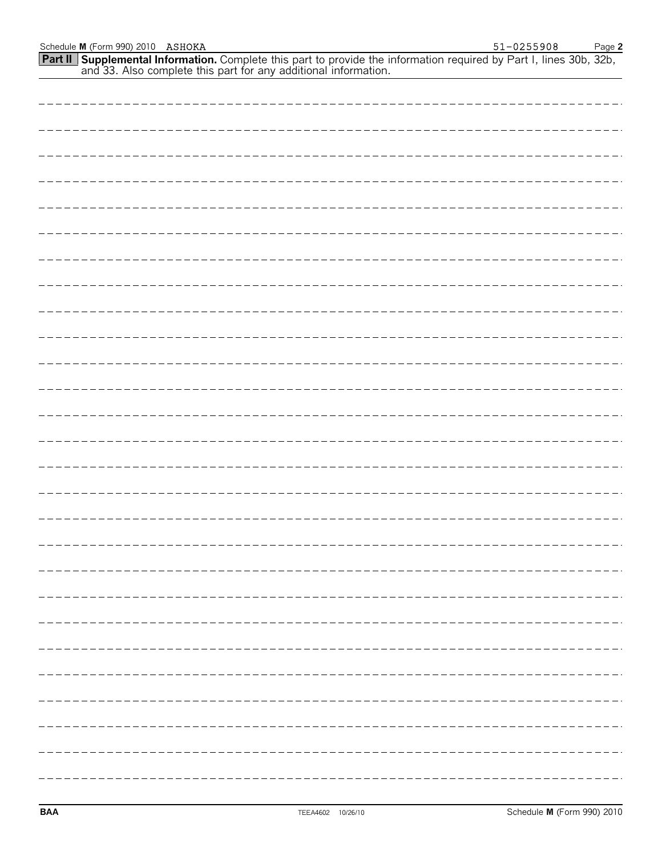**Supplemental Information.** Complete this part to provide the information required by Part I, lines 30b, 32b, and 33. Also complete this part for any additional information. **Part II**

|  |  |  |  |  |  | $\cdots$                            |
|--|--|--|--|--|--|-------------------------------------|
|  |  |  |  |  |  | ----                                |
|  |  |  |  |  |  |                                     |
|  |  |  |  |  |  | $\qquad \qquad - \qquad - \qquad -$ |
|  |  |  |  |  |  | $\qquad \qquad - \qquad - \qquad -$ |
|  |  |  |  |  |  | $   -$                              |
|  |  |  |  |  |  | $\qquad \qquad -\qquad -\qquad$     |
|  |  |  |  |  |  | ------                              |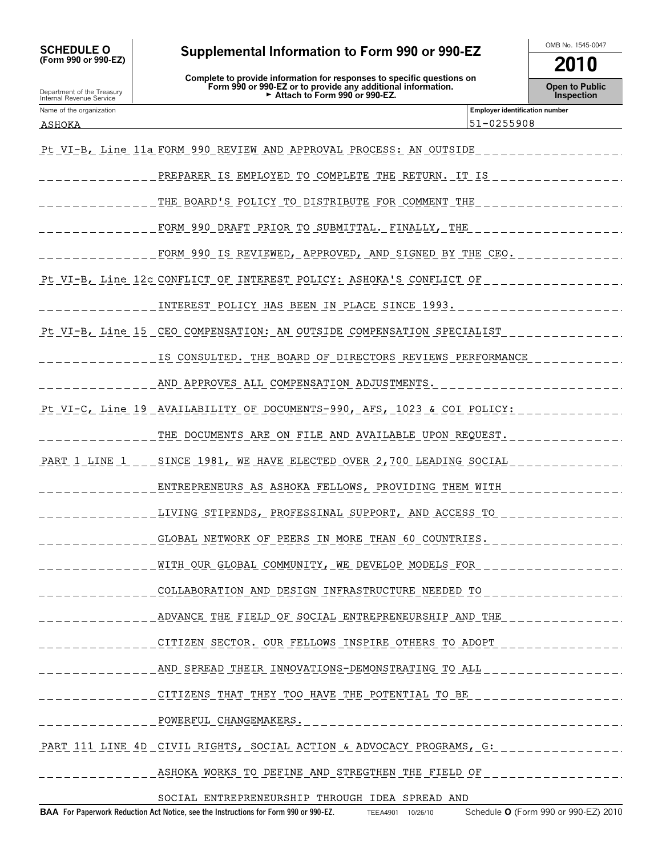Department of the Treasury Internal Revenue Service

# SCHEDULE O Supplemental Information to Form 990 or 990-EZ MB No. 1545-0047 → CMB No. 1545-0047<br>(Form 990 or 990-EZ)

**Complete to provide information for responses to specific questions on Form 990 or 990-EZ or to provide any additional information.** Attach to Form 990 or 990-EZ.

**2010**

**Open to Public Inspection**

| Name of the organization |                                                                         | <b>Employer identification number</b> |  |  |  |  |  |  |  |
|--------------------------|-------------------------------------------------------------------------|---------------------------------------|--|--|--|--|--|--|--|
| ASHOKA                   |                                                                         | 51-0255908                            |  |  |  |  |  |  |  |
|                          | Pt VI-B, Line 11a FORM 990 REVIEW AND APPROVAL PROCESS: AN OUTSIDE      |                                       |  |  |  |  |  |  |  |
|                          | PREPARER IS EMPLOYED TO COMPLETE THE RETURN. IT IS                      |                                       |  |  |  |  |  |  |  |
|                          | THE BOARD'S POLICY TO DISTRIBUTE FOR COMMENT THE                        |                                       |  |  |  |  |  |  |  |
|                          | FORM 990 DRAFT PRIOR TO SUBMITTAL. FINALLY, THE                         |                                       |  |  |  |  |  |  |  |
|                          | FORM 990 IS REVIEWED, APPROVED, AND SIGNED BY THE CEO.                  |                                       |  |  |  |  |  |  |  |
|                          | Pt VI-B, Line 12c CONFLICT OF INTEREST POLICY: ASHOKA'S CONFLICT OF     |                                       |  |  |  |  |  |  |  |
|                          | INTEREST POLICY HAS BEEN IN PLACE SINCE 1993.                           |                                       |  |  |  |  |  |  |  |
|                          | Pt VI-B, Line 15 CEO COMPENSATION: AN OUTSIDE COMPENSATION SPECIALIST   |                                       |  |  |  |  |  |  |  |
|                          | IS CONSULTED. THE BOARD OF DIRECTORS REVIEWS PERFORMANCE                |                                       |  |  |  |  |  |  |  |
|                          | AND APPROVES ALL COMPENSATION ADJUSTMENTS.                              |                                       |  |  |  |  |  |  |  |
|                          | Pt VI-C, Line 19 AVAILABILITY OF DOCUMENTS-990, AFS, 1023 & COI POLICY: |                                       |  |  |  |  |  |  |  |
|                          | THE DOCUMENTS ARE ON FILE AND AVAILABLE UPON REQUEST.                   |                                       |  |  |  |  |  |  |  |
| PART 1 LINE 1            | SINCE 1981, WE HAVE ELECTED OVER 2,700 LEADING SOCIAL                   |                                       |  |  |  |  |  |  |  |
|                          | ENTREPRENEURS AS ASHOKA FELLOWS, PROVIDING THEM WITH                    |                                       |  |  |  |  |  |  |  |
|                          | LIVING STIPENDS, PROFESSINAL SUPPORT, AND ACCESS TO                     |                                       |  |  |  |  |  |  |  |
|                          | GLOBAL NETWORK OF PEERS IN MORE THAN 60 COUNTRIES.                      |                                       |  |  |  |  |  |  |  |
|                          | WITH OUR GLOBAL COMMUNITY, WE DEVELOP MODELS FOR                        |                                       |  |  |  |  |  |  |  |
|                          | COLLABORATION AND DESIGN INFRASTRUCTURE NEEDED TO                       |                                       |  |  |  |  |  |  |  |
|                          | ADVANCE THE FIELD OF SOCIAL ENTREPRENEURSHIP AND THE                    |                                       |  |  |  |  |  |  |  |
|                          | CITIZEN SECTOR. OUR FELLOWS INSPIRE OTHERS TO ADOPT                     |                                       |  |  |  |  |  |  |  |
|                          | AND SPREAD THEIR INNOVATIONS-DEMONSTRATING TO ALL                       |                                       |  |  |  |  |  |  |  |
|                          | CITIZENS THAT THEY TOO HAVE THE POTENTIAL TO BE                         |                                       |  |  |  |  |  |  |  |
|                          | ____ <u>POWERFUL_CHANGEMAK</u> ERS.                                     |                                       |  |  |  |  |  |  |  |
|                          | PART 111 LINE 4D CIVIL RIGHTS, SOCIAL ACTION & ADVOCACY PROGRAMS, G:    |                                       |  |  |  |  |  |  |  |
|                          | ASHOKA WORKS TO DEFINE AND STREGTHEN THE FIELD OF                       |                                       |  |  |  |  |  |  |  |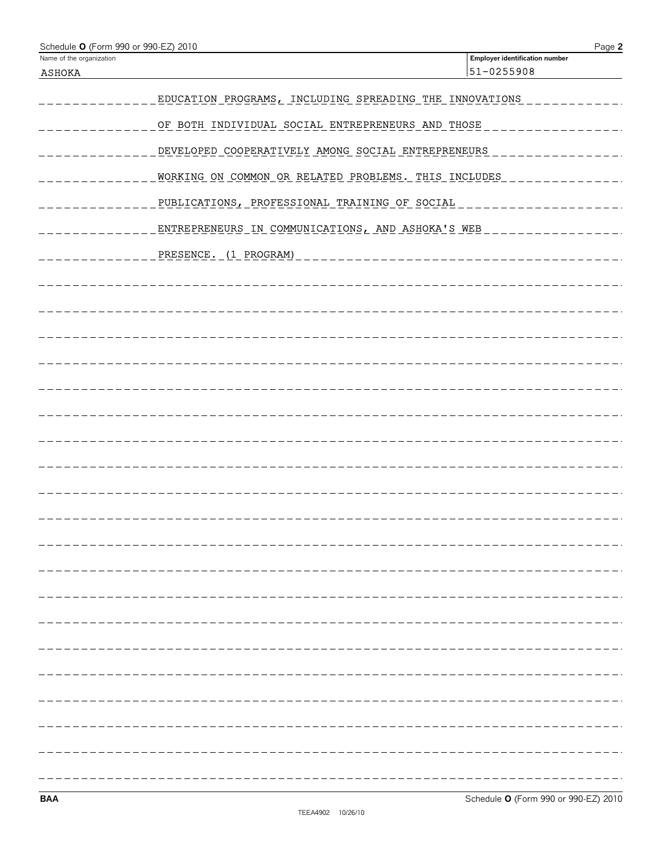| Schedule O (Form 990 or 990-EZ) 2010<br>Name of the organization |                                                         | Page 2<br><b>Employer identification number</b> |
|------------------------------------------------------------------|---------------------------------------------------------|-------------------------------------------------|
| ASHOKA                                                           |                                                         | 51-0255908                                      |
|                                                                  | EDUCATION PROGRAMS, INCLUDING SPREADING THE INNOVATIONS |                                                 |
|                                                                  |                                                         |                                                 |
|                                                                  | OF BOTH INDIVIDUAL SOCIAL ENTREPRENEURS AND THOSE       |                                                 |
|                                                                  | DEVELOPED COOPERATIVELY AMONG SOCIAL ENTREPRENEURS      |                                                 |
|                                                                  | WORKING ON COMMON OR RELATED PROBLEMS. THIS INCLUDES    |                                                 |
|                                                                  | PUBLICATIONS, PROFESSIONAL TRAINING OF SOCIAL           |                                                 |
|                                                                  | ENTREPRENEURS IN COMMUNICATIONS, AND ASHOKA'S WEB       |                                                 |
|                                                                  | PRESENCE. (1 PROGRAM)                                   |                                                 |
|                                                                  |                                                         |                                                 |
|                                                                  |                                                         |                                                 |
|                                                                  |                                                         |                                                 |
|                                                                  |                                                         |                                                 |
|                                                                  |                                                         |                                                 |
|                                                                  |                                                         |                                                 |
|                                                                  |                                                         |                                                 |
|                                                                  |                                                         |                                                 |
|                                                                  |                                                         |                                                 |
|                                                                  |                                                         |                                                 |
|                                                                  |                                                         |                                                 |
|                                                                  |                                                         |                                                 |
|                                                                  |                                                         |                                                 |
|                                                                  |                                                         |                                                 |
|                                                                  |                                                         |                                                 |
|                                                                  |                                                         |                                                 |
|                                                                  |                                                         |                                                 |
|                                                                  |                                                         |                                                 |
|                                                                  |                                                         |                                                 |
|                                                                  |                                                         |                                                 |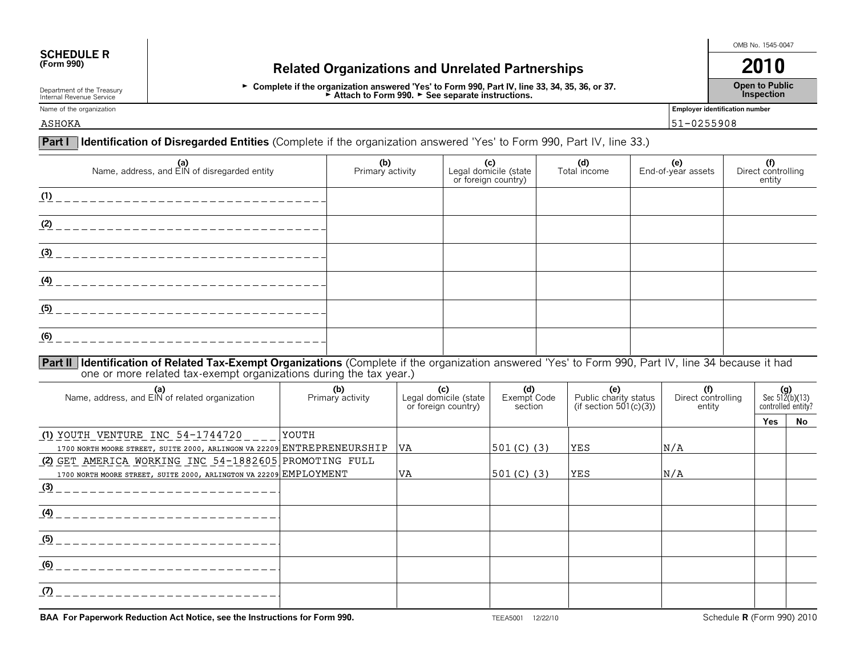# **SCHEDULE R**<br>(Form 990)

## **(Form 9)** Related Organizations and Unrelated Partnerships **2010**

► Complete if the organization answered 'Yes' to Form 990, Part IV, line 33, 34, 35, 36, or 37. ► Attach to Form 990. ► See separate instructions.

OMB No. 1545-0047

**Open to Public Inspection**

Department of the Treasury Internal Revenue Service Name of the organization **Employer identification number Employer identification number** 

ASHOKA 51-0255908

| <b>Part I</b>                                                                                                                                                                                                              | <b>Identification of Disregarded Entities</b> (Complete if the organization answered 'Yes' to Form 990, Part IV, line 33.) |                                |  |                                                                               |                       |                                                        |                     |                                     |                           |                                               |
|----------------------------------------------------------------------------------------------------------------------------------------------------------------------------------------------------------------------------|----------------------------------------------------------------------------------------------------------------------------|--------------------------------|--|-------------------------------------------------------------------------------|-----------------------|--------------------------------------------------------|---------------------|-------------------------------------|---------------------------|-----------------------------------------------|
| (a)<br>Name, address, and EIN of disregarded entity                                                                                                                                                                        |                                                                                                                            | (b)<br>Primary activity        |  | (c)<br>or foreign country)                                                    | Legal domicile (state |                                                        | (d)<br>Total income |                                     | (e)<br>End-of-year assets | (f)<br>Direct controlling<br>entity           |
| (1)                                                                                                                                                                                                                        |                                                                                                                            |                                |  |                                                                               |                       |                                                        |                     |                                     |                           |                                               |
| (2)                                                                                                                                                                                                                        |                                                                                                                            |                                |  |                                                                               |                       |                                                        |                     |                                     |                           |                                               |
| (3)                                                                                                                                                                                                                        |                                                                                                                            |                                |  |                                                                               |                       |                                                        |                     |                                     |                           |                                               |
| (4)                                                                                                                                                                                                                        |                                                                                                                            |                                |  |                                                                               |                       |                                                        |                     |                                     |                           |                                               |
| (5)                                                                                                                                                                                                                        |                                                                                                                            |                                |  |                                                                               |                       |                                                        |                     |                                     |                           |                                               |
| (6)                                                                                                                                                                                                                        |                                                                                                                            |                                |  |                                                                               |                       |                                                        |                     |                                     |                           |                                               |
| Part II Identification of Related Tax-Exempt Organizations (Complete if the organization answered 'Yes' to Form 990, Part IV, line 34 because it had<br>one or more related tax-exempt organizations during the tax year.) |                                                                                                                            |                                |  |                                                                               |                       |                                                        |                     |                                     |                           |                                               |
| (a)<br>Name, address, and EIN of related organization                                                                                                                                                                      |                                                                                                                            | (c)<br>(b)<br>Primary activity |  | (d)<br>Exempt Code<br>Legal domicile (state<br>or foreign country)<br>section |                       | (e)<br>Public charity status<br>(if section 501(c)(3)) |                     | (f)<br>Direct controlling<br>entity |                           | (g)<br>Sec $512(b)(13)$<br>controlled entity? |

|                                                                         |              |           |               |            |     | Yes | No |
|-------------------------------------------------------------------------|--------------|-----------|---------------|------------|-----|-----|----|
| (1) YOUTH VENTURE INC $54-1744720$                                      | <b>YOUTH</b> |           |               |            |     |     |    |
| 1700 NORTH MOORE STREET, SUITE 2000, ARLINGON VA 22209 ENTREPRENEURSHIP |              | <b>VA</b> | $ 501(C)$ (3) | <b>YES</b> | N/A |     |    |
| (2) GET AMERICA WORKING INC 54-1882605 PROMOTING FULL                   |              |           |               |            |     |     |    |
| 1700 NORTH MOORE STREET, SUITE 2000, ARLINGTON VA 22209 EMPLOYMENT      |              | <b>VA</b> | $ 501(C)$ (3) | <b>YES</b> | N/A |     |    |
| (3)                                                                     |              |           |               |            |     |     |    |
|                                                                         |              |           |               |            |     |     |    |
| (4)                                                                     |              |           |               |            |     |     |    |
|                                                                         |              |           |               |            |     |     |    |
| (5)                                                                     |              |           |               |            |     |     |    |
|                                                                         |              |           |               |            |     |     |    |
| (6)                                                                     |              |           |               |            |     |     |    |
|                                                                         |              |           |               |            |     |     |    |
| (7)                                                                     |              |           |               |            |     |     |    |
|                                                                         |              |           |               |            |     |     |    |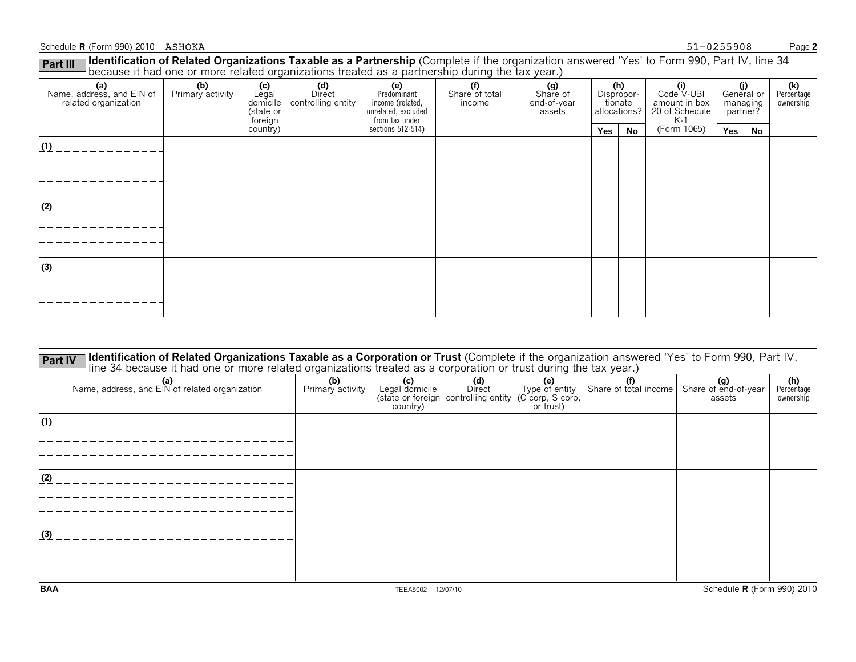#### Schedule **R** (Form 990) 2010 ASHOKA **Page 2** and ASHOCKA **Page 2** and ASHOCKA **Page 2** and ASHOCKA **Page 2**

#### ASHOKA 51-0255908

| Fait III  <br>because it had one or more related organizations treated as a partnership during the tax year.) |                         |                      |                                                    |                                                                                 |                                 |                                          |                                   |         |                                                                                       |                                           |    |                                |
|---------------------------------------------------------------------------------------------------------------|-------------------------|----------------------|----------------------------------------------------|---------------------------------------------------------------------------------|---------------------------------|------------------------------------------|-----------------------------------|---------|---------------------------------------------------------------------------------------|-------------------------------------------|----|--------------------------------|
| (a)<br>Name, address, and EIN of<br>related organization                                                      | (b)<br>Primary activity | (state or<br>foreign | (c)<br>Legal Direct<br>domicile controlling entity | (e)<br>Predominant<br>income (related,<br>unrelated, excluded<br>from tax under | (f)<br>Share of total<br>income | (g)<br>Share of<br>end-of-year<br>assets | (h)<br>Dispropor-<br>allocations? | tionate | $\overset{\textbf{(i)}}{\text{Code V-UBI}}$<br>amount in box<br>20 of Schedule<br>K-1 | (i)<br>General or<br>managing<br>partner? |    | (k)<br>Percentage<br>ownership |
|                                                                                                               |                         | country)             |                                                    | sections 512-514)                                                               |                                 |                                          | Yes                               | No      | (Form 1065)                                                                           | Yes                                       | No |                                |
| (1)                                                                                                           |                         |                      |                                                    |                                                                                 |                                 |                                          |                                   |         |                                                                                       |                                           |    |                                |
|                                                                                                               |                         |                      |                                                    |                                                                                 |                                 |                                          |                                   |         |                                                                                       |                                           |    |                                |
| (2)                                                                                                           |                         |                      |                                                    |                                                                                 |                                 |                                          |                                   |         |                                                                                       |                                           |    |                                |
|                                                                                                               |                         |                      |                                                    |                                                                                 |                                 |                                          |                                   |         |                                                                                       |                                           |    |                                |
| (3)                                                                                                           |                         |                      |                                                    |                                                                                 |                                 |                                          |                                   |         |                                                                                       |                                           |    |                                |
|                                                                                                               |                         |                      |                                                    |                                                                                 |                                 |                                          |                                   |         |                                                                                       |                                           |    |                                |
|                                                                                                               |                         |                      |                                                    |                                                                                 |                                 |                                          |                                   |         |                                                                                       |                                           |    |                                |

| Identification of Related Organizations Taxable as a Corporation or Trust (Complete if the organization answered 'Yes' to Form 990, Part IV,<br><b>Part IV</b><br>line 34 because it had one or more related organizations treated as a corporation or trust during the tax year.) |                         |                                   |                                                                            |                                    |                       |                                       |                                |  |  |
|------------------------------------------------------------------------------------------------------------------------------------------------------------------------------------------------------------------------------------------------------------------------------------|-------------------------|-----------------------------------|----------------------------------------------------------------------------|------------------------------------|-----------------------|---------------------------------------|--------------------------------|--|--|
| (a)<br>Name, address, and EIN of related organization                                                                                                                                                                                                                              | (b)<br>Primary activity | (c)<br>Legal domicile<br>country) | (d)<br>Direct<br>(state or foreign   controlling entity   (C corp, S corp, | (e)<br>Type of entity<br>or trust) | Share of total income | (g)<br>Share of end-of-year<br>assets | (h)<br>Percentage<br>ownership |  |  |
| (1)                                                                                                                                                                                                                                                                                |                         |                                   |                                                                            |                                    |                       |                                       |                                |  |  |
| (2)                                                                                                                                                                                                                                                                                |                         |                                   |                                                                            |                                    |                       |                                       |                                |  |  |
| (3)                                                                                                                                                                                                                                                                                |                         |                                   |                                                                            |                                    |                       |                                       |                                |  |  |
| <b>BAA</b>                                                                                                                                                                                                                                                                         |                         | <b>TEEA5002</b>                   | 12/07/10                                                                   |                                    |                       | Schedule <b>R</b> (Form 990) 2010     |                                |  |  |

**Part III** Identification of Related Organizations Taxable as a Partnership (Complete if the organization answered 'Yes' to Form 990, Part IV, line 34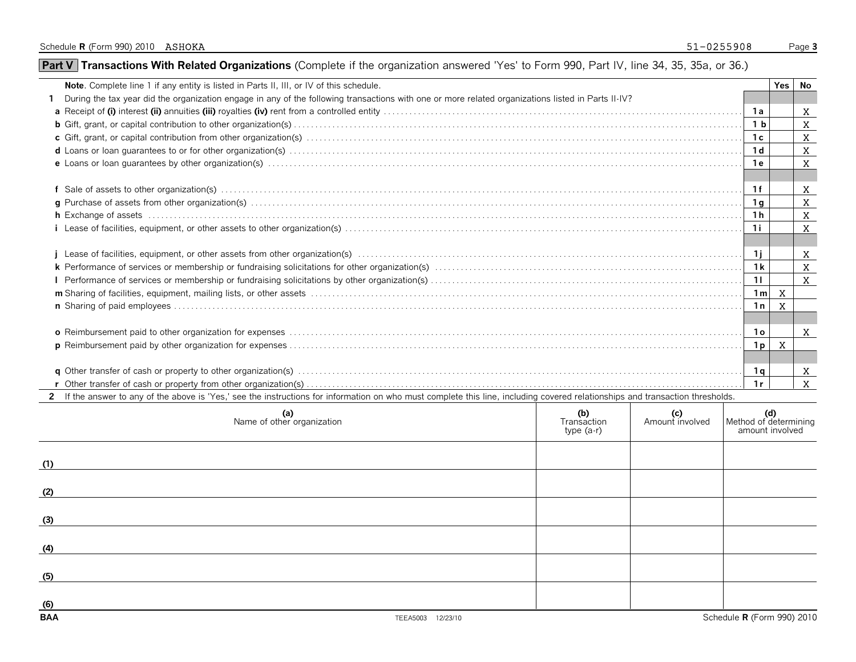| Note. Complete line 1 if any entity is listed in Parts II, III, or IV of this schedule.                                                                                                                                        |                    |                                                                                                                             |                |              | Yes No       |
|--------------------------------------------------------------------------------------------------------------------------------------------------------------------------------------------------------------------------------|--------------------|-----------------------------------------------------------------------------------------------------------------------------|----------------|--------------|--------------|
| During the tax year did the organization engage in any of the following transactions with one or more related organizations listed in Parts II-IV?                                                                             |                    |                                                                                                                             |                |              |              |
|                                                                                                                                                                                                                                |                    |                                                                                                                             | 1a             |              | X            |
|                                                                                                                                                                                                                                |                    |                                                                                                                             | 1 <sub>b</sub> |              | $\mathbf X$  |
|                                                                                                                                                                                                                                |                    |                                                                                                                             | 1c             |              | X            |
|                                                                                                                                                                                                                                |                    |                                                                                                                             | 1 <sub>d</sub> |              | $\mathbf{X}$ |
|                                                                                                                                                                                                                                |                    |                                                                                                                             | 1e             |              | $\mathbf{X}$ |
|                                                                                                                                                                                                                                |                    |                                                                                                                             | 1f             |              | X            |
|                                                                                                                                                                                                                                |                    |                                                                                                                             | 1q             |              | X            |
| h Exchange of assets with according to the control of the control of the control of the control of the control of the control of the control of the control of the control of the control of the control of the control of the |                    |                                                                                                                             | 1 h            |              | $\mathbf{x}$ |
|                                                                                                                                                                                                                                |                    |                                                                                                                             | 1i             |              | $\mathbf{X}$ |
|                                                                                                                                                                                                                                |                    |                                                                                                                             |                |              |              |
|                                                                                                                                                                                                                                |                    |                                                                                                                             | $1$ i          |              | $\mathbf{x}$ |
|                                                                                                                                                                                                                                |                    |                                                                                                                             | 1 <sub>k</sub> |              | $\mathbf{x}$ |
|                                                                                                                                                                                                                                |                    |                                                                                                                             | 11             |              | X            |
|                                                                                                                                                                                                                                |                    |                                                                                                                             | 1 <sub>m</sub> | $\mathbf{x}$ |              |
|                                                                                                                                                                                                                                |                    |                                                                                                                             | 1n             | $\mathbf{X}$ |              |
|                                                                                                                                                                                                                                |                    |                                                                                                                             |                |              |              |
|                                                                                                                                                                                                                                |                    |                                                                                                                             | 1 <sub>o</sub> |              | $\mathbf{X}$ |
|                                                                                                                                                                                                                                |                    |                                                                                                                             | 1p             | X            |              |
|                                                                                                                                                                                                                                |                    |                                                                                                                             |                |              |              |
|                                                                                                                                                                                                                                |                    |                                                                                                                             | 1q             |              | $\mathbf{X}$ |
|                                                                                                                                                                                                                                |                    |                                                                                                                             | 1r             |              | $\mathbf{X}$ |
| 2 If the answer to any of the above is 'Yes,' see the instructions for information on who must complete this line, including covered relationships and transaction thresholds.                                                 |                    |                                                                                                                             |                |              |              |
| (a)<br>Name of other organization                                                                                                                                                                                              | (b)<br>Transaction | $\begin{array}{c} \mathbf{(c)} \\ \mathbf{(d)} \end{array}$ (c) $\begin{array}{c} \mathbf{(c)} \\ \mathbf{(e)} \end{array}$ |                |              |              |

|                   | (a)<br>Name of other organization | (b)<br>Transaction<br>type (a-r) | (c)<br>Amount involved | Method of determining<br>amount involved |
|-------------------|-----------------------------------|----------------------------------|------------------------|------------------------------------------|
| (1)               |                                   |                                  |                        |                                          |
| (2)               |                                   |                                  |                        |                                          |
| (3)               |                                   |                                  |                        |                                          |
| (4)               |                                   |                                  |                        |                                          |
| (5)               |                                   |                                  |                        |                                          |
| (6)<br><b>BAA</b> |                                   |                                  |                        | Schedule R (Form 990) 2010               |
|                   | TEEA5003 12/23/10                 |                                  |                        |                                          |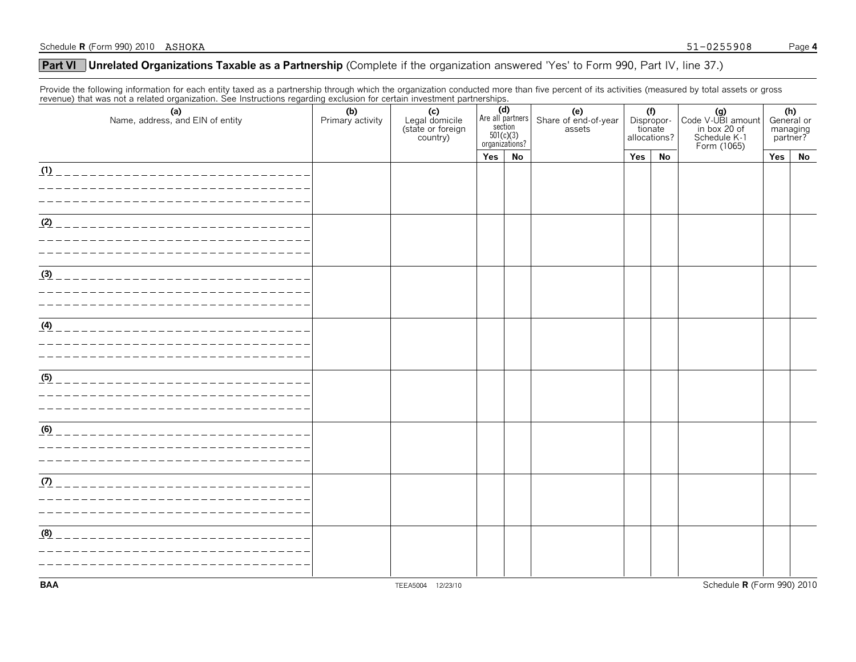#### **Unrelated Organizations Taxable as a Partnership** (Complete if the organization answered 'Yes' to Form 990, Part IV, line 37.) **Part VI**

Provide the following information for each entity taxed as a partnership through which the organization conducted more than five percent of its activities (measured by total assets or gross revenue) that was not a related organization. See Instructions regarding exclusion for certain investment partnerships.

| Toronacy that mas not a related erganization. See motivations regarding exercision for contain investment partnerships.<br>(a)<br>Name, address, and EIN of entity | (b)<br>Primary activity | (c)<br>Legal domicile<br>(state or foreign<br>country) | $\frac{\text{section}}{501(c)(3)}$<br>organizations? | (d)<br>(e)<br>Share of end-of-year<br>assets<br>Are all partners |  | allocations? |    | (f)<br>Dispropor-<br>tionate<br>Code V-UBI amount<br>in box 20 of<br>Schedule K-1<br>Form (1065) |     | (h)<br>General or<br>managing<br>partner? |
|--------------------------------------------------------------------------------------------------------------------------------------------------------------------|-------------------------|--------------------------------------------------------|------------------------------------------------------|------------------------------------------------------------------|--|--------------|----|--------------------------------------------------------------------------------------------------|-----|-------------------------------------------|
|                                                                                                                                                                    |                         |                                                        | Yes                                                  | <b>No</b>                                                        |  | Yes          | No |                                                                                                  | Yes | No                                        |
| (1)<br>_____________________________                                                                                                                               |                         |                                                        |                                                      |                                                                  |  |              |    |                                                                                                  |     |                                           |
|                                                                                                                                                                    |                         |                                                        |                                                      |                                                                  |  |              |    |                                                                                                  |     |                                           |
|                                                                                                                                                                    |                         |                                                        |                                                      |                                                                  |  |              |    |                                                                                                  |     |                                           |
| (2)                                                                                                                                                                |                         |                                                        |                                                      |                                                                  |  |              |    |                                                                                                  |     |                                           |
|                                                                                                                                                                    |                         |                                                        |                                                      |                                                                  |  |              |    |                                                                                                  |     |                                           |
|                                                                                                                                                                    |                         |                                                        |                                                      |                                                                  |  |              |    |                                                                                                  |     |                                           |
| (3)                                                                                                                                                                |                         |                                                        |                                                      |                                                                  |  |              |    |                                                                                                  |     |                                           |
|                                                                                                                                                                    |                         |                                                        |                                                      |                                                                  |  |              |    |                                                                                                  |     |                                           |
|                                                                                                                                                                    |                         |                                                        |                                                      |                                                                  |  |              |    |                                                                                                  |     |                                           |
| (4)                                                                                                                                                                |                         |                                                        |                                                      |                                                                  |  |              |    |                                                                                                  |     |                                           |
| _________________________________                                                                                                                                  |                         |                                                        |                                                      |                                                                  |  |              |    |                                                                                                  |     |                                           |
|                                                                                                                                                                    |                         |                                                        |                                                      |                                                                  |  |              |    |                                                                                                  |     |                                           |
|                                                                                                                                                                    |                         |                                                        |                                                      |                                                                  |  |              |    |                                                                                                  |     |                                           |
| (5)                                                                                                                                                                |                         |                                                        |                                                      |                                                                  |  |              |    |                                                                                                  |     |                                           |
|                                                                                                                                                                    |                         |                                                        |                                                      |                                                                  |  |              |    |                                                                                                  |     |                                           |
|                                                                                                                                                                    |                         |                                                        |                                                      |                                                                  |  |              |    |                                                                                                  |     |                                           |
| (6)                                                                                                                                                                |                         |                                                        |                                                      |                                                                  |  |              |    |                                                                                                  |     |                                           |
|                                                                                                                                                                    |                         |                                                        |                                                      |                                                                  |  |              |    |                                                                                                  |     |                                           |
|                                                                                                                                                                    |                         |                                                        |                                                      |                                                                  |  |              |    |                                                                                                  |     |                                           |
| (7)                                                                                                                                                                |                         |                                                        |                                                      |                                                                  |  |              |    |                                                                                                  |     |                                           |
|                                                                                                                                                                    |                         |                                                        |                                                      |                                                                  |  |              |    |                                                                                                  |     |                                           |
|                                                                                                                                                                    |                         |                                                        |                                                      |                                                                  |  |              |    |                                                                                                  |     |                                           |
| (8)                                                                                                                                                                |                         |                                                        |                                                      |                                                                  |  |              |    |                                                                                                  |     |                                           |
|                                                                                                                                                                    |                         |                                                        |                                                      |                                                                  |  |              |    |                                                                                                  |     |                                           |
|                                                                                                                                                                    |                         |                                                        |                                                      |                                                                  |  |              |    |                                                                                                  |     |                                           |
| <b>BAA</b>                                                                                                                                                         |                         | TEEA5004 12/23/10                                      |                                                      |                                                                  |  |              |    | Schedule R (Form 990) 2010                                                                       |     |                                           |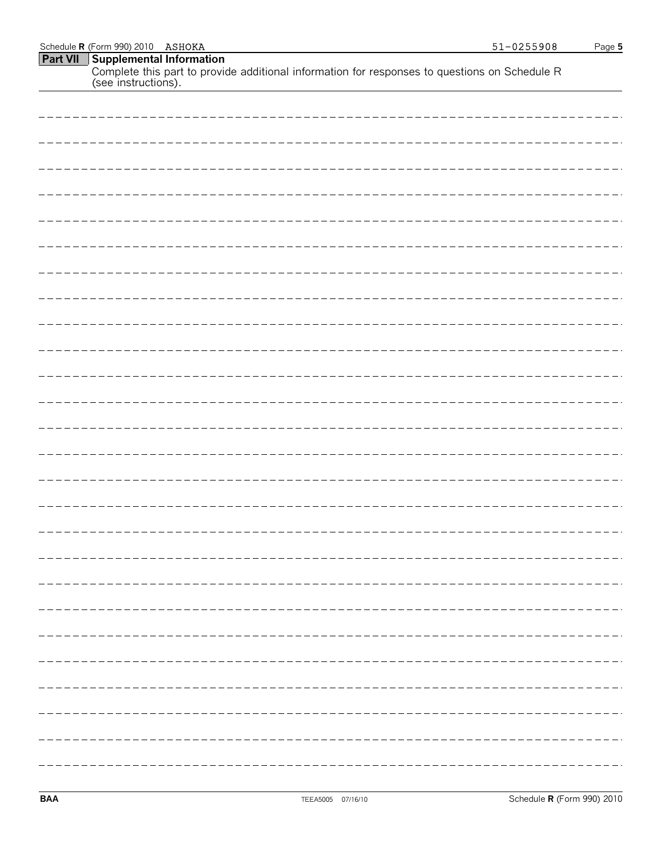| ----- |
|-------|
|       |
|       |
|       |
|       |
|       |
|       |
|       |
|       |
|       |
|       |
|       |
|       |
|       |
|       |
|       |

Complete this part to provide additional information for responses to questions on Schedule R

**Part VII Supplemental Information**

(see instructions).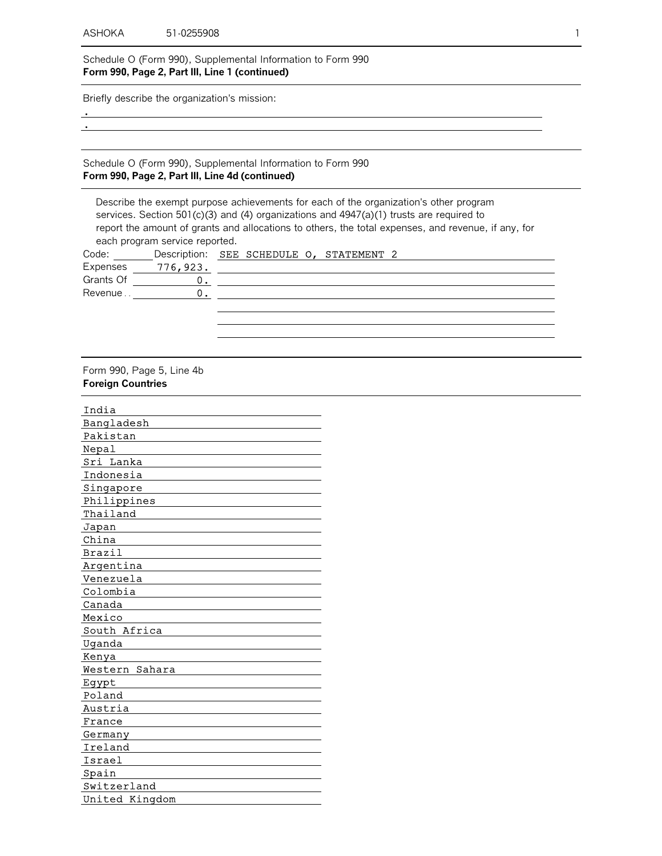Schedule O (Form 990), Supplemental Information to Form 990 **Form 990, Page 2, Part III, Line 1 (continued)**

Briefly describe the organization's mission:

 . .

Schedule O (Form 990), Supplemental Information to Form 990 **Form 990, Page 2, Part III, Line 4d (continued)**

Describe the exempt purpose achievements for each of the organization's other program services. Section 501(c)(3) and (4) organizations and 4947(a)(1) trusts are required to report the amount of grants and allocations to others, the total expenses, and revenue, if any, for each program service reported. Code: \_\_\_\_\_\_\_\_Description: SEE SCHEDULE O, STATEMENT 2 Expenses \_\_\_\_\_ 776,923. Grants Of Revenue . . 0.  $0_{\underline{\bullet}}$ 

Form 990, Page 5, Line 4b **Foreign Countries**

| India          |
|----------------|
| Bangladesh     |
| Pakistan       |
| Nepal          |
| Sri Lanka      |
| Indonesia      |
| Singapore      |
| Philippines    |
| Thailand       |
| Japan          |
| China          |
| Brazil         |
| Argentina      |
| Venezuela      |
| Colombia       |
| Canada         |
| Mexico         |
| South Africa   |
| Uganda         |
| Kenya          |
| Western Sahara |
| Egypt          |
| Poland         |
| Austria        |
| France         |
| Germany        |
| Ireland        |
| Israel         |
| Spain          |
| Switzerland    |
| United Kingdom |